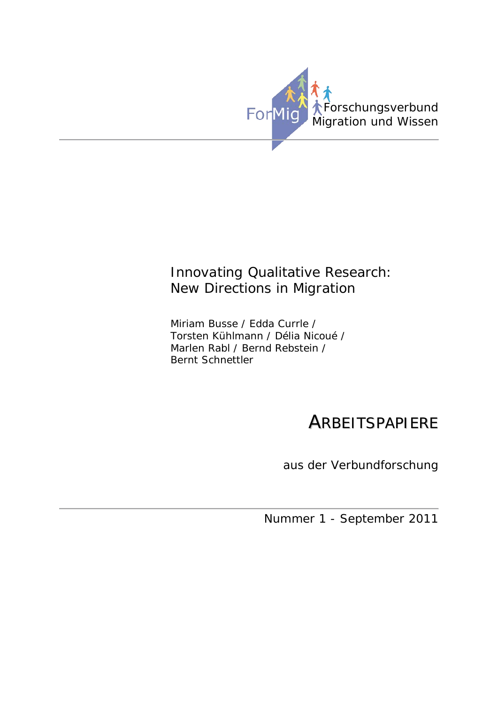

# Innovating Qualitative Research: New Directions in Migration

*Miriam Busse / Edda Currle / Torsten Kühlmann / Délia Nicoué / Marlen Rabl / Bernd Rebstein / Bernt Schnettler*

# **ARBEITSPAPIERE**

aus der Verbundforschung

Nummer 1 - September 2011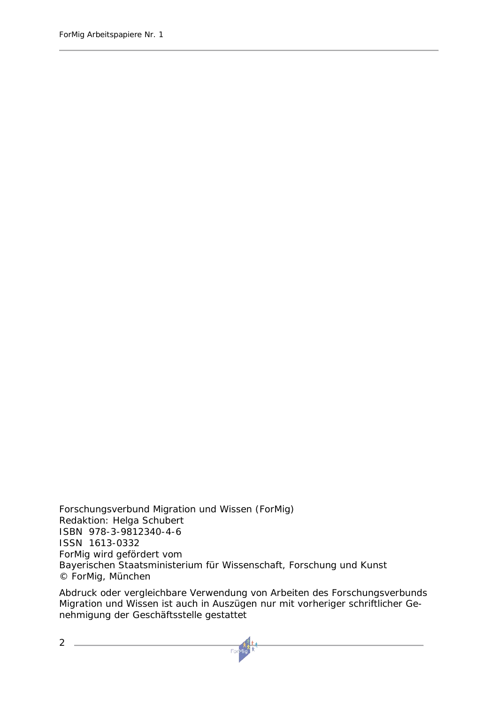Forschungsverbund Migration und Wissen (ForMig) Redaktion: Helga Schubert ISBN 978-3-9812340-4-6 ISSN 1613-0332 *ForMig* wird gefördert vom Bayerischen Staatsministerium für Wissenschaft, Forschung und Kunst *© ForMig, München*

Abdruck oder vergleichbare Verwendung von Arbeiten des Forschungsverbunds Migration und Wissen ist auch in Auszügen nur mit vorheriger schriftlicher Genehmigung der Geschäftsstelle gestattet

 $2 -$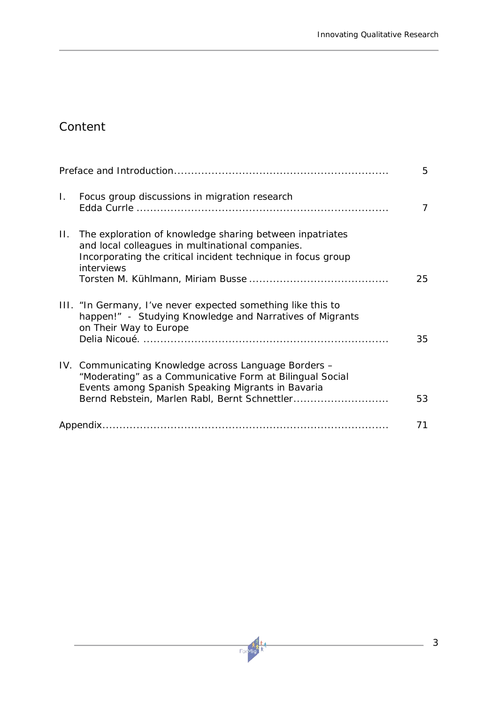# Content

| $\mathbf{I}$ . | Focus group discussions in migration research                                                                                                                                                                           | 7  |
|----------------|-------------------------------------------------------------------------------------------------------------------------------------------------------------------------------------------------------------------------|----|
| $\Pi$ .        | The exploration of knowledge sharing between inpatriates<br>and local colleagues in multinational companies.<br>Incorporating the critical incident technique in focus group<br>interviews                              | 25 |
|                | III. "In Germany, I've never expected something like this to<br>happen!" - Studying Knowledge and Narratives of Migrants<br>on Their Way to Europe                                                                      | 35 |
|                | IV. Communicating Knowledge across Language Borders -<br>"Moderating" as a Communicative Form at Bilingual Social<br>Events among Spanish Speaking Migrants in Bavaria<br>Bernd Rebstein, Marlen Rabl, Bernt Schnettler | 53 |
|                |                                                                                                                                                                                                                         |    |

Formig XX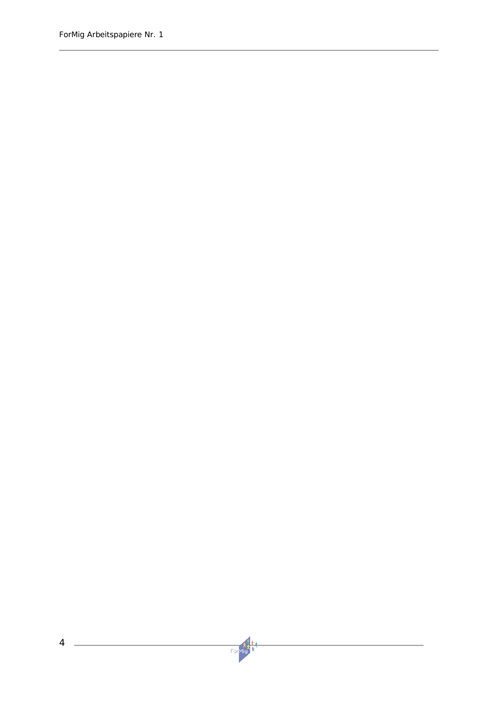4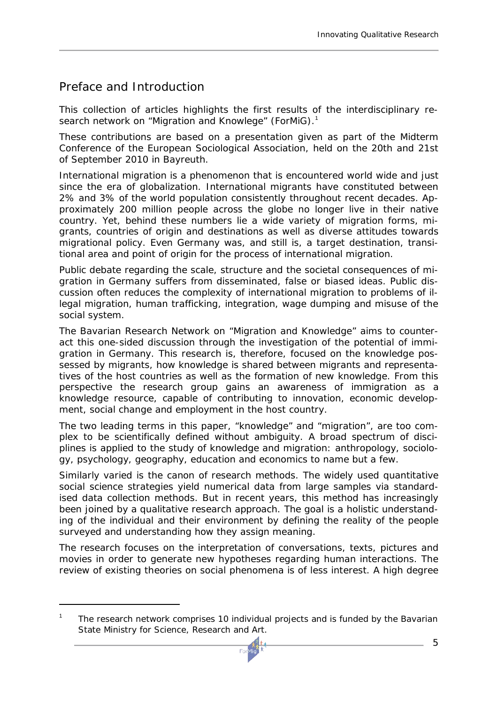# <span id="page-4-0"></span>Preface and Introduction

-

This collection of articles highlights the first results of the interdisciplinary re-search network on "Migration and Knowlege" (ForMiG).<sup>[1](#page-4-1)</sup>

These contributions are based on a presentation given as part of the Midterm Conference of the European Sociological Association, held on the 20th and 21st of September 2010 in Bayreuth.

International migration is a phenomenon that is encountered world wide and just since the era of globalization. International migrants have constituted between 2% and 3% of the world population consistently throughout recent decades. Approximately 200 million people across the globe no longer live in their native country. Yet, behind these numbers lie a wide variety of migration forms, migrants, countries of origin and destinations as well as diverse attitudes towards migrational policy. Even Germany was, and still is, a target destination, transitional area and point of origin for the process of international migration.

Public debate regarding the scale, structure and the societal consequences of migration in Germany suffers from disseminated, false or biased ideas. Public discussion often reduces the complexity of international migration to problems of illegal migration, human trafficking, integration, wage dumping and misuse of the social system.

The Bavarian Research Network on "Migration and Knowledge" aims to counteract this one-sided discussion through the investigation of the potential of immigration in Germany. This research is, therefore, focused on the knowledge possessed by migrants, how knowledge is shared between migrants and representatives of the host countries as well as the formation of new knowledge. From this perspective the research group gains an awareness of immigration as a knowledge resource, capable of contributing to innovation, economic development, social change and employment in the host country.

The two leading terms in this paper, "knowledge" and "migration", are too complex to be scientifically defined without ambiguity. A broad spectrum of disciplines is applied to the study of knowledge and migration: anthropology, sociology, psychology, geography, education and economics to name but a few.

Similarly varied is the canon of research methods. The widely used quantitative social science strategies yield numerical data from large samples via standardised data collection methods. But in recent years, this method has increasingly been joined by a qualitative research approach. The goal is a holistic understanding of the individual and their environment by defining the reality of the people surveyed and understanding how they assign meaning.

The research focuses on the interpretation of conversations, texts, pictures and movies in order to generate new hypotheses regarding human interactions. The review of existing theories on social phenomena is of less interest. A high degree

<span id="page-4-1"></span><sup>&</sup>lt;sup>1</sup> The research network comprises 10 individual projects and is funded by the Bavarian State Ministry for Science, Research and Art.

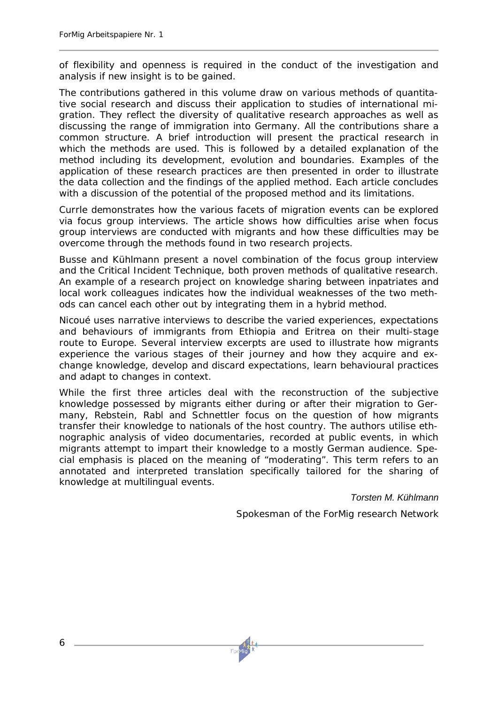of flexibility and openness is required in the conduct of the investigation and analysis if new insight is to be gained.

The contributions gathered in this volume draw on various methods of quantitative social research and discuss their application to studies of international migration. They reflect the diversity of qualitative research approaches as well as discussing the range of immigration into Germany. All the contributions share a common structure. A brief introduction will present the practical research in which the methods are used. This is followed by a detailed explanation of the method including its development, evolution and boundaries. Examples of the application of these research practices are then presented in order to illustrate the data collection and the findings of the applied method. Each article concludes with a discussion of the potential of the proposed method and its limitations.

*Currle* demonstrates how the various facets of migration events can be explored via focus group interviews. The article shows how difficulties arise when focus group interviews are conducted with migrants and how these difficulties may be overcome through the methods found in two research projects.

*Busse* and *Kühlmann* present a novel combination of the focus group interview and the Critical Incident Technique, both proven methods of qualitative research. An example of a research project on knowledge sharing between inpatriates and local work colleagues indicates how the individual weaknesses of the two methods can cancel each other out by integrating them in a hybrid method.

*Nicoué* uses narrative interviews to describe the varied experiences, expectations and behaviours of immigrants from Ethiopia and Eritrea on their multi-stage route to Europe. Several interview excerpts are used to illustrate how migrants experience the various stages of their journey and how they acquire and exchange knowledge, develop and discard expectations, learn behavioural practices and adapt to changes in context.

While the first three articles deal with the reconstruction of the subjective knowledge possessed by migrants either during or after their migration to Germany, *Rebstein*, *Rabl* and *Schnettler* focus on the question of how migrants transfer their knowledge to nationals of the host country. The authors utilise ethnographic analysis of video documentaries, recorded at public events, in which migrants attempt to impart their knowledge to a mostly German audience. Special emphasis is placed on the meaning of "moderating". This term refers to an annotated and interpreted translation specifically tailored for the sharing of knowledge at multilingual events.

*Torsten M. Kühlmann*

*Spokesman of the ForMig research Network*

6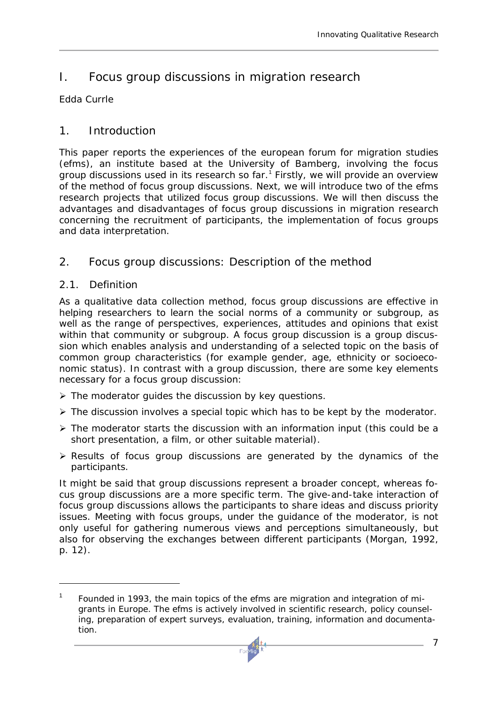# <span id="page-6-0"></span>I. Focus group discussions in migration research

# <span id="page-6-1"></span>*Edda Currle*

# 1. Introduction

This paper reports the experiences of the european forum for migration studies (efms), an institute based at the University of Bamberg, involving the focus group discussions used in its research so far. $1/2$  $1/2$  Firstly, we will provide an overview of the method of focus group discussions. Next, we will introduce two of the efms research projects that utilized focus group discussions. We will then discuss the advantages and disadvantages of focus group discussions in migration research concerning the recruitment of participants, the implementation of focus groups and data interpretation.

# 2. Focus group discussions: Description of the method

# 2.1. Definition

l

As a qualitative data collection method, focus group discussions are effective in helping researchers to learn the social norms of a community or subgroup, as well as the range of perspectives, experiences, attitudes and opinions that exist within that community or subgroup. A focus group discussion is a group discussion which enables analysis and understanding of a selected topic on the basis of common group characteristics (for example gender, age, ethnicity or socioeconomic status). In contrast with a group discussion, there are some key elements necessary for a focus group discussion:

- $\triangleright$  The moderator guides the discussion by key questions.
- The discussion involves a special topic which has to be kept by the moderator.
- $\triangleright$  The moderator starts the discussion with an information input (this could be a short presentation, a film, or other suitable material).
- $\triangleright$  Results of focus group discussions are generated by the dynamics of the participants.

It might be said that group discussions represent a broader concept, whereas focus group discussions are a more specific term. The give-and-take interaction of focus group discussions allows the participants to share ideas and discuss priority issues. Meeting with focus groups, under the guidance of the moderator, is not only useful for gathering numerous views and perceptions simultaneously, but also for observing the exchanges between different participants (Morgan, 1992, p. 12).

<span id="page-6-2"></span><sup>1</sup> Founded in 1993, the main topics of the efms are migration and integration of migrants in Europe. The efms is actively involved in scientific research, policy counseling, preparation of expert surveys, evaluation, training, information and documentation.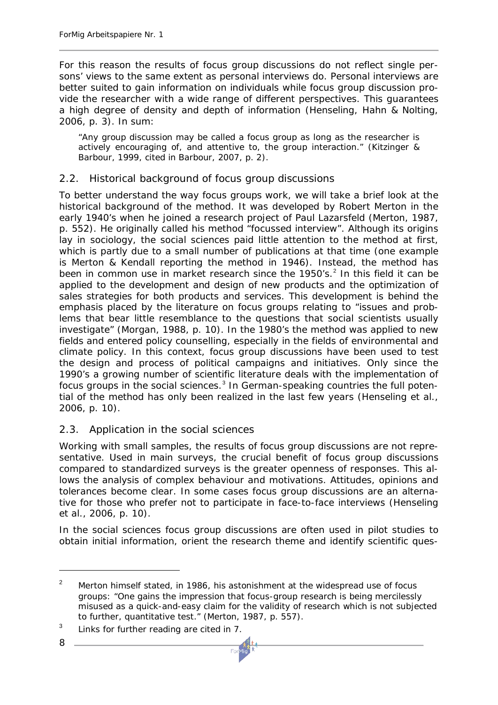For this reason the results of focus group discussions do not reflect single persons' views to the same extent as personal interviews do. Personal interviews are better suited to gain information on individuals while focus group discussion provide the researcher with a wide range of different perspectives. This guarantees a high degree of density and depth of information (Henseling, Hahn & Nolting, 2006, p. 3). In sum:

"Any group discussion may be called a focus group as long as the researcher is actively encouraging of, and attentive to, the group interaction." (Kitzinger & Barbour, 1999, cited in Barbour, 2007, p. 2).

### 2.2. Historical background of focus group discussions

To better understand the way focus groups work, we will take a brief look at the historical background of the method. It was developed by Robert Merton in the early 1940's when he joined a research project of Paul Lazarsfeld (Merton, 1987, p. 552). He originally called his method "focussed interview". Although its origins lay in sociology, the social sciences paid little attention to the method at first, which is partly due to a small number of publications at that time (one example is Merton & Kendall reporting the method in 1946). Instead, the method has been in common use in market research since the 1950's.<sup>[2](#page-7-0)</sup> In this field it can be applied to the development and design of new products and the optimization of sales strategies for both products and services. This development is behind the emphasis placed by the literature on focus groups relating to "issues and problems that bear little resemblance to the questions that social scientists usually investigate" (Morgan, 1988, p. 10). In the 1980's the method was applied to new fields and entered policy counselling, especially in the fields of environmental and climate policy. In this context, focus group discussions have been used to test the design and process of political campaigns and initiatives. Only since the 1990's a growing number of scientific literature deals with the implementation of focus groups in the social sciences.<sup>[3](#page-7-1)</sup> In German-speaking countries the full potential of the method has only been realized in the last few years (Henseling et al., 2006, p. 10).

# 2.3. Application in the social sciences

Working with small samples, the results of focus group discussions are not representative. Used in main surveys, the crucial benefit of focus group discussions compared to standardized surveys is the greater openness of responses. This allows the analysis of complex behaviour and motivations. Attitudes, opinions and tolerances become clear. In some cases focus group discussions are an alternative for those who prefer not to participate in face-to-face interviews (Henseling et al., 2006, p. 10).

In the social sciences focus group discussions are often used in pilot studies to obtain initial information, orient the research theme and identify scientific ques-

8

1

<span id="page-7-0"></span><sup>&</sup>lt;sup>2</sup> Merton himself stated, in 1986, his astonishment at the widespread use of focus groups: "One gains the impression that focus-group research is being mercilessly misused as a quick-and-easy claim for the validity of research which is not subjected to further, quantitative test." (Merton, 1987, p. 557).

<span id="page-7-1"></span><sup>&</sup>lt;sup>3</sup> Links for further reading are cited in 7.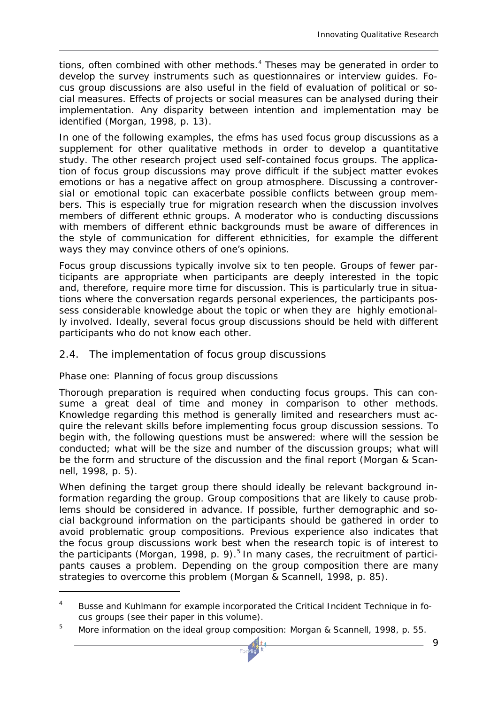tions, often combined with other methods.<sup>[4](#page-8-0)</sup> Theses may be generated in order to develop the survey instruments such as questionnaires or interview guides. Focus group discussions are also useful in the field of evaluation of political or social measures. Effects of projects or social measures can be analysed during their implementation. Any disparity between intention and implementation may be identified (Morgan, 1998, p. 13).

In one of the following examples, the efms has used focus group discussions as a supplement for other qualitative methods in order to develop a quantitative study. The other research project used self-contained focus groups. The application of focus group discussions may prove difficult if the subject matter evokes emotions or has a negative affect on group atmosphere. Discussing a controversial or emotional topic can exacerbate possible conflicts between group members. This is especially true for migration research when the discussion involves members of different ethnic groups. A moderator who is conducting discussions with members of different ethnic backgrounds must be aware of differences in the style of communication for different ethnicities, for example the different ways they may convince others of one's opinions.

Focus group discussions typically involve six to ten people. Groups of fewer participants are appropriate when participants are deeply interested in the topic and, therefore, require more time for discussion. This is particularly true in situations where the conversation regards personal experiences, the participants possess considerable knowledge about the topic or when they are highly emotionally involved. Ideally, several focus group discussions should be held with different participants who do not know each other.

#### 2.4. The implementation of focus group discussions

#### *Phase one: Planning of focus group discussions*

l

Thorough preparation is required when conducting focus groups. This can consume a great deal of time and money in comparison to other methods. Knowledge regarding this method is generally limited and researchers must acquire the relevant skills before implementing focus group discussion sessions. To begin with, the following questions must be answered: where will the session be conducted; what will be the size and number of the discussion groups; what will be the form and structure of the discussion and the final report (Morgan & Scannell, 1998, p. 5).

When defining the target group there should ideally be relevant background information regarding the group. Group compositions that are likely to cause problems should be considered in advance. If possible, further demographic and social background information on the participants should be gathered in order to avoid problematic group compositions. Previous experience also indicates that the focus group discussions work best when the research topic is of interest to the participants (Morgan, 1998, p. 9).<sup>[5](#page-8-1)</sup> In many cases, the recruitment of participants causes a problem. Depending on the group composition there are many strategies to overcome this problem (Morgan & Scannell, 1998, p. 85).

<span id="page-8-0"></span><sup>&</sup>lt;sup>4</sup> Busse and Kuhlmann for example incorporated the Critical Incident Technique in focus groups (see their paper in this volume).

<span id="page-8-1"></span><sup>&</sup>lt;sup>5</sup> More information on the ideal group composition: Morgan & Scannell, 1998, p. 55.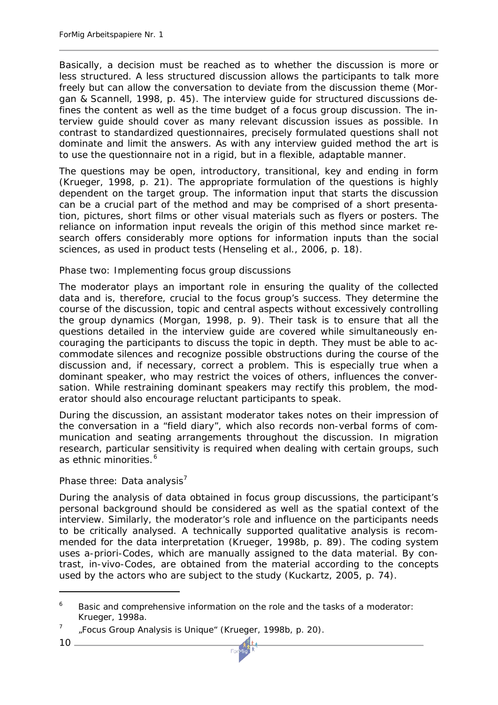Basically, a decision must be reached as to whether the discussion is more or less structured. A less structured discussion allows the participants to talk more freely but can allow the conversation to deviate from the discussion theme (Morgan & Scannell, 1998, p. 45). The interview guide for structured discussions defines the content as well as the time budget of a focus group discussion. The interview guide should cover as many relevant discussion issues as possible. In contrast to standardized questionnaires, precisely formulated questions shall not dominate and limit the answers. As with any interview guided method the art is to use the questionnaire not in a rigid, but in a flexible, adaptable manner.

The questions may be open, introductory, transitional, key and ending in form (Krueger, 1998, p. 21). The appropriate formulation of the questions is highly dependent on the target group. The information input that starts the discussion can be a crucial part of the method and may be comprised of a short presentation, pictures, short films or other visual materials such as flyers or posters. The reliance on information input reveals the origin of this method since market research offers considerably more options for information inputs than the social sciences, as used in product tests (Henseling et al., 2006, p. 18).

#### *Phase two: Implementing focus group discussions*

The moderator plays an important role in ensuring the quality of the collected data and is, therefore, crucial to the focus group's success. They determine the course of the discussion, topic and central aspects without excessively controlling the group dynamics (Morgan, 1998, p. 9). Their task is to ensure that all the questions detailed in the interview guide are covered while simultaneously encouraging the participants to discuss the topic in depth. They must be able to accommodate silences and recognize possible obstructions during the course of the discussion and, if necessary, correct a problem. This is especially true when a dominant speaker, who may restrict the voices of others, influences the conversation. While restraining dominant speakers may rectify this problem, the moderator should also encourage reluctant participants to speak.

During the discussion, an assistant moderator takes notes on their impression of the conversation in a "field diary", which also records non-verbal forms of communication and seating arrangements throughout the discussion. In migration research, particular sensitivity is required when dealing with certain groups, such as ethnic minorities.<sup>[6](#page-9-0)</sup>

#### *Phase three: Data analysis[7](#page-9-1)*

During the analysis of data obtained in focus group discussions, the participant's personal background should be considered as well as the spatial context of the interview. Similarly, the moderator's role and influence on the participants needs to be critically analysed. A technically supported qualitative analysis is recommended for the data interpretation (Krueger, 1998b, p. 89). The coding system uses a-priori-Codes, which are manually assigned to the data material. By contrast, in-vivo-Codes, are obtained from the material according to the concepts used by the actors who are subject to the study (Kuckartz, 2005, p. 74).

 $10 -$ 

1

<span id="page-9-0"></span> $6$  Basic and comprehensive information on the role and the tasks of a moderator: Krueger, 1998a.

<span id="page-9-1"></span> $7$  Focus Group Analysis is Unique " (Krueger, 1998b, p. 20).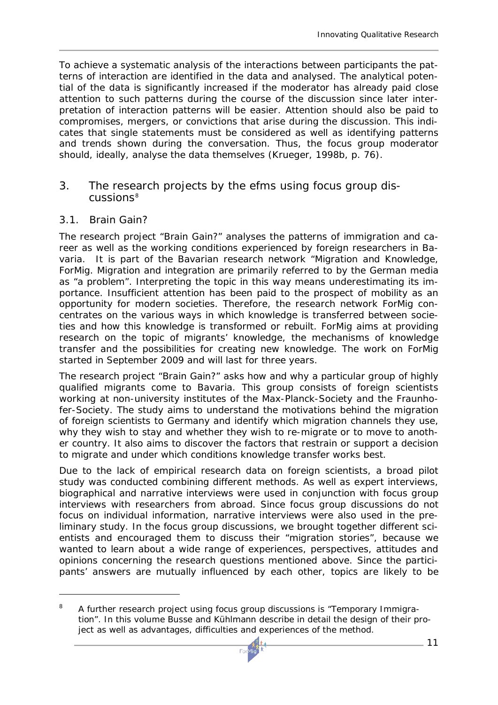To achieve a systematic analysis of the interactions between participants the patterns of interaction are identified in the data and analysed. The analytical potential of the data is significantly increased if the moderator has already paid close attention to such patterns during the course of the discussion since later interpretation of interaction patterns will be easier. Attention should also be paid to compromises, mergers, or convictions that arise during the discussion. This indicates that single statements must be considered as well as identifying patterns and trends shown during the conversation. Thus, the focus group moderator should, ideally, analyse the data themselves (Krueger, 1998b, p. 76).

### 3. The research projects by the efms using focus group dis $c$ ussions $8$

### 3.1. Brain Gain?

l

The research project "Brain Gain?" analyses the patterns of immigration and career as well as the working conditions experienced by foreign researchers in Bavaria. It is part of the Bavarian research network "Migration and Knowledge, ForMig. Migration and integration are primarily referred to by the German media as "a problem". Interpreting the topic in this way means underestimating its importance. Insufficient attention has been paid to the prospect of mobility as an opportunity for modern societies. Therefore, the research network ForMig concentrates on the various ways in which knowledge is transferred between societies and how this knowledge is transformed or rebuilt. ForMig aims at providing research on the topic of migrants' knowledge, the mechanisms of knowledge transfer and the possibilities for creating new knowledge. The work on ForMig started in September 2009 and will last for three years.

The research project "Brain Gain?" asks how and why a particular group of highly qualified migrants come to Bavaria. This group consists of foreign scientists working at non-university institutes of the Max-Planck-Society and the Fraunhofer-Society. The study aims to understand the motivations behind the migration of foreign scientists to Germany and identify which migration channels they use, why they wish to stay and whether they wish to re-migrate or to move to another country. It also aims to discover the factors that restrain or support a decision to migrate and under which conditions knowledge transfer works best.

Due to the lack of empirical research data on foreign scientists, a broad pilot study was conducted combining different methods. As well as expert interviews, biographical and narrative interviews were used in conjunction with focus group interviews with researchers from abroad. Since focus group discussions do not focus on individual information, narrative interviews were also used in the preliminary study. In the focus group discussions, we brought together different scientists and encouraged them to discuss their "migration stories", because we wanted to learn about a wide range of experiences, perspectives, attitudes and opinions concerning the research questions mentioned above. Since the participants' answers are mutually influenced by each other, topics are likely to be

<span id="page-10-0"></span><sup>&</sup>lt;sup>8</sup> A further research project using focus group discussions is "Temporary Immigration". In this volume Busse and Kühlmann describe in detail the design of their project as well as advantages, difficulties and experiences of the method.

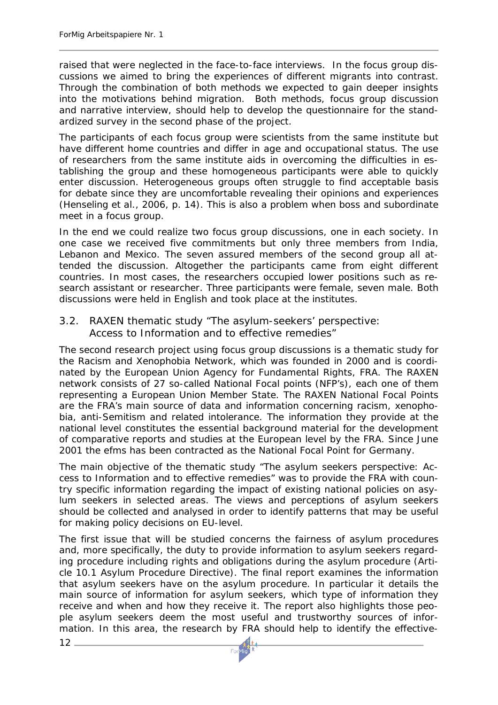$12 -$ 

raised that were neglected in the face-to-face interviews. In the focus group discussions we aimed to bring the experiences of different migrants into contrast. Through the combination of both methods we expected to gain deeper insights into the motivations behind migration. Both methods, focus group discussion and narrative interview, should help to develop the questionnaire for the standardized survey in the second phase of the project.

The participants of each focus group were scientists from the same institute but have different home countries and differ in age and occupational status. The use of researchers from the same institute aids in overcoming the difficulties in establishing the group and these homogeneous participants were able to quickly enter discussion. Heterogeneous groups often struggle to find acceptable basis for debate since they are uncomfortable revealing their opinions and experiences (Henseling et al., 2006, p. 14). This is also a problem when boss and subordinate meet in a focus group.

In the end we could realize two focus group discussions, one in each society. In one case we received five commitments but only three members from India, Lebanon and Mexico. The seven assured members of the second group all attended the discussion. Altogether the participants came from eight different countries. In most cases, the researchers occupied lower positions such as research assistant or researcher. Three participants were female, seven male. Both discussions were held in English and took place at the institutes.

3.2. RAXEN thematic study "The asylum-seekers' perspective: Access to Information and to effective remedies"

The second research project using focus group discussions is a thematic study for the Racism and Xenophobia Network, which was founded in 2000 and is coordinated by the European Union Agency for Fundamental Rights, FRA. The RAXEN network consists of 27 so-called National Focal points (NFP's), each one of them representing a European Union Member State. The RAXEN National Focal Points are the FRA's main source of data and information concerning racism, xenophobia, anti-Semitism and related intolerance. The information they provide at the national level constitutes the essential background material for the development of comparative reports and studies at the European level by the FRA. Since June 2001 the efms has been contracted as the National Focal Point for Germany.

The main objective of the thematic study "The asylum seekers perspective: Access to Information and to effective remedies" was to provide the FRA with country specific information regarding the impact of existing national policies on asylum seekers in selected areas. The views and perceptions of asylum seekers should be collected and analysed in order to identify patterns that may be useful for making policy decisions on EU-level.

The first issue that will be studied concerns the fairness of asylum procedures and, more specifically, the duty to provide information to asylum seekers regarding procedure including rights and obligations during the asylum procedure (Article 10.1 Asylum Procedure Directive). The final report examines the information that asylum seekers have on the asylum procedure. In particular it details the main source of information for asylum seekers, which type of information they receive and when and how they receive it. The report also highlights those people asylum seekers deem the most useful and trustworthy sources of information. In this area, the research by FRA should help to identify the effective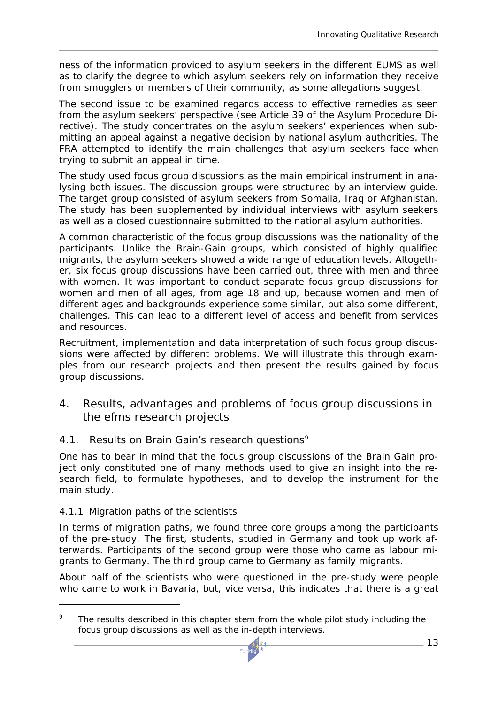ness of the information provided to asylum seekers in the different EUMS as well as to clarify the degree to which asylum seekers rely on information they receive from smugglers or members of their community, as some allegations suggest.

The second issue to be examined regards access to effective remedies as seen from the asylum seekers' perspective (see Article 39 of the Asylum Procedure Directive). The study concentrates on the asylum seekers' experiences when submitting an appeal against a negative decision by national asylum authorities. The FRA attempted to identify the main challenges that asylum seekers face when trying to submit an appeal in time.

The study used focus group discussions as the main empirical instrument in analysing both issues. The discussion groups were structured by an interview guide. The target group consisted of asylum seekers from Somalia, Iraq or Afghanistan. The study has been supplemented by individual interviews with asylum seekers as well as a closed questionnaire submitted to the national asylum authorities.

A common characteristic of the focus group discussions was the nationality of the participants. Unlike the Brain-Gain groups, which consisted of highly qualified migrants, the asylum seekers showed a wide range of education levels. Altogether, six focus group discussions have been carried out, three with men and three with women. It was important to conduct separate focus group discussions for women and men of all ages, from age 18 and up, because women and men of different ages and backgrounds experience some similar, but also some different, challenges. This can lead to a different level of access and benefit from services and resources.

Recruitment, implementation and data interpretation of such focus group discussions were affected by different problems. We will illustrate this through examples from our research projects and then present the results gained by focus group discussions.

- 4. Results, advantages and problems of focus group discussions in the efms research projects
- 4.1. Results on Brain Gain's research questions<sup>[9](#page-12-0)</sup>

One has to bear in mind that the focus group discussions of the Brain Gain project only constituted one of many methods used to give an insight into the research field, to formulate hypotheses, and to develop the instrument for the main study.

# *4.1.1 Migration paths of the scientists*

-

In terms of migration paths, we found three core groups among the participants of the pre-study. The first, students, studied in Germany and took up work afterwards. Participants of the second group were those who came as labour migrants to Germany. The third group came to Germany as family migrants.

About half of the scientists who were questioned in the pre-study were people who came to work in Bavaria, but, vice versa, this indicates that there is a great

<span id="page-12-0"></span><sup>&</sup>lt;sup>9</sup> The results described in this chapter stem from the whole pilot study including the focus group discussions as well as the in-depth interviews.

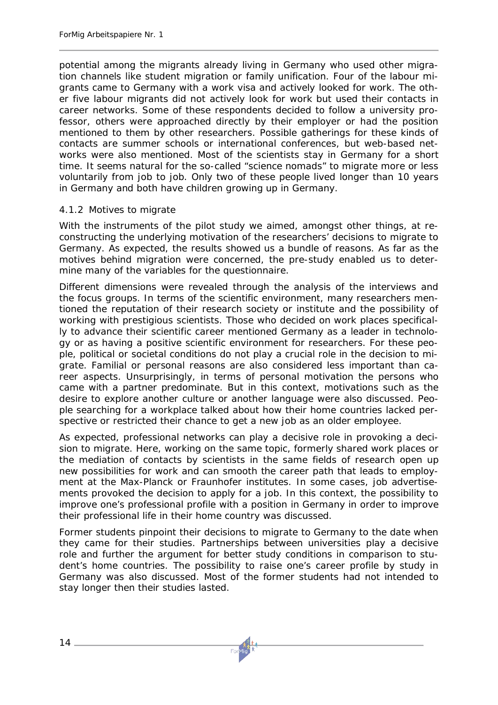potential among the migrants already living in Germany who used other migration channels like student migration or family unification. Four of the labour migrants came to Germany with a work visa and actively looked for work. The other five labour migrants did not actively look for work but used their contacts in career networks. Some of these respondents decided to follow a university professor, others were approached directly by their employer or had the position mentioned to them by other researchers. Possible gatherings for these kinds of contacts are summer schools or international conferences, but web-based networks were also mentioned. Most of the scientists stay in Germany for a short time. It seems natural for the so-called "science nomads" to migrate more or less voluntarily from job to job. Only two of these people lived longer than 10 years in Germany and both have children growing up in Germany.

#### *4.1.2 Motives to migrate*

With the instruments of the pilot study we aimed, amongst other things, at reconstructing the underlying motivation of the researchers' decisions to migrate to Germany. As expected, the results showed us a bundle of reasons. As far as the motives behind migration were concerned, the pre-study enabled us to determine many of the variables for the questionnaire.

Different dimensions were revealed through the analysis of the interviews and the focus groups. In terms of the scientific environment, many researchers mentioned the reputation of their research society or institute and the possibility of working with prestigious scientists. Those who decided on work places specifically to advance their scientific career mentioned Germany as a leader in technology or as having a positive scientific environment for researchers. For these people, political or societal conditions do not play a crucial role in the decision to migrate. Familial or personal reasons are also considered less important than career aspects. Unsurprisingly, in terms of personal motivation the persons who came with a partner predominate. But in this context, motivations such as the desire to explore another culture or another language were also discussed. People searching for a workplace talked about how their home countries lacked perspective or restricted their chance to get a new job as an older employee.

As expected, professional networks can play a decisive role in provoking a decision to migrate. Here, working on the same topic, formerly shared work places or the mediation of contacts by scientists in the same fields of research open up new possibilities for work and can smooth the career path that leads to employment at the Max-Planck or Fraunhofer institutes. In some cases, job advertisements provoked the decision to apply for a job. In this context, the possibility to improve one's professional profile with a position in Germany in order to improve their professional life in their home country was discussed.

Former students pinpoint their decisions to migrate to Germany to the date when they came for their studies. Partnerships between universities play a decisive role and further the argument for better study conditions in comparison to student's home countries. The possibility to raise one's career profile by study in Germany was also discussed. Most of the former students had not intended to stay longer then their studies lasted.

14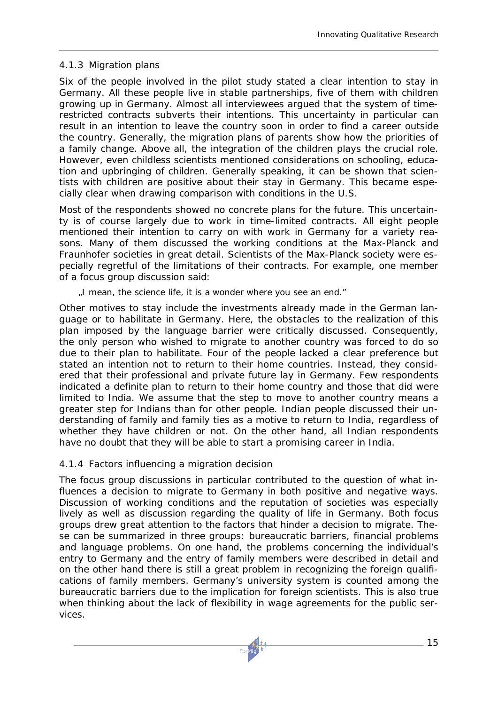#### *4.1.3 Migration plans*

Six of the people involved in the pilot study stated a clear intention to stay in Germany. All these people live in stable partnerships, five of them with children growing up in Germany. Almost all interviewees argued that the system of timerestricted contracts subverts their intentions. This uncertainty in particular can result in an intention to leave the country soon in order to find a career outside the country. Generally, the migration plans of parents show how the priorities of a family change. Above all, the integration of the children plays the crucial role. However, even childless scientists mentioned considerations on schooling, education and upbringing of children. Generally speaking, it can be shown that scientists with children are positive about their stay in Germany. This became especially clear when drawing comparison with conditions in the U.S.

Most of the respondents showed no concrete plans for the future. This uncertainty is of course largely due to work in time-limited contracts. All eight people mentioned their intention to carry on with work in Germany for a variety reasons. Many of them discussed the working conditions at the Max-Planck and Fraunhofer societies in great detail. Scientists of the Max-Planck society were especially regretful of the limitations of their contracts. For example, one member of a focus group discussion said:

"I mean, the science life, it is a wonder where you see an end."

Other motives to stay include the investments already made in the German language or to habilitate in Germany. Here, the obstacles to the realization of this plan imposed by the language barrier were critically discussed. Consequently, the only person who wished to migrate to another country was forced to do so due to their plan to habilitate. Four of the people lacked a clear preference but stated an intention not to return to their home countries. Instead, they considered that their professional and private future lay in Germany. Few respondents indicated a definite plan to return to their home country and those that did were limited to India. We assume that the step to move to another country means a greater step for Indians than for other people. Indian people discussed their understanding of family and family ties as a motive to return to India, regardless of whether they have children or not. On the other hand, all Indian respondents have no doubt that they will be able to start a promising career in India.

#### *4.1.4 Factors influencing a migration decision*

The focus group discussions in particular contributed to the question of what influences a decision to migrate to Germany in both positive and negative ways. Discussion of working conditions and the reputation of societies was especially lively as well as discussion regarding the quality of life in Germany. Both focus groups drew great attention to the factors that hinder a decision to migrate. These can be summarized in three groups: bureaucratic barriers, financial problems and language problems. On one hand, the problems concerning the individual's entry to Germany and the entry of family members were described in detail and on the other hand there is still a great problem in recognizing the foreign qualifications of family members. Germany's university system is counted among the bureaucratic barriers due to the implication for foreign scientists. This is also true when thinking about the lack of flexibility in wage agreements for the public services.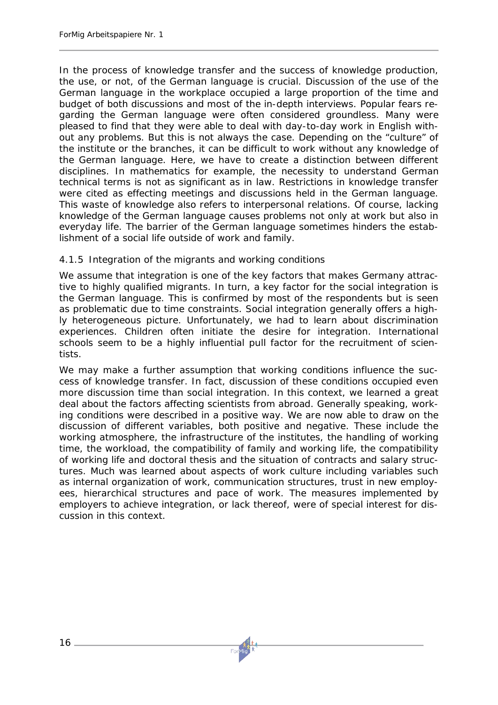In the process of knowledge transfer and the success of knowledge production, the use, or not, of the German language is crucial. Discussion of the use of the German language in the workplace occupied a large proportion of the time and budget of both discussions and most of the in-depth interviews. Popular fears regarding the German language were often considered groundless. Many were pleased to find that they were able to deal with day-to-day work in English without any problems. But this is not always the case. Depending on the "culture" of the institute or the branches, it can be difficult to work without any knowledge of the German language. Here, we have to create a distinction between different disciplines. In mathematics for example, the necessity to understand German technical terms is not as significant as in law. Restrictions in knowledge transfer were cited as effecting meetings and discussions held in the German language. This waste of knowledge also refers to interpersonal relations. Of course, lacking knowledge of the German language causes problems not only at work but also in everyday life. The barrier of the German language sometimes hinders the establishment of a social life outside of work and family.

### *4.1.5 Integration of the migrants and working conditions*

We assume that integration is one of the key factors that makes Germany attractive to highly qualified migrants. In turn, a key factor for the social integration is the German language. This is confirmed by most of the respondents but is seen as problematic due to time constraints. Social integration generally offers a highly heterogeneous picture. Unfortunately, we had to learn about discrimination experiences. Children often initiate the desire for integration. International schools seem to be a highly influential pull factor for the recruitment of scientists.

We may make a further assumption that working conditions influence the success of knowledge transfer. In fact, discussion of these conditions occupied even more discussion time than social integration. In this context, we learned a great deal about the factors affecting scientists from abroad. Generally speaking, working conditions were described in a positive way. We are now able to draw on the discussion of different variables, both positive and negative. These include the working atmosphere, the infrastructure of the institutes, the handling of working time, the workload, the compatibility of family and working life, the compatibility of working life and doctoral thesis and the situation of contracts and salary structures. Much was learned about aspects of work culture including variables such as internal organization of work, communication structures, trust in new employees, hierarchical structures and pace of work. The measures implemented by employers to achieve integration, or lack thereof, were of special interest for discussion in this context.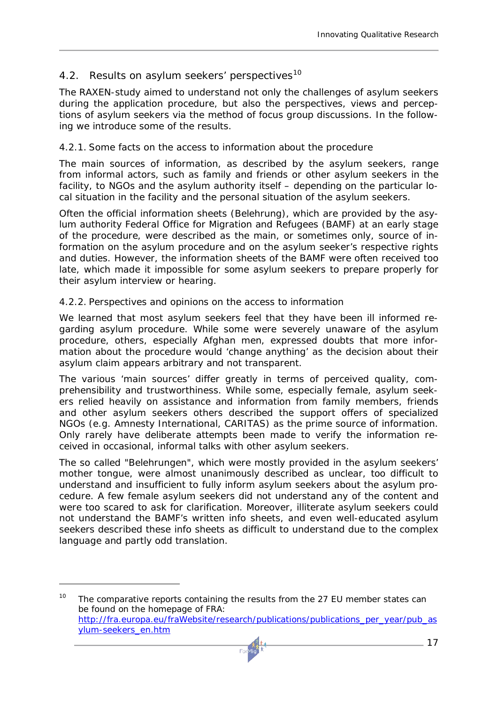# 4.2. Results on asylum seekers' perspectives<sup>[10](#page-16-0)</sup>

The RAXEN-study aimed to understand not only the challenges of asylum seekers during the application procedure, but also the perspectives, views and perceptions of asylum seekers via the method of focus group discussions. In the following we introduce some of the results.

### *4.2.1. Some facts on the access to information about the procedure*

The main sources of information, as described by the asylum seekers, range from informal actors, such as family and friends or other asylum seekers in the facility, to NGOs and the asylum authority itself – depending on the particular local situation in the facility and the personal situation of the asylum seekers.

Often the official information sheets (Belehrung), which are provided by the asylum authority Federal Office for Migration and Refugees (BAMF) at an early stage of the procedure, were described as the main, or sometimes only, source of information on the asylum procedure and on the asylum seeker's respective rights and duties. However, the information sheets of the BAMF were often received too late, which made it impossible for some asylum seekers to prepare properly for their asylum interview or hearing.

### *4.2.2. Perspectives and opinions on the access to information*

We learned that most asylum seekers feel that they have been ill informed regarding asylum procedure. While some were severely unaware of the asylum procedure, others, especially Afghan men, expressed doubts that more information about the procedure would 'change anything' as the decision about their asylum claim appears arbitrary and not transparent.

The various 'main sources' differ greatly in terms of perceived quality, comprehensibility and trustworthiness. While some, especially female, asylum seekers relied heavily on assistance and information from family members, friends and other asylum seekers others described the support offers of specialized NGOs (e.g. Amnesty International, CARITAS) as the prime source of information. Only rarely have deliberate attempts been made to verify the information received in occasional, informal talks with other asylum seekers.

The so called "Belehrungen", which were mostly provided in the asylum seekers' mother tongue, were almost unanimously described as unclear, too difficult to understand and insufficient to fully inform asylum seekers about the asylum procedure. A few female asylum seekers did not understand any of the content and were too scared to ask for clarification. Moreover, illiterate asylum seekers could not understand the BAMF's written info sheets, and even well-educated asylum seekers described these info sheets as difficult to understand due to the complex language and partly odd translation.

1

<span id="page-16-0"></span><sup>&</sup>lt;sup>10</sup> The comparative reports containing the results from the 27 EU member states can be found on the homepage of FRA: [http://fra.europa.eu/fraWebsite/research/publications/publications\\_per\\_year/pub\\_as](http://fra.europa.eu/fraWebsite/research/publications/publications_per_year/pub_asylum-seekers_en.htm) [ylum-seekers\\_en.htm](http://fra.europa.eu/fraWebsite/research/publications/publications_per_year/pub_asylum-seekers_en.htm)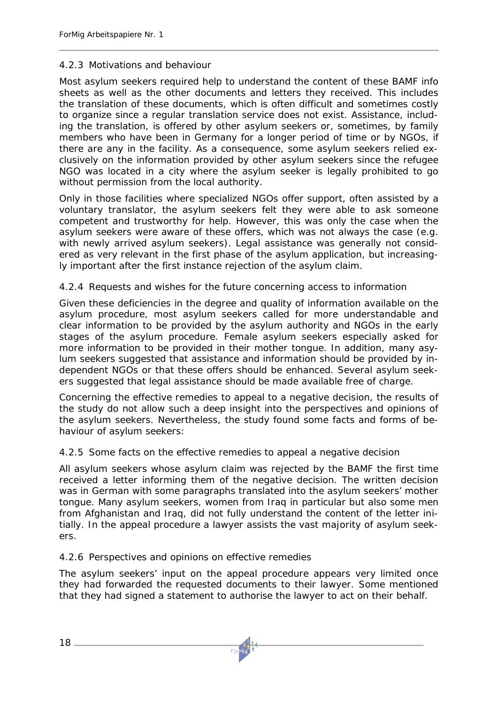### *4.2.3 Motivations and behaviour*

Most asylum seekers required help to understand the content of these BAMF info sheets as well as the other documents and letters they received. This includes the translation of these documents, which is often difficult and sometimes costly to organize since a regular translation service does not exist. Assistance, including the translation, is offered by other asylum seekers or, sometimes, by family members who have been in Germany for a longer period of time or by NGOs, if there are any in the facility. As a consequence, some asylum seekers relied exclusively on the information provided by other asylum seekers since the refugee NGO was located in a city where the asylum seeker is legally prohibited to go without permission from the local authority.

Only in those facilities where specialized NGOs offer support, often assisted by a voluntary translator, the asylum seekers felt they were able to ask someone competent and trustworthy for help. However, this was only the case when the asylum seekers were aware of these offers, which was not always the case (e.g. with newly arrived asylum seekers). Legal assistance was generally not considered as very relevant in the first phase of the asylum application, but increasingly important after the first instance rejection of the asylum claim.

#### *4.2.4 Requests and wishes for the future concerning access to information*

Given these deficiencies in the degree and quality of information available on the asylum procedure, most asylum seekers called for more understandable and clear information to be provided by the asylum authority and NGOs in the early stages of the asylum procedure. Female asylum seekers especially asked for more information to be provided in their mother tongue. In addition, many asylum seekers suggested that assistance and information should be provided by independent NGOs or that these offers should be enhanced. Several asylum seekers suggested that legal assistance should be made available free of charge.

Concerning the effective remedies to appeal to a negative decision, the results of the study do not allow such a deep insight into the perspectives and opinions of the asylum seekers. Nevertheless, the study found some facts and forms of behaviour of asylum seekers:

#### *4.2.5 Some facts on the effective remedies to appeal a negative decision*

All asylum seekers whose asylum claim was rejected by the BAMF the first time received a letter informing them of the negative decision. The written decision was in German with some paragraphs translated into the asylum seekers' mother tongue. Many asylum seekers, women from Iraq in particular but also some men from Afghanistan and Iraq, did not fully understand the content of the letter initially. In the appeal procedure a lawyer assists the vast majority of asylum seekers.

#### *4.2.6 Perspectives and opinions on effective remedies*

The asylum seekers' input on the appeal procedure appears very limited once they had forwarded the requested documents to their lawyer. Some mentioned that they had signed a statement to authorise the lawyer to act on their behalf.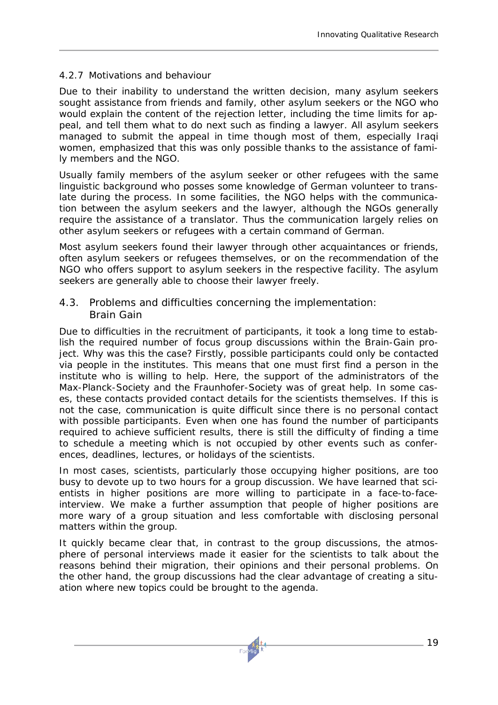#### *4.2.7 Motivations and behaviour*

Due to their inability to understand the written decision, many asylum seekers sought assistance from friends and family, other asylum seekers or the NGO who would explain the content of the rejection letter, including the time limits for appeal, and tell them what to do next such as finding a lawyer. All asylum seekers managed to submit the appeal in time though most of them, especially Iraqi women, emphasized that this was only possible thanks to the assistance of family members and the NGO.

Usually family members of the asylum seeker or other refugees with the same linguistic background who posses some knowledge of German volunteer to translate during the process. In some facilities, the NGO helps with the communication between the asylum seekers and the lawyer, although the NGOs generally require the assistance of a translator. Thus the communication largely relies on other asylum seekers or refugees with a certain command of German.

Most asylum seekers found their lawyer through other acquaintances or friends, often asylum seekers or refugees themselves, or on the recommendation of the NGO who offers support to asylum seekers in the respective facility. The asylum seekers are generally able to choose their lawyer freely.

#### 4.3. Problems and difficulties concerning the implementation: Brain Gain

Due to difficulties in the recruitment of participants, it took a long time to establish the required number of focus group discussions within the Brain-Gain project. Why was this the case? Firstly, possible participants could only be contacted via people in the institutes. This means that one must first find a person in the institute who is willing to help. Here, the support of the administrators of the Max-Planck-Society and the Fraunhofer-Society was of great help. In some cases, these contacts provided contact details for the scientists themselves. If this is not the case, communication is quite difficult since there is no personal contact with possible participants. Even when one has found the number of participants required to achieve sufficient results, there is still the difficulty of finding a time to schedule a meeting which is not occupied by other events such as conferences, deadlines, lectures, or holidays of the scientists.

In most cases, scientists, particularly those occupying higher positions, are too busy to devote up to two hours for a group discussion. We have learned that scientists in higher positions are more willing to participate in a face-to-faceinterview. We make a further assumption that people of higher positions are more wary of a group situation and less comfortable with disclosing personal matters within the group.

It quickly became clear that, in contrast to the group discussions, the atmosphere of personal interviews made it easier for the scientists to talk about the reasons behind their migration, their opinions and their personal problems. On the other hand, the group discussions had the clear advantage of creating a situation where new topics could be brought to the agenda.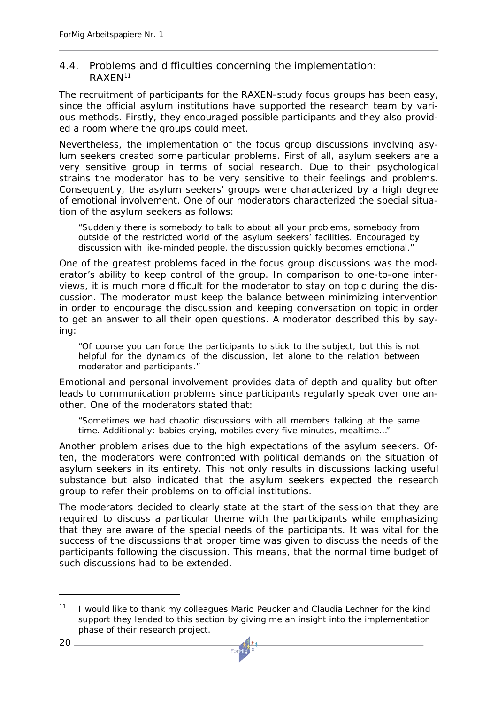#### 4.4. Problems and difficulties concerning the implementation: RAXEN[11](#page-19-0)

The recruitment of participants for the RAXEN-study focus groups has been easy, since the official asylum institutions have supported the research team by various methods. Firstly, they encouraged possible participants and they also provided a room where the groups could meet.

Nevertheless, the implementation of the focus group discussions involving asylum seekers created some particular problems. First of all, asylum seekers are a very sensitive group in terms of social research. Due to their psychological strains the moderator has to be very sensitive to their feelings and problems. Consequently, the asylum seekers' groups were characterized by a high degree of emotional involvement. One of our moderators characterized the special situation of the asylum seekers as follows:

"Suddenly there is somebody to talk to about all your problems, somebody from outside of the restricted world of the asylum seekers' facilities. Encouraged by discussion with like-minded people, the discussion quickly becomes emotional."

One of the greatest problems faced in the focus group discussions was the moderator's ability to keep control of the group. In comparison to one-to-one interviews, it is much more difficult for the moderator to stay on topic during the discussion. The moderator must keep the balance between minimizing intervention in order to encourage the discussion and keeping conversation on topic in order to get an answer to all their open questions. A moderator described this by saying:

"Of course you can force the participants to stick to the subject, but this is not helpful for the dynamics of the discussion, let alone to the relation between moderator and participants."

Emotional and personal involvement provides data of depth and quality but often leads to communication problems since participants regularly speak over one another. One of the moderators stated that:

"Sometimes we had chaotic discussions with all members talking at the same time. Additionally: babies crying, mobiles every five minutes, mealtime…"

Another problem arises due to the high expectations of the asylum seekers. Often, the moderators were confronted with political demands on the situation of asylum seekers in its entirety. This not only results in discussions lacking useful substance but also indicated that the asylum seekers expected the research group to refer their problems on to official institutions.

The moderators decided to clearly state at the start of the session that they are required to discuss a particular theme with the participants while emphasizing that they are aware of the special needs of the participants. It was vital for the success of the discussions that proper time was given to discuss the needs of the participants following the discussion. This means, that the normal time budget of such discussions had to be extended.

l

<span id="page-19-0"></span> $11$  I would like to thank my colleagues Mario Peucker and Claudia Lechner for the kind support they lended to this section by giving me an insight into the implementation phase of their research project.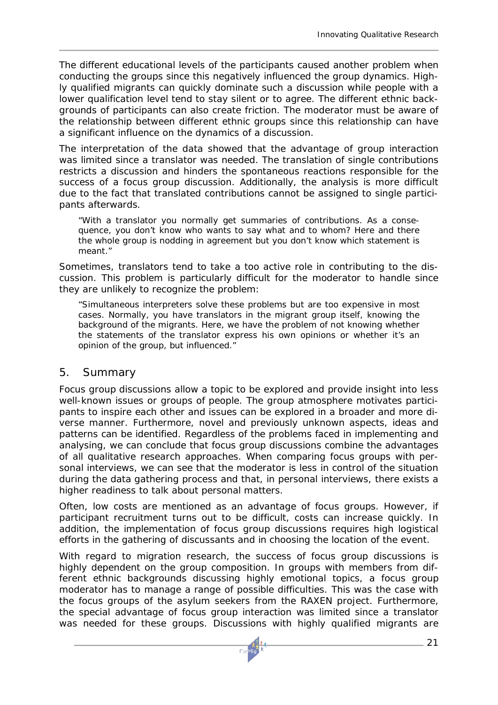The different educational levels of the participants caused another problem when conducting the groups since this negatively influenced the group dynamics. Highly qualified migrants can quickly dominate such a discussion while people with a lower qualification level tend to stay silent or to agree. The different ethnic backgrounds of participants can also create friction. The moderator must be aware of the relationship between different ethnic groups since this relationship can have a significant influence on the dynamics of a discussion.

The interpretation of the data showed that the advantage of group interaction was limited since a translator was needed. The translation of single contributions restricts a discussion and hinders the spontaneous reactions responsible for the success of a focus group discussion. Additionally, the analysis is more difficult due to the fact that translated contributions cannot be assigned to single participants afterwards.

"With a translator you normally get summaries of contributions. As a consequence, you don't know who wants to say what and to whom? Here and there the whole group is nodding in agreement but you don't know which statement is meant."

Sometimes, translators tend to take a too active role in contributing to the discussion. This problem is particularly difficult for the moderator to handle since they are unlikely to recognize the problem:

"Simultaneous interpreters solve these problems but are too expensive in most cases. Normally, you have translators in the migrant group itself, knowing the background of the migrants. Here, we have the problem of not knowing whether the statements of the translator express his own opinions or whether it's an opinion of the group, but influenced."

# 5. Summary

Focus group discussions allow a topic to be explored and provide insight into less well-known issues or groups of people. The group atmosphere motivates participants to inspire each other and issues can be explored in a broader and more diverse manner. Furthermore, novel and previously unknown aspects, ideas and patterns can be identified. Regardless of the problems faced in implementing and analysing, we can conclude that focus group discussions combine the advantages of all qualitative research approaches. When comparing focus groups with personal interviews, we can see that the moderator is less in control of the situation during the data gathering process and that, in personal interviews, there exists a higher readiness to talk about personal matters.

Often, low costs are mentioned as an advantage of focus groups. However, if participant recruitment turns out to be difficult, costs can increase quickly. In addition, the implementation of focus group discussions requires high logistical efforts in the gathering of discussants and in choosing the location of the event.

With regard to migration research, the success of focus group discussions is highly dependent on the group composition. In groups with members from different ethnic backgrounds discussing highly emotional topics, a focus group moderator has to manage a range of possible difficulties. This was the case with the focus groups of the asylum seekers from the RAXEN project. Furthermore, the special advantage of focus group interaction was limited since a translator was needed for these groups. Discussions with highly qualified migrants are

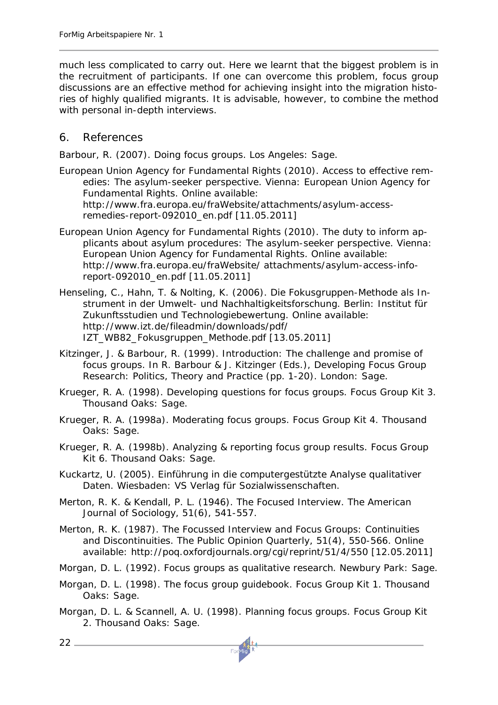much less complicated to carry out. Here we learnt that the biggest problem is in the recruitment of participants. If one can overcome this problem, focus group discussions are an effective method for achieving insight into the migration histories of highly qualified migrants. It is advisable, however, to combine the method with personal in-depth interviews.

# 6. References

Barbour, R. (2007). *Doing focus group*s. Los Angeles: Sage.

- European Union Agency for Fundamental Rights (2010). *Access to effective remedies: The asylum-seeker perspective*. Vienna: European Union Agency for Fundamental Rights. Online available: http://www.fra.europa.eu/fraWebsite/attachments/asylum-accessremedies-report-092010\_en.pdf [11.05.2011]
- European Union Agency for Fundamental Rights (2010). *The duty to inform applicants about asylum procedures: The asylum-seeker perspective*. Vienna: European Union Agency for Fundamental Rights. Online available: http://www.fra.europa.eu/fraWebsite/ attachments/asylum-access-inforeport-092010\_en.pdf [11.05.2011]
- Henseling, C., Hahn, T. & Nolting, K. (2006). *Die Fokusgruppen-Methode als Instrument in der Umwelt- und Nachhaltigkeitsforschung*. Berlin: Institut für Zukunftsstudien und Technologiebewertung. Online available: http://www.izt.de/fileadmin/downloads/pdf/ IZT\_WB82\_Fokusgruppen\_Methode.pdf [13.05.2011]
- Kitzinger, J. & Barbour, R. (1999). Introduction: The challenge and promise of focus groups. In R. Barbour & J. Kitzinger (Eds.), *Developing Focus Group Research: Politics, Theory and Practice* (pp. 1-20). London: Sage.
- Krueger, R. A. (1998). *Developing questions for focus groups*. *Focus Group Kit 3.* Thousand Oaks: Sage.
- Krueger, R. A. (1998a). *Moderating focus groups. Focus Group Kit 4.* Thousand Oaks: Sage.
- Krueger, R. A. (1998b). *Analyzing & reporting focus group results. Focus Group Kit 6.* Thousand Oaks: Sage.
- Kuckartz, U. (2005). *Einführung in die computergestützte Analyse qualitativer Daten*. Wiesbaden: VS Verlag für Sozialwissenschaften.
- Merton, R. K. & Kendall, P. L. (1946). The Focused Interview. *The American Journal of Sociology, 51*(6), 541-557.
- Merton, R. K. (1987). The Focussed Interview and Focus Groups: Continuities and Discontinuities. *The Public Opinion Quarterly, 51*(4)*,* 550-566. Online available: http://poq.oxfordjournals.org/cgi/reprint/51/4/550 [12.05.2011]
- Morgan, D. L. (1992). *Focus groups as qualitative research*. Newbury Park: Sage.
- Morgan, D. L. (1998). *The focus group guidebook*. *Focus Group Kit 1*. Thousand Oaks: Sage.
- Morgan, D. L. & Scannell, A. U. (1998). *Planning focus groups. Focus Group Kit 2.* Thousand Oaks: Sage.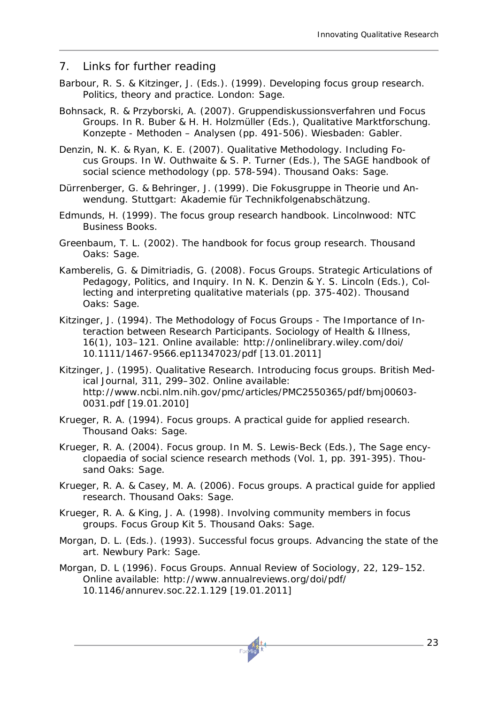# 7. Links for further reading

- Barbour, R. S. & Kitzinger, J. (Eds.). (1999). Developing focus group research. Politics, theory and practice. London: Sage.
- Bohnsack, R. & Przyborski, A. (2007). Gruppendiskussionsverfahren und Focus Groups. In R. Buber & H. H. Holzmüller (Eds.), Qualitative Marktforschung. Konzepte - Methoden – Analysen (pp. 491-506). Wiesbaden: Gabler.
- Denzin, N. K. & Ryan, K. E. (2007). Qualitative Methodology. Including Focus Groups. In W. Outhwaite & S. P. Turner (Eds.), The SAGE handbook of social science methodology (pp. 578-594). Thousand Oaks: Sage.
- Dürrenberger, G. & Behringer, J. (1999). Die Fokusgruppe in Theorie und Anwendung. Stuttgart: Akademie für Technikfolgenabschätzung.
- Edmunds, H. (1999). The focus group research handbook. Lincolnwood: NTC Business Books.
- Greenbaum, T. L. (2002). The handbook for focus group research. Thousand Oaks: Sage.
- Kamberelis, G. & Dimitriadis, G. (2008). Focus Groups. Strategic Articulations of Pedagogy, Politics, and Inquiry. In N. K. Denzin & Y. S. Lincoln (Eds.), Collecting and interpreting qualitative materials (pp. 375-402). Thousand Oaks: Sage.
- Kitzinger, J. (1994). The Methodology of Focus Groups The Importance of Interaction between Research Participants. Sociology of Health & Illness, 16(1), 103–121. Online available: http://onlinelibrary.wiley.com/doi/ 10.1111/1467-9566.ep11347023/pdf [13.01.2011]
- Kitzinger, J. (1995). Qualitative Research. Introducing focus groups. British Medical Journal, 311, 299–302. Online available: http://www.ncbi.nlm.nih.gov/pmc/articles/PMC2550365/pdf/bmj00603- 0031.pdf [19.01.2010]
- Krueger, R. A. (1994). Focus groups. A practical guide for applied research. Thousand Oaks: Sage.
- Krueger, R. A. (2004). Focus group. In M. S. Lewis-Beck (Eds.), The Sage encyclopaedia of social science research methods (Vol. 1, pp. 391-395). Thousand Oaks: Sage.
- Krueger, R. A. & Casey, M. A. (2006). Focus groups. A practical guide for applied research. Thousand Oaks: Sage.
- Krueger, R. A. & King, J. A. (1998). Involving community members in focus groups. Focus Group Kit 5. Thousand Oaks: Sage.
- Morgan, D. L. (Eds.). (1993). Successful focus groups. Advancing the state of the art. Newbury Park: Sage.
- Morgan, D. L (1996). Focus Groups. Annual Review of Sociology, 22, 129–152. Online available: http://www.annualreviews.org/doi/pdf/ 10.1146/annurev.soc.22.1.129 [19.01.2011]

For<sub>Mig</sub>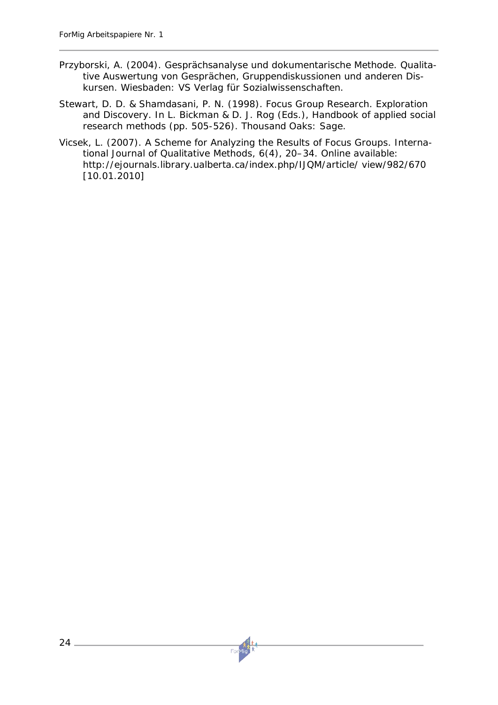- Przyborski, A. (2004). Gesprächsanalyse und dokumentarische Methode. Qualitative Auswertung von Gesprächen, Gruppendiskussionen und anderen Diskursen. Wiesbaden: VS Verlag für Sozialwissenschaften.
- Stewart, D. D. & Shamdasani, P. N. (1998). Focus Group Research. Exploration and Discovery. In L. Bickman & D. J. Rog (Eds.), Handbook of applied social research methods (pp. 505-526). Thousand Oaks: Sage.
- Vicsek, L. (2007). A Scheme for Analyzing the Results of Focus Groups. International Journal of Qualitative Methods, 6(4), 20–34. Online available: http://ejournals.library.ualberta.ca/index.php/IJQM/article/ view/982/670 [10.01.2010]

For<sub>Mig</sub>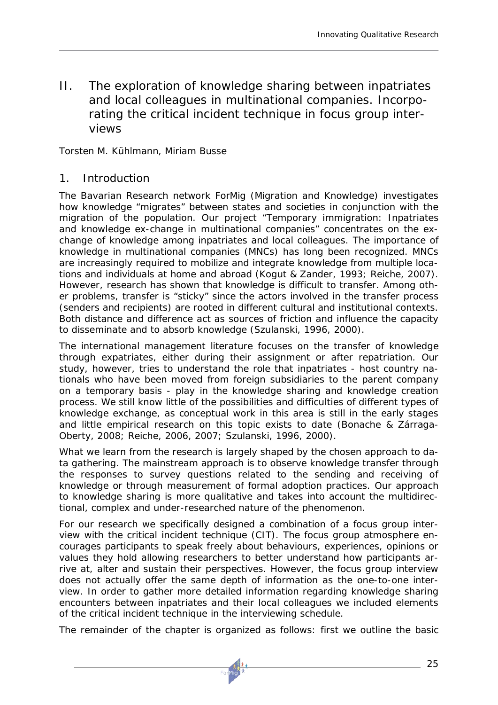<span id="page-24-0"></span>II. The exploration of knowledge sharing between inpatriates and local colleagues in multinational companies. Incorporating the critical incident technique in focus group interviews

#### <span id="page-24-1"></span>*Torsten M. Kühlmann, Miriam Busse*

# 1. Introduction

The Bavarian Research network ForMig (Migration and Knowledge) investigates how knowledge "migrates" between states and societies in conjunction with the migration of the population. Our project *"Temporary immigration: Inpatriates and knowledge ex-change in multinational companies"* concentrates on the exchange of knowledge among inpatriates and local colleagues. The importance of knowledge in multinational companies (MNCs) has long been recognized. MNCs are increasingly required to mobilize and integrate knowledge from multiple locations and individuals at home and abroad (Kogut & Zander, 1993; Reiche, 2007). However, research has shown that knowledge is difficult to transfer. Among other problems, transfer is "sticky" since the actors involved in the transfer process (senders and recipients) are rooted in different cultural and institutional contexts. Both distance and difference act as sources of friction and influence the capacity to disseminate and to absorb knowledge (Szulanski, 1996, 2000).

The international management literature focuses on the transfer of knowledge through expatriates, either during their assignment or after repatriation. Our study, however, tries to understand the role that inpatriates - host country nationals who have been moved from foreign subsidiaries to the parent company on a temporary basis - play in the knowledge sharing and knowledge creation process. We still know little of the possibilities and difficulties of different types of knowledge exchange, as conceptual work in this area is still in the early stages and little empirical research on this topic exists to date (Bonache & Zárraga-Oberty, 2008; Reiche, 2006, 2007; Szulanski, 1996, 2000).

What we learn from the research is largely shaped by the chosen approach to data gathering. The mainstream approach is to observe knowledge transfer through the responses to survey questions related to the sending and receiving of knowledge or through measurement of formal adoption practices. Our approach to knowledge sharing is more qualitative and takes into account the multidirectional, complex and under-researched nature of the phenomenon.

For our research we specifically designed a combination of a focus group interview with the critical incident technique (CIT). The focus group atmosphere encourages participants to speak freely about behaviours, experiences, opinions or values they hold allowing researchers to better understand how participants arrive at, alter and sustain their perspectives. However, the focus group interview does not actually offer the same depth of information as the one-to-one interview. In order to gather more detailed information regarding knowledge sharing encounters between inpatriates and their local colleagues we included elements of the critical incident technique in the interviewing schedule.

The remainder of the chapter is organized as follows: first we outline the basic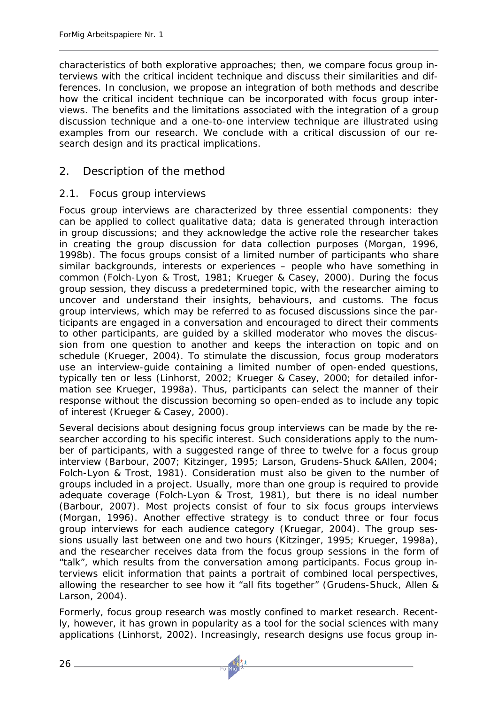characteristics of both explorative approaches; then, we compare focus group interviews with the critical incident technique and discuss their similarities and differences. In conclusion, we propose an integration of both methods and describe how the critical incident technique can be incorporated with focus group interviews. The benefits and the limitations associated with the integration of a group discussion technique and a one-to-one interview technique are illustrated using examples from our research. We conclude with a critical discussion of our research design and its practical implications.

# 2. Description of the method

### 2.1. Focus group interviews

Focus group interviews are characterized by three essential components: they can be applied to collect qualitative data; data is generated through interaction in group discussions; and they acknowledge the active role the researcher takes in creating the group discussion for data collection purposes (Morgan, 1996, 1998b). The focus groups consist of a limited number of participants who share similar backgrounds, interests or experiences – people who have something in common (Folch-Lyon & Trost, 1981; Krueger & Casey, 2000). During the focus group session, they discuss a predetermined topic, with the researcher aiming to uncover and understand their insights, behaviours, and customs. The focus group interviews, which may be referred to as focused discussions since the participants are engaged in a conversation and encouraged to direct their comments to other participants, are guided by a skilled moderator who moves the discussion from one question to another and keeps the interaction on topic and on schedule (Krueger, 2004). To stimulate the discussion, focus group moderators use an interview-guide containing a limited number of open-ended questions, typically ten or less (Linhorst, 2002; Krueger & Casey, 2000; for detailed information see Krueger, 1998a). Thus, participants can select the manner of their response without the discussion becoming so open-ended as to include any topic of interest (Krueger & Casey, 2000).

Several decisions about designing focus group interviews can be made by the researcher according to his specific interest. Such considerations apply to the number of participants, with a suggested range of three to twelve for a focus group interview (Barbour, 2007; Kitzinger, 1995; Larson, Grudens-Shuck &Allen, 2004; Folch-Lyon & Trost, 1981). Consideration must also be given to the number of groups included in a project. Usually, more than one group is required to provide adequate coverage (Folch-Lyon & Trost, 1981), but there is no ideal number (Barbour, 2007). Most projects consist of four to six focus groups interviews (Morgan, 1996). Another effective strategy is to conduct three or four focus group interviews for each audience category (Kruegar, 2004). The group sessions usually last between one and two hours (Kitzinger, 1995; Krueger, 1998a), and the researcher receives data from the focus group sessions in the form of "talk", which results from the conversation among participants. Focus group interviews elicit information that paints a portrait of combined local perspectives, allowing the researcher to see how it "all fits together" (Grudens-Shuck, Allen & Larson, 2004).

Formerly, focus group research was mostly confined to market research. Recently, however, it has grown in popularity as a tool for the social sciences with many applications (Linhorst, 2002). Increasingly, research designs use focus group in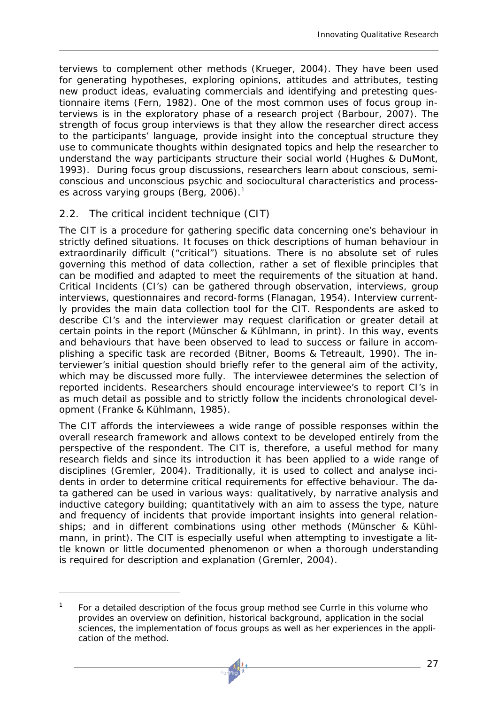terviews to complement other methods (Krueger, 2004). They have been used for generating hypotheses, exploring opinions, attitudes and attributes, testing new product ideas, evaluating commercials and identifying and pretesting questionnaire items (Fern, 1982). One of the most common uses of focus group interviews is in the exploratory phase of a research project (Barbour, 2007). The strength of focus group interviews is that they allow the researcher direct access to the participants' language, provide insight into the conceptual structure they use to communicate thoughts within designated topics and help the researcher to understand the way participants structure their social world (Hughes & DuMont, 1993). During focus group discussions, researchers learn about conscious, semiconscious and unconscious psychic and sociocultural characteristics and processes across varying groups (Berg, 2006). [1](#page-26-0)

### 2.2. The critical incident technique (CIT)

1

The CIT is a procedure for gathering specific data concerning one's behaviour in strictly defined situations. It focuses on thick descriptions of human behaviour in extraordinarily difficult ("critical") situations. There is no absolute set of rules governing this method of data collection, rather a set of flexible principles that can be modified and adapted to meet the requirements of the situation at hand. Critical Incidents (CI's) can be gathered through observation, interviews, group interviews, questionnaires and record-forms (Flanagan, 1954). Interview currently provides the main data collection tool for the CIT. Respondents are asked to describe CI's and the interviewer may request clarification or greater detail at certain points in the report (Münscher & Kühlmann, in print). In this way, events and behaviours that have been observed to lead to success or failure in accomplishing a specific task are recorded (Bitner, Booms & Tetreault, 1990). The interviewer's initial question should briefly refer to the general aim of the activity, which may be discussed more fully. The interviewee determines the selection of reported incidents. Researchers should encourage interviewee's to report CI's in as much detail as possible and to strictly follow the incidents chronological development (Franke & Kühlmann, 1985).

The CIT affords the interviewees a wide range of possible responses within the overall research framework and allows context to be developed entirely from the perspective of the respondent. The CIT is, therefore, a useful method for many research fields and since its introduction it has been applied to a wide range of disciplines (Gremler, 2004). Traditionally, it is used to collect and analyse incidents in order to determine critical requirements for effective behaviour. The data gathered can be used in various ways: qualitatively, by narrative analysis and inductive category building; quantitatively with an aim to assess the type, nature and frequency of incidents that provide important insights into general relationships; and in different combinations using other methods (Münscher & Kühlmann, in print). The CIT is especially useful when attempting to investigate a little known or little documented phenomenon or when a thorough understanding is required for description and explanation (Gremler, 2004).

<span id="page-26-0"></span> $1$  For a detailed description of the focus group method see Currle in this volume who provides an overview on definition, historical background, application in the social sciences, the implementation of focus groups as well as her experiences in the application of the method.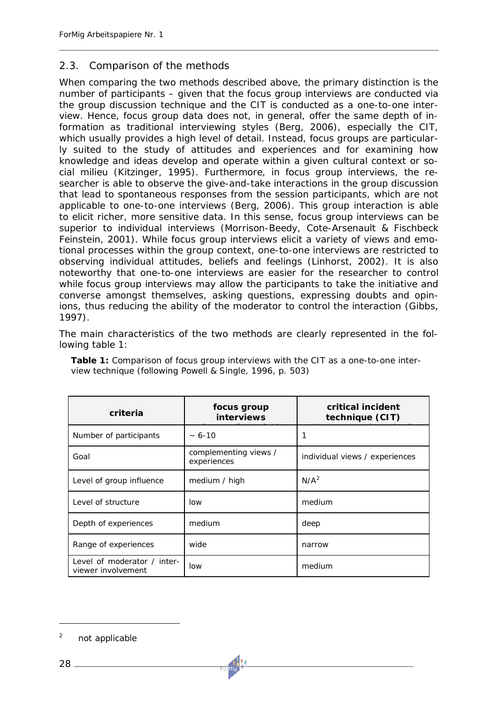#### 2.3. Comparison of the methods

When comparing the two methods described above, the primary distinction is the number of participants – given that the focus group interviews are conducted via the group discussion technique and the CIT is conducted as a one-to-one interview. Hence, focus group data does not, in general, offer the same depth of information as traditional interviewing styles (Berg, 2006), especially the CIT, which usually provides a high level of detail. Instead, focus groups are particularly suited to the study of attitudes and experiences and for examining how knowledge and ideas develop and operate within a given cultural context or social milieu (Kitzinger, 1995). Furthermore, in focus group interviews, the researcher is able to observe the give-and-take interactions in the group discussion that lead to spontaneous responses from the session participants, which are not applicable to one-to-one interviews (Berg, 2006). This group interaction is able to elicit richer, more sensitive data. In this sense, focus group interviews can be superior to individual interviews (Morrison-Beedy, Cote-Arsenault & Fischbeck Feinstein, 2001). While focus group interviews elicit a variety of views and emotional processes within the group context, one-to-one interviews are restricted to observing individual attitudes, beliefs and feelings (Linhorst, 2002). It is also noteworthy that one-to-one interviews are easier for the researcher to control while focus group interviews may allow the participants to take the initiative and converse amongst themselves, asking questions, expressing doubts and opinions, thus reducing the ability of the moderator to control the interaction (Gibbs, 1997).

The main characteristics of the two methods are clearly represented in the following table 1:

| criteria                                          | focus group<br><b>interviews</b>     | critical incident<br>technique (CIT) |
|---------------------------------------------------|--------------------------------------|--------------------------------------|
| Number of participants                            | ~10                                  | 1                                    |
| Goal                                              | complementing views /<br>experiences | individual views / experiences       |
| Level of group influence                          | medium / high                        | N/A <sup>2</sup>                     |
| Level of structure                                | low                                  | medium                               |
| Depth of experiences                              | medium                               | deep                                 |
| Range of experiences                              | wide                                 | narrow                               |
| Level of moderator / inter-<br>viewer involvement | low                                  | medium                               |

*Table 1: Comparison of focus group interviews with the CIT as a one-to-one interview technique (following Powell & Single, 1996, p. 503)*

-

<span id="page-27-0"></span><sup>&</sup>lt;sup>2</sup> not applicable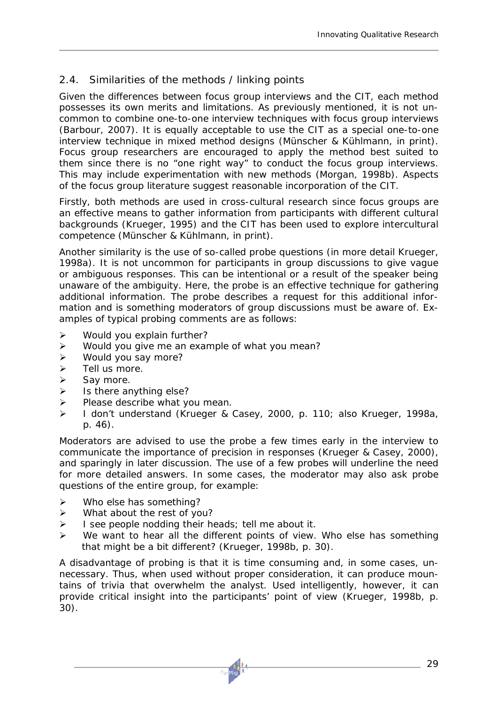# 2.4. Similarities of the methods / linking points

Given the differences between focus group interviews and the CIT, each method possesses its own merits and limitations. As previously mentioned, it is not uncommon to combine one-to-one interview techniques with focus group interviews (Barbour, 2007). It is equally acceptable to use the CIT as a special one-to-one interview technique in mixed method designs (Münscher & Kühlmann, in print). Focus group researchers are encouraged to apply the method best suited to them since there is no "one right way" to conduct the focus group interviews. This may include experimentation with new methods (Morgan, 1998b). Aspects of the focus group literature suggest reasonable incorporation of the CIT.

Firstly, both methods are used in cross-cultural research since focus groups are an effective means to gather information from participants with different cultural backgrounds (Krueger, 1995) and the CIT has been used to explore intercultural competence (Münscher & Kühlmann, in print).

Another similarity is the use of so-called probe questions (in more detail Krueger, 1998a). It is not uncommon for participants in group discussions to give vague or ambiguous responses. This can be intentional or a result of the speaker being unaware of the ambiguity. Here, the probe is an effective technique for gathering additional information. The probe describes a request for this additional information and is something moderators of group discussions must be aware of. Examples of typical probing comments are as follows:

- $\triangleright$  Would you explain further?
- $\triangleright$  Would you give me an example of what you mean?
- > Would you say more?
- > Tell us more.
- $\triangleright$  Say more.
- $\triangleright$  Is there anything else?
- $\triangleright$  Please describe what you mean.
- I don't understand (Krueger & Casey, 2000, p. 110; also Krueger, 1998a, p. 46).

Moderators are advised to use the probe a few times early in the interview to communicate the importance of precision in responses (Krueger & Casey, 2000), and sparingly in later discussion. The use of a few probes will underline the need for more detailed answers. In some cases, the moderator may also ask probe questions of the entire group, for example:

- > Who else has something?
- $\triangleright$  What about the rest of you?
- $\triangleright$  I see people nodding their heads; tell me about it.
- We want to hear all the different points of view. Who else has something that might be a bit different? (Krueger, 1998b, p. 30).

A disadvantage of probing is that it is time consuming and, in some cases, unnecessary. Thus, when used without proper consideration, it can produce mountains of trivia that overwhelm the analyst. Used intelligently, however, it can provide critical insight into the participants' point of view (Krueger, 1998b, p. 30).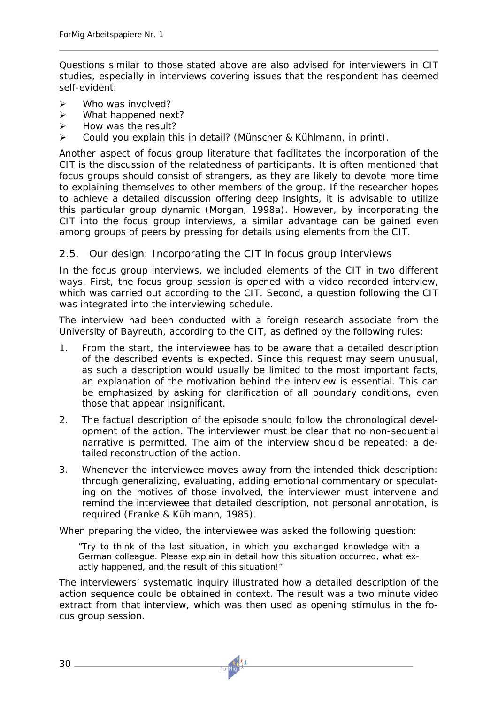Questions similar to those stated above are also advised for interviewers in CIT studies, especially in interviews covering issues that the respondent has deemed self-evident:

- Who was involved?
- What happened next?
- $\triangleright$  How was the result?
- Could you explain this in detail? (Münscher & Kühlmann, in print).

Another aspect of focus group literature that facilitates the incorporation of the CIT is the discussion of the relatedness of participants. It is often mentioned that focus groups should consist of strangers, as they are likely to devote more time to explaining themselves to other members of the group. If the researcher hopes to achieve a detailed discussion offering deep insights, it is advisable to utilize this particular group dynamic (Morgan, 1998a). However, by incorporating the CIT into the focus group interviews, a similar advantage can be gained even among groups of peers by pressing for details using elements from the CIT.

#### 2.5. Our design: Incorporating the CIT in focus group interviews

In the focus group interviews, we included elements of the CIT in two different ways. First, the focus group session is opened with a video recorded interview, which was carried out according to the CIT. Second, a question following the CIT was integrated into the interviewing schedule.

The interview had been conducted with a foreign research associate from the University of Bayreuth, according to the CIT, as defined by the following rules:

- 1. From the start, the interviewee has to be aware that a detailed description of the described events is expected. Since this request may seem unusual, as such a description would usually be limited to the most important facts, an explanation of the motivation behind the interview is essential. This can be emphasized by asking for clarification of all boundary conditions, even those that appear insignificant.
- 2. The factual description of the episode should follow the chronological development of the action. The interviewer must be clear that no non-sequential narrative is permitted. The aim of the interview should be repeated: a detailed reconstruction of the action.
- 3. Whenever the interviewee moves away from the intended thick description: through generalizing, evaluating, adding emotional commentary or speculating on the motives of those involved, the interviewer must intervene and remind the interviewee that detailed description, not personal annotation, is required (Franke & Kühlmann, 1985).

When preparing the video, the interviewee was asked the following question:

"Try to think of the last situation, in which you exchanged knowledge with a German colleague. Please explain in detail how this situation occurred, what exactly happened, and the result of this situation!"

The interviewers' systematic inquiry illustrated how a detailed description of the action sequence could be obtained in context. The result was a two minute video extract from that interview, which was then used as opening stimulus in the focus group session.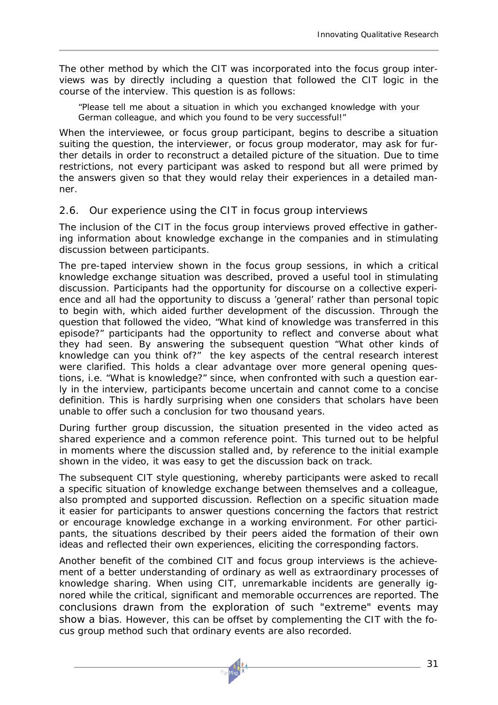The other method by which the CIT was incorporated into the focus group interviews was by directly including a question that followed the CIT logic in the course of the interview. This question is as follows:

"Please tell me about a situation in which you exchanged knowledge with your German colleague, and which you found to be very successful!"

When the interviewee, or focus group participant, begins to describe a situation suiting the question, the interviewer, or focus group moderator, may ask for further details in order to reconstruct a detailed picture of the situation. Due to time restrictions, not every participant was asked to respond but all were primed by the answers given so that they would relay their experiences in a detailed manner.

#### 2.6. Our experience using the CIT in focus group interviews

The inclusion of the CIT in the focus group interviews proved effective in gathering information about knowledge exchange in the companies and in stimulating discussion between participants.

The pre-taped interview shown in the focus group sessions, in which a critical knowledge exchange situation was described, proved a useful tool in stimulating discussion. Participants had the opportunity for discourse on a collective experience and all had the opportunity to discuss a 'general' rather than personal topic to begin with, which aided further development of the discussion. Through the question that followed the video, *"What kind of knowledge was transferred in this episode?"* participants had the opportunity to reflect and converse about what they had seen. By answering the subsequent question *"What other kinds of knowledge can you think of?"* the key aspects of the central research interest were clarified. This holds a clear advantage over more general opening questions, i.e. *"What is knowledge?*" since, when confronted with such a question early in the interview, participants become uncertain and cannot come to a concise definition. This is hardly surprising when one considers that scholars have been unable to offer such a conclusion for two thousand years.

During further group discussion, the situation presented in the video acted as shared experience and a common reference point. This turned out to be helpful in moments where the discussion stalled and, by reference to the initial example shown in the video, it was easy to get the discussion back on track.

The subsequent CIT style questioning, whereby participants were asked to recall a specific situation of knowledge exchange between themselves and a colleague, also prompted and supported discussion. Reflection on a specific situation made it easier for participants to answer questions concerning the factors that restrict or encourage knowledge exchange in a working environment. For other participants, the situations described by their peers aided the formation of their own ideas and reflected their own experiences, eliciting the corresponding factors.

Another benefit of the combined CIT and focus group interviews is the achievement of a better understanding of ordinary as well as extraordinary processes of knowledge sharing. When using CIT, unremarkable incidents are generally ignored while the critical, significant and memorable occurrences are reported. The conclusions drawn from the exploration of such "extreme" events may show a bias. However, this can be offset by complementing the CIT with the focus group method such that ordinary events are also recorded.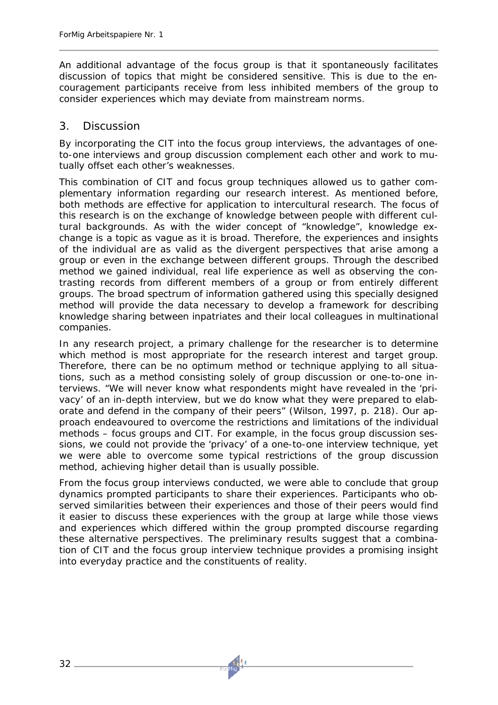An additional advantage of the focus group is that it spontaneously facilitates discussion of topics that might be considered sensitive. This is due to the encouragement participants receive from less inhibited members of the group to consider experiences which may deviate from mainstream norms.

## 3. Discussion

By incorporating the CIT into the focus group interviews, the advantages of oneto-one interviews and group discussion complement each other and work to mutually offset each other's weaknesses.

This combination of CIT and focus group techniques allowed us to gather complementary information regarding our research interest. As mentioned before, both methods are effective for application to intercultural research. The focus of this research is on the exchange of knowledge between people with different cultural backgrounds. As with the wider concept of "knowledge", knowledge exchange is a topic as vague as it is broad. Therefore, the experiences and insights of the individual are as valid as the divergent perspectives that arise among a group or even in the exchange between different groups. Through the described method we gained individual, real life experience as well as observing the contrasting records from different members of a group or from entirely different groups. The broad spectrum of information gathered using this specially designed method will provide the data necessary to develop a framework for describing knowledge sharing between inpatriates and their local colleagues in multinational companies.

In any research project, a primary challenge for the researcher is to determine which method is most appropriate for the research interest and target group. Therefore, there can be no optimum method or technique applying to all situations, such as a method consisting solely of group discussion or one-to-one interviews. "We will never know what respondents *might* have revealed in the 'privacy' of an in-depth interview, but we do know what they were prepared to *elaborate and defend* in the company of their peers" (Wilson, 1997, p. 218). Our approach endeavoured to overcome the restrictions and limitations of the individual methods – focus groups and CIT. For example, in the focus group discussion sessions, we could not provide the 'privacy' of a one-to-one interview technique, yet we were able to overcome some typical restrictions of the group discussion method, achieving higher detail than is usually possible.

From the focus group interviews conducted, we were able to conclude that group dynamics prompted participants to share their experiences. Participants who observed similarities between their experiences and those of their peers would find it easier to discuss these experiences with the group at large while those views and experiences which differed within the group prompted discourse regarding these alternative perspectives. The preliminary results suggest that a combination of CIT and the focus group interview technique provides a promising insight into everyday practice and the constituents of reality.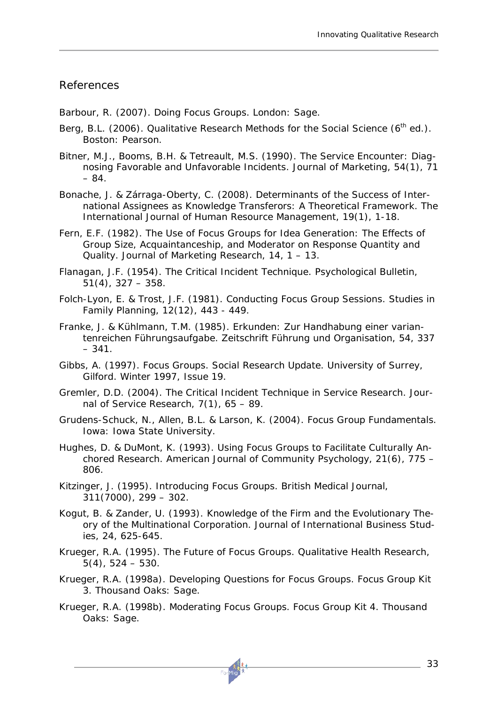#### References

Barbour, R. (2007). *Doing Focus Groups*. London: Sage.

- Berg, B.L. (2006). *Qualitative Research Methods for the Social Science* (6<sup>th</sup> ed.). Boston: Pearson.
- Bitner, M.J., Booms, B.H. & Tetreault, M.S. (1990). The Service Encounter: Diagnosing Favorable and Unfavorable Incidents. *Journal of Marketing, 54*(1), 71 – 84.
- Bonache, J. & Zárraga-Oberty, C. (2008). Determinants of the Success of International Assignees as Knowledge Transferors: A Theoretical Framework. *The International Journal of Human Resource Management, 19*(1)*,* 1-18.
- Fern, E.F. (1982). The Use of Focus Groups for Idea Generation: The Effects of Group Size, Acquaintanceship, and Moderator on Response Quantity and Quality. *Journal of Marketing Research, 14*, 1 – 13.
- Flanagan, J.F. (1954). The Critical Incident Technique. *Psychological Bulletin, 51*(4), 327 – 358.
- Folch-Lyon, E. & Trost, J.F. (1981). Conducting Focus Group Sessions. *Studies in Family Planning, 12*(12), 443 - 449.
- Franke, J. & Kühlmann, T.M. (1985). Erkunden: Zur Handhabung einer variantenreichen Führungsaufgabe. *Zeitschrift Führung und Organisation, 54*, 337 – 341.
- Gibbs, A. (1997). *Focus Groups. Social Research Update*. University of Surrey, Gilford. Winter 1997, Issue 19.
- Gremler, D.D. (2004). The Critical Incident Technique in Service Research. *Journal of Service Research, 7*(1), 65 – 89.
- Grudens-Schuck, N., Allen, B.L. & Larson, K. (2004). *Focus Group Fundamentals*. Iowa: Iowa State University.
- Hughes, D. & DuMont, K. (1993). Using Focus Groups to Facilitate Culturally Anchored Research. *American Journal of Community Psychology, 21*(6), 775 – 806.
- Kitzinger, J. (1995). Introducing Focus Groups. *British Medical Journal, 311*(7000), 299 – 302.
- Kogut, B. & Zander, U. (1993). Knowledge of the Firm and the Evolutionary Theory of the Multinational Corporation. *Journal of International Business Studies, 24,* 625-645.
- Krueger, R.A. (1995). The Future of Focus Groups. *Qualitative Health Research, 5*(4), 524 – 530.
- Krueger, R.A. (1998a). *Developing Questions for Focus Groups. Focus Group Kit 3*. Thousand Oaks: Sage.
- Krueger, R.A. (1998b). *Moderating Focus Groups. Focus Group Kit 4*. Thousand Oaks: Sage.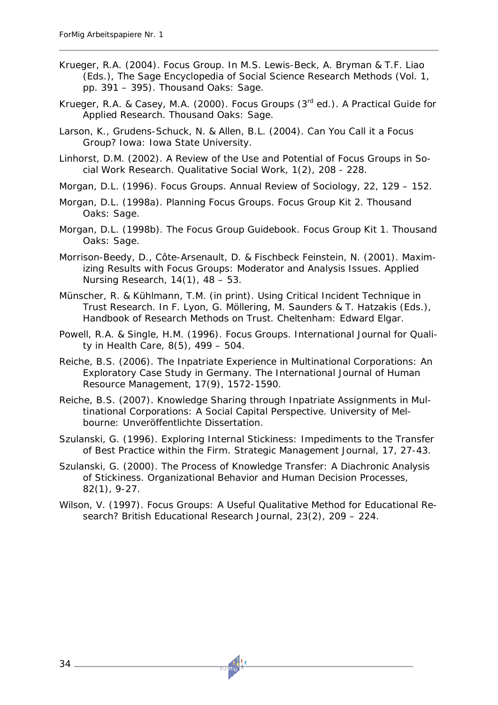- Krueger, R.A. (2004). Focus Group. In M.S. Lewis-Beck, A. Bryman & T.F. Liao (Eds.), *The Sage Encyclopedia of Social Science Research Methods* (Vol. 1, pp. 391 – 395). Thousand Oaks: Sage.
- Krueger, R.A. & Casey, M.A. (2000). *Focus Groups (3rd ed.). A Practical Guide for Applied Research*. Thousand Oaks: Sage.
- Larson, K., Grudens-Schuck, N. & Allen, B.L. (2004). *Can You Call it a Focus Group?* Iowa: Iowa State University.
- Linhorst, D.M. (2002). A Review of the Use and Potential of Focus Groups in Social Work Research. *Qualitative Social Work, 1*(2), 208 - 228.
- Morgan, D.L. (1996). Focus Groups. *Annual Review of Sociology, 22*, 129 152.
- Morgan, D.L. (1998a). *Planning Focus Groups. Focus Group Kit 2*. Thousand Oaks: Sage.
- Morgan, D.L. (1998b). *The Focus Group Guidebook. Focus Group Kit 1*. Thousand Oaks: Sage.
- Morrison-Beedy, D., Côte-Arsenault, D. & Fischbeck Feinstein, N. (2001). Maximizing Results with Focus Groups: Moderator and Analysis Issues. *Applied Nursing Research, 14*(1), 48 – 53.
- Münscher, R. & Kühlmann, T.M. (in print). Using Critical Incident Technique in Trust Research. In F. Lyon, G. Möllering, M. Saunders & T. Hatzakis (Eds.), *Handbook of Research Methods on Trust*. Cheltenham: Edward Elgar.
- Powell, R.A. & Single, H.M. (1996). Focus Groups. *International Journal for Quality in Health Care, 8*(5), 499 – 504.
- Reiche, B.S. (2006). The Inpatriate Experience in Multinational Corporations: An Exploratory Case Study in Germany. *The International Journal of Human Resource Management, 17*(9)*,* 1572-1590.
- Reiche, B.S. (2007). *Knowledge Sharing through Inpatriate Assignments in Multinational Corporations: A Social Capital Perspective.* University of Melbourne: Unveröffentlichte Dissertation.
- Szulanski, G. (1996). Exploring Internal Stickiness: Impediments to the Transfer of Best Practice within the Firm. *Strategic Management Journal, 17,* 27-43.
- Szulanski, G. (2000). The Process of Knowledge Transfer: A Diachronic Analysis of Stickiness. *Organizational Behavior and Human Decision Processes, 82*(1)*,* 9-27.
- Wilson, V. (1997). Focus Groups: A Useful Qualitative Method for Educational Research? *British Educational Research Journal, 23*(2), 209 – 224.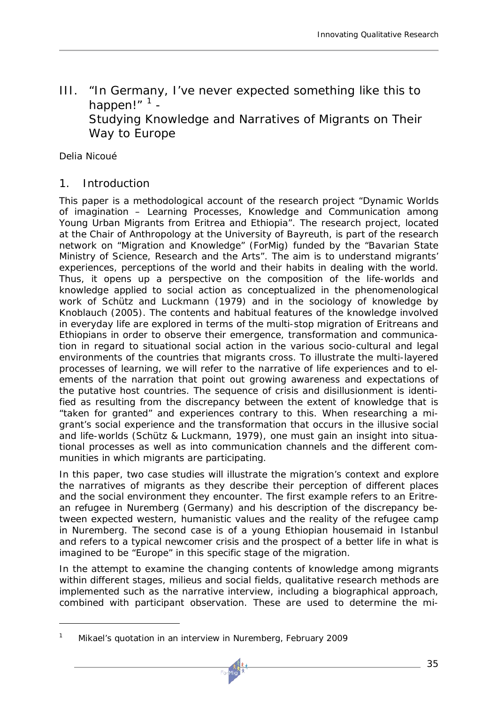<span id="page-34-0"></span>III. "In Germany, I've never expected something like this to happen!" $1 1 -$ Studying Knowledge and Narratives of Migrants on Their Way to Europe

## <span id="page-34-1"></span>*Delia Nicoué*

-

# 1. Introduction

This paper is a methodological account of the research project "Dynamic Worlds of imagination – Learning Processes, Knowledge and Communication among Young Urban Migrants from Eritrea and Ethiopia". The research project, located at the Chair of Anthropology at the University of Bayreuth, is part of the research network on "Migration and Knowledge" (ForMig) funded by the "Bavarian State Ministry of Science, Research and the Arts". The aim is to understand migrants' experiences, perceptions of the world and their habits in dealing with the world. Thus, it opens up a perspective on the composition of the life-worlds and knowledge applied to social action as conceptualized in the phenomenological work of Schütz and Luckmann (1979) and in the sociology of knowledge by Knoblauch (2005). The contents and habitual features of the knowledge involved in everyday life are explored in terms of the multi-stop migration of Eritreans and Ethiopians in order to observe their emergence, transformation and communication in regard to situational social action in the various socio-cultural and legal environments of the countries that migrants cross. To illustrate the multi-layered processes of learning, we will refer to the narrative of life experiences and to elements of the narration that point out growing awareness and expectations of the putative host countries. The sequence of crisis and disillusionment is identified as resulting from the discrepancy between the extent of knowledge that is "taken for granted" and experiences contrary to this. When researching a migrant's social experience and the transformation that occurs in the illusive social and life-worlds (Schütz & Luckmann, 1979), one must gain an insight into situational processes as well as into communication channels and the different communities in which migrants are participating.

In this paper, two case studies will illustrate the migration's context and explore the narratives of migrants as they describe their perception of different places and the social environment they encounter. The first example refers to an Eritrean refugee in Nuremberg (Germany) and his description of the discrepancy between expected western, humanistic values and the reality of the refugee camp in Nuremberg. The second case is of a young Ethiopian housemaid in Istanbul and refers to a typical newcomer crisis and the prospect of a better life in what is imagined to be "Europe" in this specific stage of the migration.

In the attempt to examine the changing contents of knowledge among migrants within different stages, milieus and social fields, qualitative research methods are implemented such as the narrative interview, including a biographical approach, combined with participant observation. These are used to determine the mi-

<span id="page-34-2"></span><sup>&</sup>lt;sup>1</sup> Mikael's quotation in an interview in Nuremberg, February 2009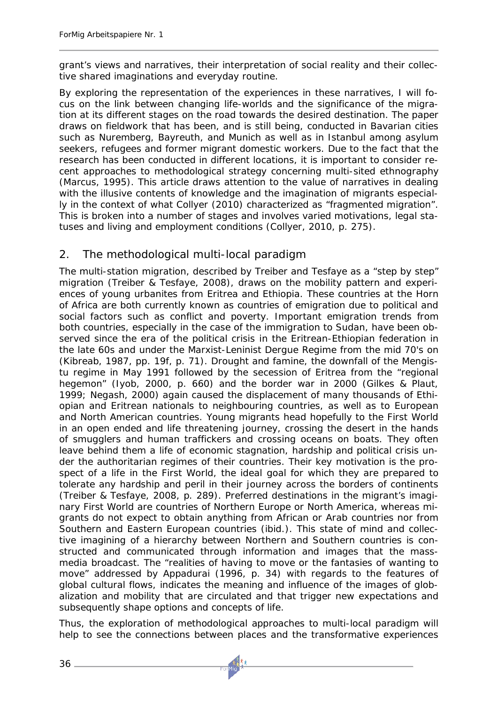grant's views and narratives, their interpretation of social reality and their collective shared imaginations and everyday routine.

By exploring the representation of the experiences in these narratives, I will focus on the link between changing life-worlds and the significance of the migration at its different stages on the road towards the desired destination. The paper draws on fieldwork that has been, and is still being, conducted in Bavarian cities such as Nuremberg, Bayreuth, and Munich as well as in Istanbul among asylum seekers, refugees and former migrant domestic workers. Due to the fact that the research has been conducted in different locations, it is important to consider recent approaches to methodological strategy concerning multi-sited ethnography (Marcus, 1995). This article draws attention to the value of narratives in dealing with the illusive contents of knowledge and the imagination of migrants especially in the context of what Collyer (2010) characterized as "fragmented migration". This is broken into a number of stages and involves varied motivations, legal statuses and living and employment conditions (Collyer, 2010, p. 275).

# 2. The methodological multi-local paradigm

The multi-station migration, described by Treiber and Tesfaye as a "step by step" migration (Treiber & Tesfaye, 2008), draws on the mobility pattern and experiences of young urbanites from Eritrea and Ethiopia. These countries at the Horn of Africa are both currently known as countries of emigration due to political and social factors such as conflict and poverty. Important emigration trends from both countries, especially in the case of the immigration to Sudan, have been observed since the era of the political crisis in the Eritrean-Ethiopian federation in the late 60s and under the Marxist-Leninist Dergue Regime from the mid 70's on (Kibreab, 1987, pp. 19f, p. 71). Drought and famine, the downfall of the Mengistu regime in May 1991 followed by the secession of Eritrea from the "regional hegemon" (Iyob, 2000, p. 660) and the border war in 2000 (Gilkes & Plaut, 1999; Negash, 2000) again caused the displacement of many thousands of Ethiopian and Eritrean nationals to neighbouring countries, as well as to European and North American countries. Young migrants head hopefully to the First World in an open ended and life threatening journey, crossing the desert in the hands of smugglers and human traffickers and crossing oceans on boats. They often leave behind them a life of economic stagnation, hardship and political crisis under the authoritarian regimes of their countries. Their key motivation is the prospect of a life in the First World, the ideal goal for which they are prepared to tolerate any hardship and peril in their journey across the borders of continents (Treiber & Tesfaye, 2008, p. 289). Preferred destinations in the migrant's imaginary First World are countries of Northern Europe or North America, whereas migrants do not expect to obtain anything from African or Arab countries nor from Southern and Eastern European countries (ibid.). This state of mind and collective imagining of a hierarchy between Northern and Southern countries is constructed and communicated through information and images that the massmedia broadcast. The "realities of having to move or the fantasies of wanting to move" addressed by Appadurai (1996, p. 34) with regards to the features of global cultural flows, indicates the meaning and influence of the images of globalization and mobility that are circulated and that trigger new expectations and subsequently shape options and concepts of life.

Thus, the exploration of methodological approaches to multi-local paradigm will help to see the connections between places and the transformative experiences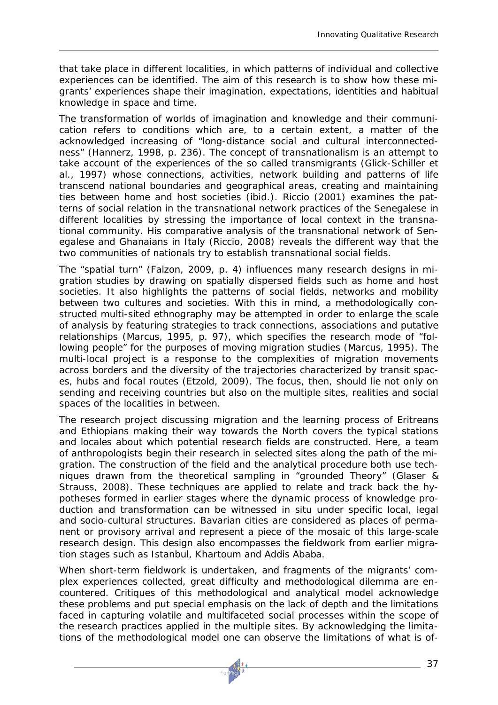that take place in different localities, in which patterns of individual and collective experiences can be identified. The aim of this research is to show how these migrants' experiences shape their imagination, expectations, identities and habitual knowledge in space and time.

The transformation of worlds of imagination and knowledge and their communication refers to conditions which are, to a certain extent, a matter of the acknowledged increasing of "long-distance social and cultural interconnectedness" (Hannerz, 1998, p. 236). The concept of transnationalism is an attempt to take account of the experiences of the so called transmigrants (Glick-Schiller et al., 1997) whose connections, activities, network building and patterns of life transcend national boundaries and geographical areas, creating and maintaining ties between home and host societies (ibid.). Riccio (2001) examines the patterns of social relation in the transnational network practices of the Senegalese in different localities by stressing the importance of local context in the transnational community. His comparative analysis of the transnational network of Senegalese and Ghanaians in Italy (Riccio, 2008) reveals the different way that the two communities of nationals try to establish transnational social fields.

The "spatial turn" (Falzon, 2009, p. 4) influences many research designs in migration studies by drawing on spatially dispersed fields such as home and host societies. It also highlights the patterns of social fields, networks and mobility between two cultures and societies. With this in mind, a methodologically constructed multi-sited ethnography may be attempted in order to enlarge the scale of analysis by featuring strategies to track connections, associations and putative relationships (Marcus, 1995, p. 97), which specifies the research mode of "following people" for the purposes of moving migration studies (Marcus, 1995). The multi-local project is a response to the complexities of migration movements across borders and the diversity of the trajectories characterized by transit spaces, hubs and focal routes (Etzold, 2009). The focus, then, should lie not only on sending and receiving countries but also on the multiple sites, realities and social spaces of the localities in between.

The research project discussing migration and the learning process of Eritreans and Ethiopians making their way towards the North covers the typical stations and locales about which potential research fields are constructed. Here, a team of anthropologists begin their research in selected sites along the path of the migration. The construction of the field and the analytical procedure both use techniques drawn from the theoretical sampling in "grounded Theory" (Glaser & Strauss, 2008). These techniques are applied to relate and track back the hypotheses formed in earlier stages where the dynamic process of knowledge production and transformation can be witnessed *in situ* under specific local, legal and socio-cultural structures. Bavarian cities are considered as places of permanent or provisory arrival and represent a piece of the mosaic of this large-scale research design. This design also encompasses the fieldwork from earlier migration stages such as Istanbul, Khartoum and Addis Ababa.

When short-term fieldwork is undertaken, and fragments of the migrants' complex experiences collected, great difficulty and methodological dilemma are encountered. Critiques of this methodological and analytical model acknowledge these problems and put special emphasis on the lack of depth and the limitations faced in capturing volatile and multifaceted social processes within the scope of the research practices applied in the multiple sites. By acknowledging the limitations of the methodological model one can observe the limitations of what is of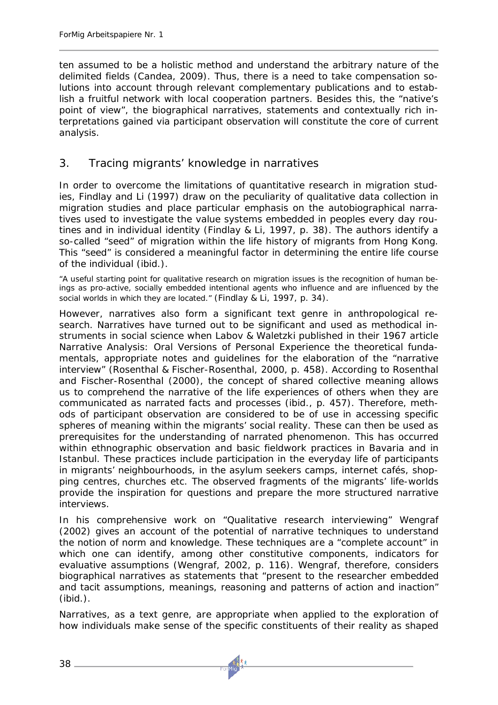ten assumed to be a holistic method and understand the arbitrary nature of the delimited fields (Candea, 2009). Thus, there is a need to take compensation solutions into account through relevant complementary publications and to establish a fruitful network with local cooperation partners. Besides this, the "native's point of view", the biographical narratives, statements and contextually rich interpretations gained via participant observation will constitute the core of current analysis.

### 3. Tracing migrants' knowledge in narratives

In order to overcome the limitations of quantitative research in migration studies, Findlay and Li (1997) draw on the peculiarity of qualitative data collection in migration studies and place particular emphasis on the autobiographical narratives used to investigate the value systems embedded in peoples every day routines and in individual identity (Findlay & Li, 1997, p. 38). The authors identify a so-called "seed" of migration within the life history of migrants from Hong Kong. This "seed" is considered a meaningful factor in determining the entire life course of the individual (ibid.).

*"A useful starting point for qualitative research on migration issues is the recognition of human beings as pro-active, socially embedded intentional agents who influence and are influenced by the social worlds in which they are located."* (Findlay & Li, 1997, p. 34).

However, narratives also form a significant text genre in anthropological research. Narratives have turned out to be significant and used as methodical instruments in social science when Labov & Waletzki published in their 1967 article *Narrative Analysis: Oral Versions of Personal Experience* the theoretical fundamentals, appropriate notes and guidelines for the elaboration of the "narrative interview" (Rosenthal & Fischer-Rosenthal, 2000, p. 458). According to Rosenthal and Fischer-Rosenthal (2000), the concept of shared collective meaning allows us to comprehend the narrative of the life experiences of others when they are communicated as narrated facts and processes (ibid., p. 457). Therefore, methods of participant observation are considered to be of use in accessing specific spheres of meaning within the migrants' social reality. These can then be used as prerequisites for the understanding of narrated phenomenon. This has occurred within ethnographic observation and basic fieldwork practices in Bavaria and in Istanbul. These practices include participation in the everyday life of participants in migrants' neighbourhoods, in the asylum seekers camps, internet cafés, shopping centres, churches etc. The observed fragments of the migrants' life-worlds provide the inspiration for questions and prepare the more structured narrative interviews.

In his comprehensive work on "Qualitative research interviewing" Wengraf (2002) gives an account of the potential of narrative techniques to understand the notion of norm and knowledge. These techniques are a "complete account" in which one can identify, among other constitutive components, indicators for evaluative assumptions (Wengraf, 2002, p. 116). Wengraf, therefore, considers biographical narratives as statements that "present to the researcher embedded and tacit assumptions, meanings, reasoning and patterns of action and inaction" (ibid.).

Narratives, as a text genre, are appropriate when applied to the exploration of how individuals make sense of the specific constituents of their reality as shaped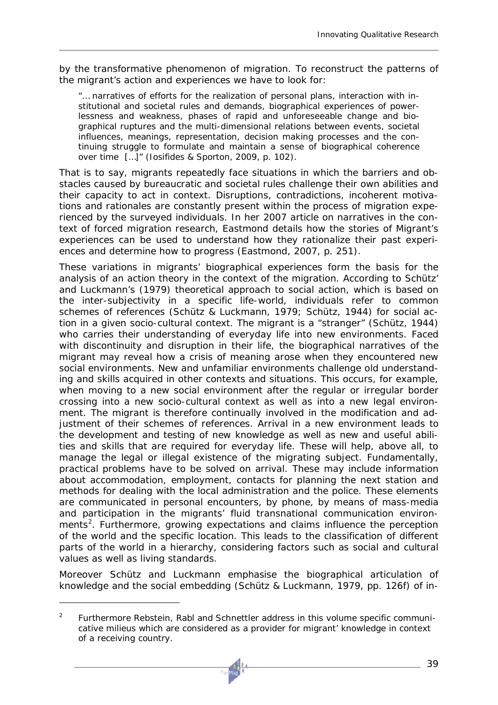by the transformative phenomenon of migration. To reconstruct the patterns of the migrant's action and experiences we have to look for:

"… narratives of efforts for the realization of personal plans, interaction with institutional and societal rules and demands, biographical experiences of powerlessness and weakness, phases of rapid and unforeseeable change and biographical ruptures and the multi-dimensional relations between events, societal influences, meanings, representation, decision making processes and the continuing struggle to formulate and maintain a sense of biographical coherence over time […]" (Iosifides & Sporton, 2009, p. 102).

That is to say, migrants repeatedly face situations in which the barriers and obstacles caused by bureaucratic and societal rules challenge their own abilities and their capacity to act in context. Disruptions, contradictions, incoherent motivations and rationales are constantly present within the process of migration experienced by the surveyed individuals. In her 2007 article on narratives in the context of forced migration research, Eastmond details how the stories of Migrant's experiences can be used to understand how they rationalize their past experiences and determine how to progress (Eastmond, 2007, p. 251).

These variations in migrants' biographical experiences form the basis for the analysis of an action theory in the context of the migration. According to Schütz' and Luckmann's (1979) theoretical approach to social action, which is based on the inter-subjectivity in a specific life-world, individuals refer to common schemes of references (Schütz & Luckmann, 1979; Schütz, 1944) for social action in a given socio-cultural context. The migrant is a "stranger" (Schütz, 1944) who carries their understanding of everyday life into new environments. Faced with discontinuity and disruption in their life, the biographical narratives of the migrant may reveal how a crisis of meaning arose when they encountered new social environments. New and unfamiliar environments challenge old understanding and skills acquired in other contexts and situations. This occurs, for example, when moving to a new social environment after the regular or irregular border crossing into a new socio-cultural context as well as into a new legal environment. The migrant is therefore continually involved in the modification and adjustment of their schemes of references. Arrival in a new environment leads to the development and testing of new knowledge as well as new and useful abilities and skills that are required for everyday life. These will help, above all, to manage the legal or illegal existence of the migrating subject. Fundamentally, practical problems have to be solved on arrival. These may include information about accommodation, employment, contacts for planning the next station and methods for dealing with the local administration and the police. These elements are communicated in personal encounters, by phone, by means of mass-media and participation in the migrants' fluid transnational communication environ-ments<sup>[2](#page-38-0)</sup>. Furthermore, growing expectations and claims influence the perception of the world and the specific location. This leads to the classification of different parts of the world in a hierarchy, considering factors such as social and cultural values as well as living standards.

Moreover Schütz and Luckmann emphasise the biographical articulation of knowledge and the social embedding (Schütz & Luckmann, 1979, pp. 126f) of in-

1

<span id="page-38-0"></span><sup>&</sup>lt;sup>2</sup> Furthermore Rebstein, Rabl and Schnettler address in this volume specific communicative milieus which are considered as a provider for migrant' knowledge in context of a receiving country.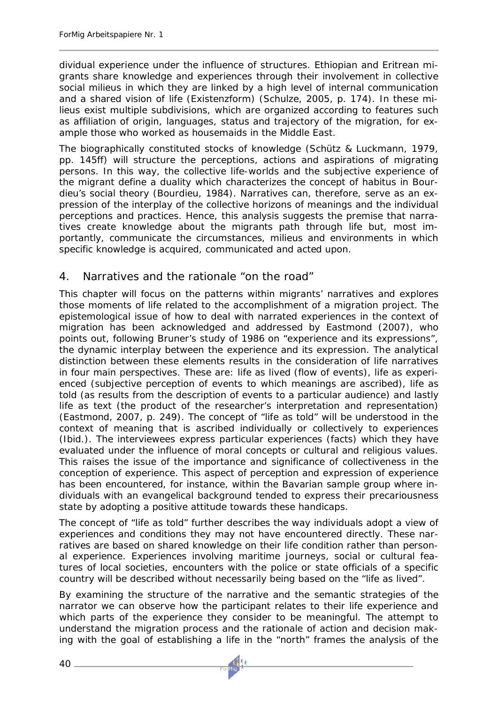dividual experience under the influence of structures. Ethiopian and Eritrean migrants share knowledge and experiences through their involvement in collective social milieus in which they are linked by a high level of internal communication and a shared vision of life (*Existenzform*) (Schulze, 2005, p. 174). In these milieus exist multiple subdivisions, which are organized according to features such as affiliation of origin, languages, status and trajectory of the migration, for example those who worked as housemaids in the Middle East.

The biographically constituted stocks of knowledge (Schütz & Luckmann, 1979, pp. 145ff) will structure the perceptions, actions and aspirations of migrating persons. In this way, the collective life-worlds and the subjective experience of the migrant define a duality which characterizes the concept of habitus in Bourdieu's social theory (Bourdieu, 1984). Narratives can, therefore, serve as an expression of the interplay of the collective horizons of meanings and the individual perceptions and practices. Hence, this analysis suggests the premise that narratives create knowledge about the migrants path through life but, most importantly, communicate the circumstances, milieus and environments in which specific knowledge is acquired, communicated and acted upon.

### 4. Narratives and the rationale "on the road"

This chapter will focus on the patterns within migrants' narratives and explores those moments of life related to the accomplishment of a migration project. The epistemological issue of how to deal with narrated experiences in the context of migration has been acknowledged and addressed by Eastmond (2007), who points out, following Bruner's study of 1986 on "experience and its expressions", the dynamic interplay between the experience and its expression. The analytical distinction between these elements results in the consideration of life narratives in four main perspectives. These are: *life as lived* (flow of events), *life as experienced* (subjective perception of events to which meanings are ascribed), *life as told* (as results from the description of events to a particular audience) and lastly *life as text* (the product of the researcher's interpretation and representation) (Eastmond, 2007, p. 249). The concept of "life as told" will be understood in the context of meaning that is ascribed individually or collectively to experiences (Ibid.). The interviewees express particular experiences (facts) which they have evaluated under the influence of moral concepts or cultural and religious values. This raises the issue of the importance and significance of collectiveness in the conception of experience. This aspect of perception and expression of experience has been encountered, for instance, within the Bavarian sample group where individuals with an evangelical background tended to express their precariousness state by adopting a positive attitude towards these handicaps.

The concept of "life as told" further describes the way individuals adopt a view of experiences and conditions they may not have encountered directly. These narratives are based on shared knowledge on their life condition rather than personal experience. Experiences involving maritime journeys, social or cultural features of local societies, encounters with the police or state officials of a specific country will be described without necessarily being based on the "life as lived".

By examining the structure of the narrative and the semantic strategies of the narrator we can observe how the participant relates to their life experience and which parts of the experience they consider to be meaningful. The attempt to understand the migration process and the rationale of action and decision making with the goal of establishing a life in the "north" frames the analysis of the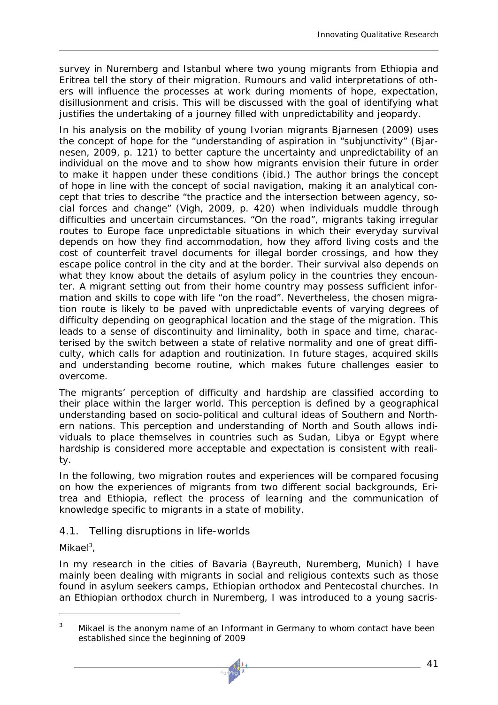survey in Nuremberg and Istanbul where two young migrants from Ethiopia and Eritrea tell the story of their migration. Rumours and valid interpretations of others will influence the processes at work during moments of hope, expectation, disillusionment and crisis. This will be discussed with the goal of identifying what justifies the undertaking of a journey filled with unpredictability and jeopardy.

In his analysis on the mobility of young Ivorian migrants Bjarnesen (2009) uses the concept of *hope* for the "understanding of aspiration in "subjunctivity" (Bjarnesen, 2009, p. 121) to better capture the uncertainty and unpredictability of an individual on the move and to show how migrants envision their future in order to make it happen under these conditions (ibid.) The author brings the concept of hope in line with the concept of *social navigation,* making it an analytical concept that tries to describe "the practice and the intersection between agency, social forces and change" (Vigh, 2009, p. 420) when individuals muddle through difficulties and uncertain circumstances. "On the road", migrants taking irregular routes to Europe face unpredictable situations in which their everyday survival depends on how they find accommodation, how they afford living costs and the cost of counterfeit travel documents for illegal border crossings, and how they escape police control in the city and at the border. Their survival also depends on what they know about the details of asylum policy in the countries they encounter. A migrant setting out from their home country may possess sufficient information and skills to cope with life "on the road". Nevertheless, the chosen migration route is likely to be paved with unpredictable events of varying degrees of difficulty depending on geographical location and the stage of the migration. This leads to a sense of discontinuity and liminality, both in space and time, characterised by the switch between a state of relative normality and one of great difficulty, which calls for adaption and routinization. In future stages, acquired skills and understanding become routine, which makes future challenges easier to overcome.

The migrants' perception of difficulty and hardship are classified according to their place within the larger world. This perception is defined by a geographical understanding based on socio-political and cultural ideas of Southern and Northern nations. This perception and understanding of North and South allows individuals to place themselves in countries such as Sudan, Libya or Egypt where hardship is considered more acceptable and expectation is consistent with reality.

In the following, two migration routes and experiences will be compared focusing on how the experiences of migrants from two different social backgrounds, Eritrea and Ethiopia, reflect the process of learning and the communication of knowledge specific to migrants in a state of mobility.

### 4.1. Telling disruptions in life-worlds

### *Mikael*[3](#page-40-0) *,*

l

In my research in the cities of Bavaria (Bayreuth, Nuremberg, Munich) I have mainly been dealing with migrants in social and religious contexts such as those found in asylum seekers camps, Ethiopian orthodox and Pentecostal churches. In an Ethiopian orthodox church in Nuremberg, I was introduced to a young sacris-

<span id="page-40-0"></span> $3$  Mikael is the anonym name of an Informant in Germany to whom contact have been established since the beginning of 2009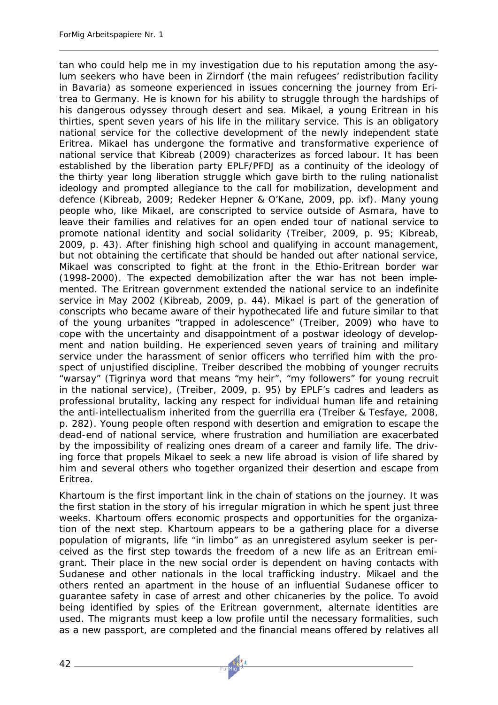tan who could help me in my investigation due to his reputation among the asylum seekers who have been in Zirndorf (the main refugees' redistribution facility in Bavaria) as someone experienced in issues concerning the journey from Eritrea to Germany. He is known for his ability to struggle through the hardships of his dangerous odyssey through desert and sea. Mikael, a young Eritrean in his thirties, spent seven years of his life in the military service. This is an obligatory national service for the collective development of the newly independent state Eritrea. Mikael has undergone the formative and transformative experience of national service that Kibreab (2009) characterizes as forced labour. It has been established by the liberation party EPLF/PFDJ as a continuity of the ideology of the thirty year long liberation struggle which gave birth to the ruling nationalist ideology and prompted allegiance to the call for mobilization, development and defence (Kibreab, 2009; Redeker Hepner & O'Kane, 2009, pp. ixf). Many young people who, like Mikael, are conscripted to service outside of Asmara, have to leave their families and relatives for an open ended tour of national service to promote national identity and social solidarity (Treiber, 2009, p. 95; Kibreab, 2009, p. 43). After finishing high school and qualifying in account management, but not obtaining the certificate that should be handed out after national service, Mikael was conscripted to fight at the front in the Ethio-Eritrean border war (1998-2000). The expected demobilization after the war has not been implemented. The Eritrean government extended the national service to an indefinite service in May 2002 (Kibreab, 2009, p. 44). Mikael is part of the generation of conscripts who became aware of their hypothecated life and future similar to that of the young urbanites "trapped in adolescence" (Treiber, 2009) who have to cope with the uncertainty and disappointment of a postwar ideology of development and nation building. He experienced seven years of training and military service under the harassment of senior officers who terrified him with the prospect of unjustified discipline. Treiber described the mobbing of younger recruits "warsay" (Tigrinya word that means "my heir", "my followers" for young recruit in the national service), (Treiber, 2009, p. 95) by EPLF's cadres and leaders as professional brutality, lacking any respect for individual human life and retaining the anti-intellectualism inherited from the guerrilla era (Treiber & Tesfaye, 2008, p. 282). Young people often respond with desertion and emigration to escape the dead-end of national service, where frustration and humiliation are exacerbated by the impossibility of realizing ones dream of a career and family life. The driving force that propels Mikael to seek a new life abroad is vision of life shared by him and several others who together organized their desertion and escape from Eritrea.

Khartoum is the first important link in the chain of stations on the journey. It was the first station in the story of his irregular migration in which he spent just three weeks. Khartoum offers economic prospects and opportunities for the organization of the next step. Khartoum appears to be a gathering place for a diverse population of migrants, life "in limbo" as an unregistered asylum seeker is perceived as the first step towards the freedom of a new life as an Eritrean emigrant. Their place in the new social order is dependent on having contacts with Sudanese and other nationals in the local trafficking industry. Mikael and the others rented an apartment in the house of an influential Sudanese officer to guarantee safety in case of arrest and other chicaneries by the police. To avoid being identified by spies of the Eritrean government, alternate identities are used. The migrants must keep a low profile until the necessary formalities, such as a new passport, are completed and the financial means offered by relatives all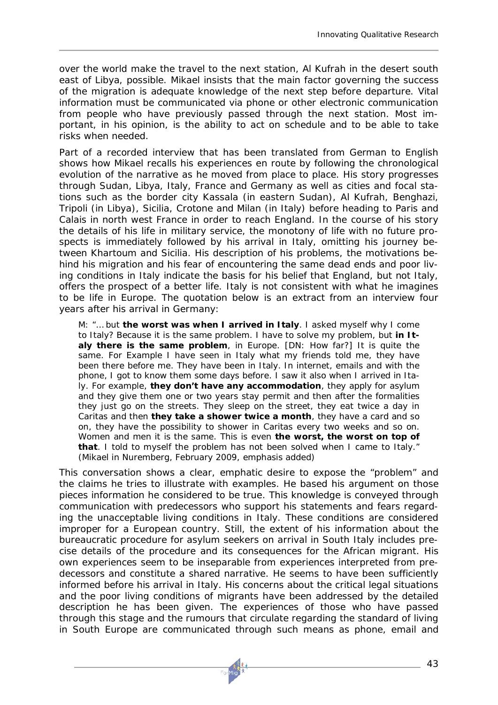over the world make the travel to the next station, Al Kufrah in the desert south east of Libya, possible. Mikael insists that the main factor governing the success of the migration is adequate knowledge of the next step before departure. Vital information must be communicated via phone or other electronic communication from people who have previously passed through the next station. Most important, in his opinion, is the ability to act on schedule and to be able to take risks when needed.

Part of a recorded interview that has been translated from German to English shows how Mikael recalls his experiences en route by following the chronological evolution of the narrative as he moved from place to place. His story progresses through Sudan, Libya, Italy, France and Germany as well as cities and focal stations such as the border city Kassala (in eastern Sudan), Al Kufrah, Benghazi, Tripoli (in Libya), Sicilia, Crotone and Milan (in Italy) before heading to Paris and Calais in north west France in order to reach England. In the course of his story the details of his life in military service, the monotony of life with no future prospects is immediately followed by his arrival in Italy, omitting his journey between Khartoum and Sicilia. His description of his problems, the motivations behind his migration and his fear of encountering the same dead ends and poor living conditions in Italy indicate the basis for his belief that England, but not Italy, offers the prospect of a better life. Italy is not consistent with what he imagines to be life in Europe. The quotation below is an extract from an interview four years after his arrival in Germany:

M: "… but *the worst* **was when I arrived in Italy**. I asked myself why I come to Italy? Because *it is the same problem*. I have to solve my problem, but *in Italy there is the same problem, in Europe*. [DN: How far?] It is quite the same. For Example I have seen in Italy what my friends told me, they have been there before me. They have been in Italy. In internet, emails and with the phone, I got to know them some days before. I saw it also when I arrived in Italy. For example, **they don't have any accommodation**, they apply for asylum and they give them one or two years stay permit and then after the formalities they just go on the streets. They sleep on the street, they eat twice a day in Caritas and then **they take a shower twice a month**, they have a card and so on, they have the possibility to shower in Caritas every two weeks and so on. Women and men it is the same. This is even **the worst, the worst on top of that**. I told to myself the problem has not been solved when I came to Italy." (Mikael in Nuremberg, February 2009, emphasis added)

This conversation shows a clear, emphatic desire to expose the "problem" and the claims he tries to illustrate with examples. He based his argument on those pieces information he considered to be true. This knowledge is conveyed through communication with predecessors who support his statements and fears regarding the unacceptable living conditions in Italy. These conditions are considered improper for a European country. Still, the extent of his information about the bureaucratic procedure for asylum seekers on arrival in South Italy includes precise details of the procedure and its consequences for the African migrant. His own experiences seem to be inseparable from experiences interpreted from predecessors and constitute a shared narrative. He seems to have been sufficiently informed before his arrival in Italy. His concerns about the critical legal situations and the poor living conditions of migrants have been addressed by the detailed description he has been given. The experiences of those who have passed through this stage and the rumours that circulate regarding the standard of living in South Europe are communicated through such means as phone, email and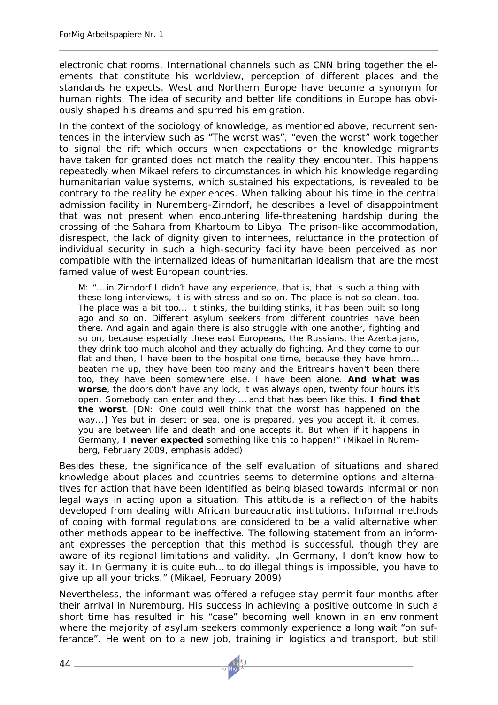electronic chat rooms. International channels such as CNN bring together the elements that constitute his worldview, perception of different places and the standards he expects. West and Northern Europe have become a synonym for human rights. The idea of security and better life conditions in Europe has obviously shaped his dreams and spurred his emigration.

In the context of the sociology of knowledge, as mentioned above, recurrent sentences in the interview such as "The worst was", "even the worst" work together to signal the rift which occurs when expectations or the knowledge migrants have taken for granted does not match the reality they encounter. This happens repeatedly when Mikael refers to circumstances in which his knowledge regarding humanitarian value systems, which sustained his expectations, is revealed to be contrary to the reality he experiences. When talking about his time in the central admission facility in Nuremberg-Zirndorf, he describes a level of disappointment that was not present when encountering life-threatening hardship during the crossing of the Sahara from Khartoum to Libya. The prison-like accommodation, disrespect, the lack of dignity given to internees, reluctance in the protection of individual security in such a high-security facility have been perceived as non compatible with the internalized ideas of humanitarian idealism that are the most famed value of west European countries.

M: "… in *Zirndorf I didn't have any experience*, that is, that is such a thing with these long interviews, it is with stress and so on. The place is not so clean, too. The place was a bit too... it stinks, the building stinks, it has been built so long ago and so on. Different asylum seekers from different countries have been there. And again and again there is also struggle with one another, fighting and so on, because especially these east Europeans, the Russians, the Azerbaijans, they drink too much alcohol and they actually do fighting. And they come to our flat and then, I have been to the hospital one time, because they have hmm... beaten me up, they have been too many and the Eritreans haven't been there too, they have been somewhere else. I have been alone. **And what was worse**, the doors don't have any lock, it was always open, twenty four hours it's open. Somebody can enter and they … and that has been like this. **I find that the worst**. [DN: One could well think that the worst has happened on the way...] Yes but in desert or sea, one is prepared, yes you accept it, it comes, you are between life and death and one accepts it. But when if it happens in Germany, **I never expected** something like this to happen!" (Mikael in Nuremberg, February 2009, emphasis added)

Besides these, the significance of the self evaluation of situations and shared knowledge about places and countries seems to determine options and alternatives for action that have been identified as being biased towards informal or non legal ways in acting upon a situation. This attitude is a reflection of the habits developed from dealing with African bureaucratic institutions. Informal methods of coping with formal regulations are considered to be a valid alternative when other methods appear to be ineffective. The following statement from an informant expresses the perception that this method is successful, though they are aware of its regional limitations and validity. *"In Germany, I don't know how to say it. In Germany it is quite euh… to do illegal things is impossible, you have to give up all your tricks."* (Mikael, February 2009)

Nevertheless, the informant was offered a refugee stay permit four months after their arrival in Nuremburg. His success in achieving a positive outcome in such a short time has resulted in his "case" becoming well known in an environment where the majority of asylum seekers commonly experience a long wait "on sufferance". He went on to a new job, training in logistics and transport, but still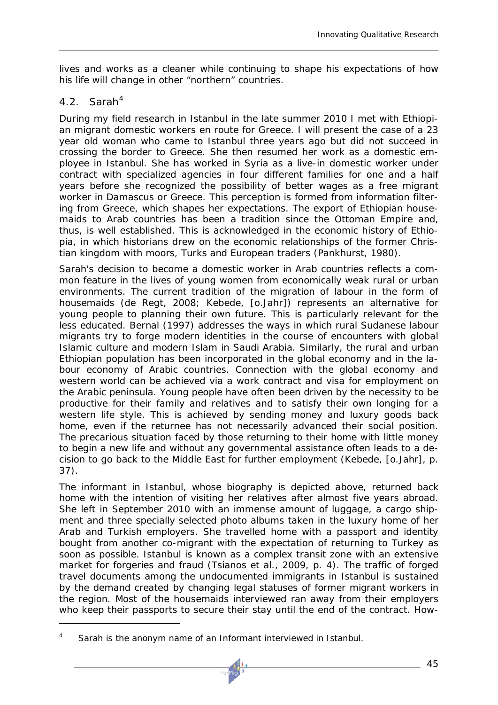lives and works as a cleaner while continuing to shape his expectations of how his life will change in other "northern" countries.

# [4](#page-44-0).2. Sarah $<sup>4</sup>$ </sup>

-

During my field research in Istanbul in the late summer 2010 I met with Ethiopian migrant domestic workers en route for Greece. I will present the case of a 23 year old woman who came to Istanbul three years ago but did not succeed in crossing the border to Greece. She then resumed her work as a domestic employee in Istanbul. She has worked in Syria as a live-in domestic worker under contract with specialized agencies in four different families for one and a half years before she recognized the possibility of better wages as a free migrant worker in Damascus or Greece. This perception is formed from information filtering from Greece, which shapes her expectations. The export of Ethiopian housemaids to Arab countries has been a tradition since the Ottoman Empire and, thus, is well established. This is acknowledged in the economic history of Ethiopia, in which historians drew on the economic relationships of the former Christian kingdom with moors, Turks and European traders (Pankhurst, 1980).

Sarah's decision to become a domestic worker in Arab countries reflects a common feature in the lives of young women from economically weak rural or urban environments. The current tradition of the migration of labour in the form of housemaids (de Regt, 2008; Kebede, [o.Jahr]) represents an alternative for young people to planning their own future. This is particularly relevant for the less educated. Bernal (1997) addresses the ways in which rural Sudanese labour migrants try to forge modern identities in the course of encounters with global Islamic culture and modern Islam in Saudi Arabia. Similarly, the rural and urban Ethiopian population has been incorporated in the global economy and in the labour economy of Arabic countries. Connection with the global economy and western world can be achieved via a work contract and visa for employment on the Arabic peninsula. Young people have often been driven by the necessity to be productive for their family and relatives and to satisfy their own longing for a western life style. This is achieved by sending money and luxury goods back home, even if the returnee has not necessarily advanced their social position. The precarious situation faced by those returning to their home with little money to begin a new life and without any governmental assistance often leads to a decision to go back to the Middle East for further employment (Kebede, [o.Jahr], p. 37).

The informant in Istanbul, whose biography is depicted above, returned back home with the intention of visiting her relatives after almost five years abroad. She left in September 2010 with an immense amount of luggage, a cargo shipment and three specially selected photo albums taken in the luxury home of her Arab and Turkish employers. She travelled home with a passport and identity bought from another co-migrant with the expectation of returning to Turkey as soon as possible. Istanbul is known as a complex transit zone with an extensive market for forgeries and fraud (Tsianos et al., 2009, p. 4). The traffic of forged travel documents among the undocumented immigrants in Istanbul is sustained by the demand created by changing legal statuses of former migrant workers in the region. Most of the housemaids interviewed ran away from their employers who keep their passports to secure their stay until the end of the contract. How-

<span id="page-44-0"></span><sup>&</sup>lt;sup>4</sup> Sarah is the anonym name of an Informant interviewed in Istanbul.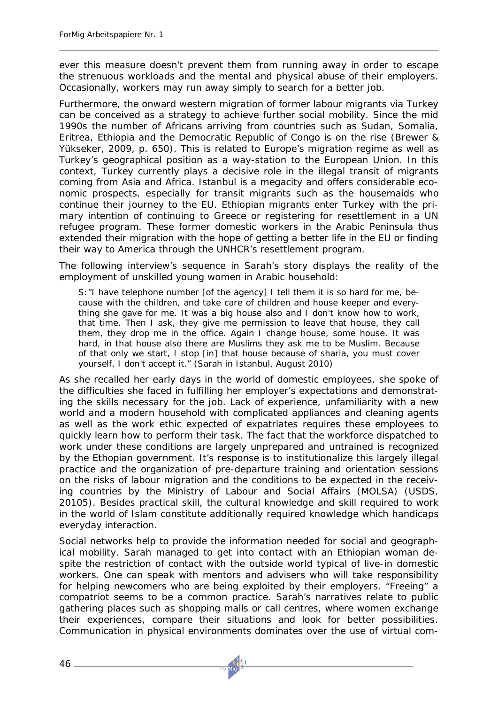ever this measure doesn't prevent them from running away in order to escape the strenuous workloads and the mental and physical abuse of their employers. Occasionally, workers may run away simply to search for a better job.

Furthermore, the onward western migration of former labour migrants via Turkey can be conceived as a strategy to achieve further social mobility. Since the mid 1990s the number of Africans arriving from countries such as Sudan, Somalia, Eritrea, Ethiopia and the Democratic Republic of Congo is on the rise (Brewer & Yükseker, 2009, p. 650). This is related to Europe's migration regime as well as Turkey's geographical position as a way-station to the European Union. In this context, Turkey currently plays a decisive role in the illegal transit of migrants coming from Asia and Africa. Istanbul is a megacity and offers considerable economic prospects, especially for transit migrants such as the housemaids who continue their journey to the EU. Ethiopian migrants enter Turkey with the primary intention of continuing to Greece or registering for resettlement in a UN refugee program. These former domestic workers in the Arabic Peninsula thus extended their migration with the hope of getting a better life in the EU or finding their way to America through the UNHCR's resettlement program.

The following interview's sequence in Sarah's story displays the reality of the employment of unskilled young women in Arabic household:

S:"I have telephone number [of the agency] I tell them it is so hard for me, because with the children, and take care of children and house keeper and everything she gave for me. It was a big house also and I don't know how to work, that time. Then I ask, they give me permission to leave that house, they call them, they drop me in the office. Again I change house, some house. It was hard, in that house also there are Muslims they ask me to be Muslim. Because of that only we start, I stop [in] that house because of sharia, you must cover yourself, I don't accept it." (Sarah in Istanbul, August 2010)

As she recalled her early days in the world of domestic employees, she spoke of the difficulties she faced in fulfilling her employer's expectations and demonstrating the skills necessary for the job. Lack of experience, unfamiliarity with a new world and a modern household with complicated appliances and cleaning agents as well as the work ethic expected of expatriates requires these employees to quickly learn how to perform their task. The fact that the workforce dispatched to work under these conditions are largely unprepared and untrained is recognized by the Ethopian government. It's response is to institutionalize this largely illegal practice and the organization of pre-departure training and orientation sessions on the risks of labour migration and the conditions to be expected in the receiving countries by the Ministry of Labour and Social Affairs (MOLSA) (USDS, 20105). Besides practical skill, the cultural knowledge and skill required to work in the world of Islam constitute additionally required knowledge which handicaps everyday interaction.

Social networks help to provide the information needed for social and geographical mobility. Sarah managed to get into contact with an Ethiopian woman despite the restriction of contact with the outside world typical of live-in domestic workers. One can speak with mentors and advisers who will take responsibility for helping newcomers who are being exploited by their employers. "Freeing" a compatriot seems to be a common practice. Sarah's narratives relate to public gathering places such as shopping malls or call centres, where women exchange their experiences, compare their situations and look for better possibilities. Communication in physical environments dominates over the use of virtual com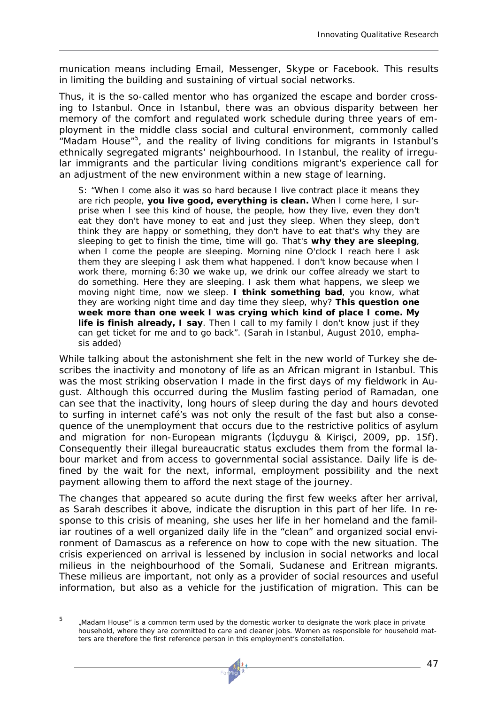munication means including Email, Messenger, Skype or Facebook. This results in limiting the building and sustaining of virtual social networks.

Thus, it is the so-called mentor who has organized the escape and border crossing to Istanbul. Once in Istanbul, there was an obvious disparity between her memory of the comfort and regulated work schedule during three years of employment in the middle class social and cultural environment, commonly called "*Madam House*"[5](#page-46-0) , and the reality of living conditions for migrants in Istanbul's ethnically segregated migrants' neighbourhood. In Istanbul, the reality of irregular immigrants and the particular living conditions migrant's experience call for an adjustment of the new environment within a new stage of learning.

S: "When I come also it was so hard because I live contract place it means they are rich people, **you live good, everything is clean.** When I come *here*, I surprise when I see this kind of house, the people, how they live, even they don't eat they don't have money to eat and just they sleep. When they sleep, don't think they are happy or something, they don't have to eat that's why they are sleeping to get to finish the time, time will go. That's **why they are sleeping**, when I come the people are sleeping. Morning nine O'clock I reach here I ask them they are sleeping I ask them what happened. I don't know because when I work *there*, morning 6:30 we wake up, we drink our coffee already we start to do something. *Here* they are sleeping. I ask them what happens, we sleep we moving night time, now we sleep. **I think something bad**, you know, what they are working night time and day time they sleep, why? **This question one week more than one week I was crying which kind of place I come. My life is finish already, I say***.* Then I call to my family I don't know just if they can get ticket for me and to go back". (Sarah in Istanbul, August 2010, emphasis added)

While talking about the astonishment she felt in the new world of Turkey she describes the inactivity and monotony of life as an African migrant in Istanbul. This was the most striking observation I made in the first days of my fieldwork in August. Although this occurred during the Muslim fasting period of *Ramadan,* one can see that the inactivity, long hours of sleep during the day and hours devoted to surfing in internet café's was not only the result of the fast but also a consequence of the unemployment that occurs due to the restrictive politics of asylum and migration for non-European migrants (İçduygu & Kirişci, 2009, pp. 15f). Consequently their illegal bureaucratic status excludes them from the formal labour market and from access to governmental social assistance. Daily life is defined by the wait for the next, informal, employment possibility and the next payment allowing them to afford the next stage of the journey.

The changes that appeared so acute during the first few weeks after her arrival, as Sarah describes it above, indicate the disruption in this part of her life. In response to this crisis of meaning, she uses her life in her homeland and the familiar routines of a well organized daily life in the "clean" and organized social environment of Damascus as a reference on how to cope with the new situation. The crisis experienced on arrival is lessened by inclusion in social networks and local milieus in the neighbourhood of the Somali, Sudanese and Eritrean migrants. These milieus are important, not only as a provider of social resources and useful information, but also as a vehicle for the justification of migration. This can be

l

<span id="page-46-0"></span><sup>&</sup>lt;sup>5</sup> "Madam House" is a common term used by the domestic worker to designate the work place in private household, where they are committed to care and cleaner jobs. Women as responsible for household matters are therefore the first reference person in this employment's constellation.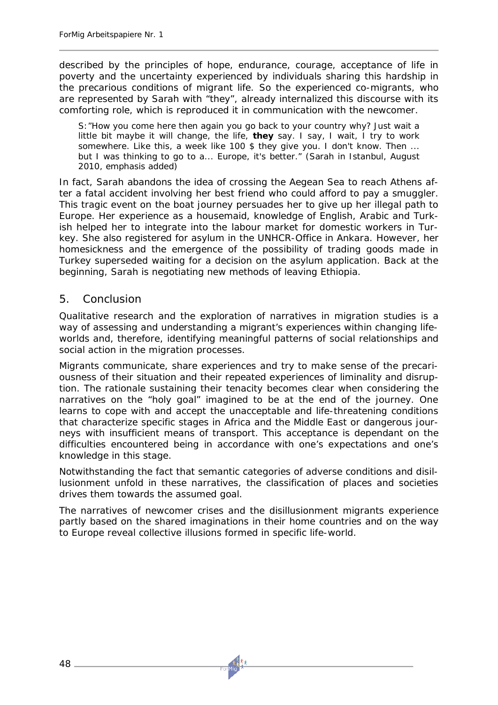described by the principles of hope, endurance, courage, acceptance of life in poverty and the uncertainty experienced by individuals sharing this hardship in the precarious conditions of migrant life. So the experienced co-migrants, who are represented by Sarah with "they", already internalized this discourse with its comforting role, which is reproduced it in communication with the newcomer.

S:"How you come here then again you go back to your country why? Just wait a little bit maybe it will change, the life, **they** say. I say, I wait, I try to work somewhere. Like this, a week like 100 \$ they give you. I don't know. Then ... but I was thinking to go to a... Europe, it's better." (Sarah in Istanbul, August 2010, emphasis added)

In fact, Sarah abandons the idea of crossing the Aegean Sea to reach Athens after a fatal accident involving her best friend who could afford to pay a smuggler. This tragic event on the boat journey persuades her to give up her illegal path to Europe. Her experience as a housemaid, knowledge of English, Arabic and Turkish helped her to integrate into the labour market for domestic workers in Turkey. She also registered for asylum in the UNHCR-Office in Ankara. However, her homesickness and the emergence of the possibility of trading goods made in Turkey superseded waiting for a decision on the asylum application. Back at the beginning, Sarah is negotiating new methods of leaving Ethiopia.

### 5. Conclusion

Qualitative research and the exploration of narratives in migration studies is a way of assessing and understanding a migrant's experiences within changing lifeworlds and, therefore, identifying meaningful patterns of social relationships and social action in the migration processes.

Migrants communicate, share experiences and try to make sense of the precariousness of their situation and their repeated experiences of liminality and disruption. The rationale sustaining their tenacity becomes clear when considering the narratives on the "holy goal" imagined to be at the end of the journey. One learns to cope with and accept the unacceptable and life-threatening conditions that characterize specific stages in Africa and the Middle East or dangerous journeys with insufficient means of transport. This acceptance is dependant on the difficulties encountered being in accordance with one's expectations and one's knowledge in this stage.

Notwithstanding the fact that semantic categories of adverse conditions and disillusionment unfold in these narratives, the classification of places and societies drives them towards the assumed goal.

The narratives of newcomer crises and the disillusionment migrants experience partly based on the shared imaginations in their home countries and on the way to Europe reveal collective illusions formed in specific life-world.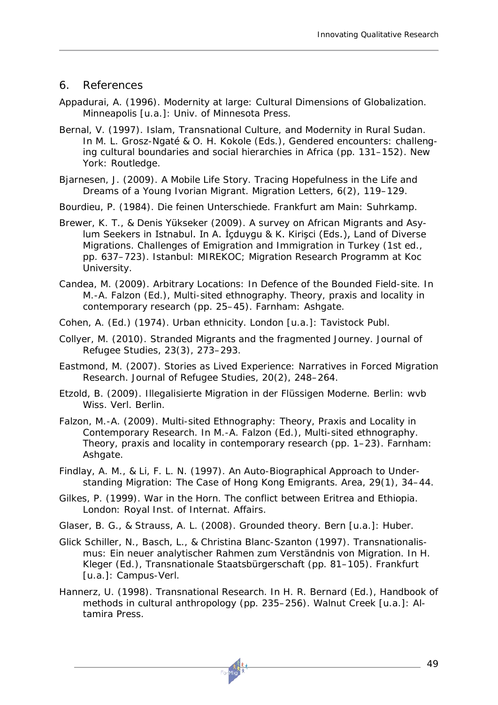#### 6. References

- Appadurai, A. (1996). *Modernity at large: Cultural Dimensions of Globalization.*  Minneapolis [u.a.]: Univ. of Minnesota Press.
- Bernal, V. (1997). Islam, Transnational Culture, and Modernity in Rural Sudan. In M. L. Grosz-Ngaté & O. H. Kokole (Eds.), *Gendered encounters: challenging cultural boundaries and social hierarchies in Africa (pp. 131–152). New* York: Routledge.
- Bjarnesen, J. (2009). A Mobile Life Story. Tracing Hopefulness in the Life and Dreams of a Young Ivorian Migrant. *Migration Letters, 6*(2), 119–129.
- Bourdieu, P. (1984). *Die feinen Unterschiede.* Frankfurt am Main: Suhrkamp.
- Brewer, K. T., & Denis Yükseker (2009). A survey on African Migrants and Asylum Seekers in Istnabul. In A. İçduygu & K. Kirişci (Eds.), *Land of Diverse Migrations. Challenges of Emigration and Immigration in Turkey* (1st ed., pp. 637–723). Istanbul: MIREKOC; Migration Research Programm at Koc University.
- Candea, M. (2009). Arbitrary Locations: In Defence of the Bounded Field-site. In M.-A. Falzon (Ed.), *Multi-sited ethnography. Theory, praxis and locality in contemporary research* (pp. 25–45). Farnham: Ashgate.
- Cohen, A. (Ed.) (1974). *Urban ethnicity.* London [u.a.]: Tavistock Publ.
- Collyer, M. (2010). Stranded Migrants and the fragmented Journey. *Journal of Refugee Studies, 23*(3), 273–293.
- Eastmond, M. (2007). Stories as Lived Experience: Narratives in Forced Migration Research. *Journal of Refugee Studies, 20*(2), 248–264.
- Etzold, B. (2009). *Illegalisierte Migration in der Flüssigen Moderne.* Berlin: wvb Wiss. Verl. Berlin.
- Falzon, M.-A. (2009). Multi-sited Ethnography: Theory, Praxis and Locality in Contemporary Research. In M.-A. Falzon (Ed.), *Multi-sited ethnography. Theory, praxis and locality in contemporary research* (pp. 1–23). Farnham: Ashgate.
- Findlay, A. M., & Li, F. L. N. (1997). An Auto-Biographical Approach to Understanding Migration: The Case of Hong Kong Emigrants. *Area, 29*(1), 34–44.
- Gilkes, P. (1999). *War in the Horn. The conflict between Eritrea and Ethiopia.*  London: Royal Inst. of Internat. Affairs.
- Glaser, B. G., & Strauss, A. L. (2008). *Grounded theory.* Bern [u.a.]: Huber.
- Glick Schiller, N., Basch, L., & Christina Blanc-Szanton (1997). Transnationalismus: Ein neuer analytischer Rahmen zum Verständnis von Migration. In H. Kleger (Ed.), *Transnationale Staatsbürgerschaft* (pp. 81–105). Frankfurt [u.a.]: Campus-Verl.
- Hannerz, U. (1998). Transnational Research. In H. R. Bernard (Ed.), *Handbook of methods in cultural anthropology* (pp. 235–256). Walnut Creek [u.a.]: Altamira Press.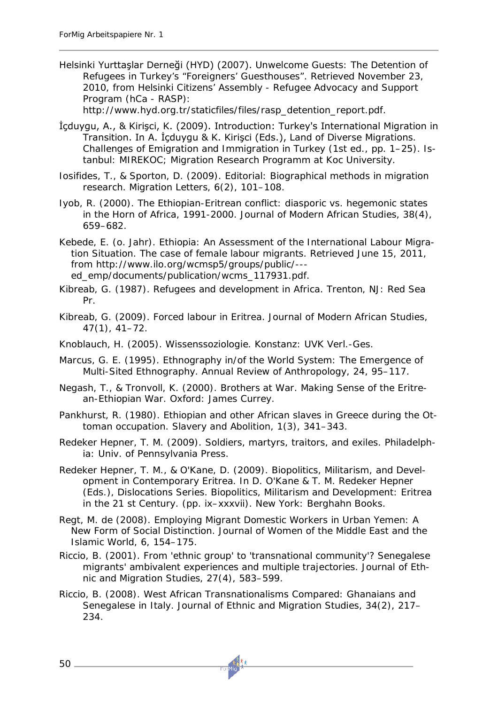Helsinki Yurttaşlar Derneği (HYD) (2007). *Unwelcome Guests: The Detention of Refugees in Turkey's "Foreigners' Guesthouses".* Retrieved November 23, 2010, from Helsinki Citizens' Assembly - Refugee Advocacy and Support Program (hCa - RASP):

http://www.hyd.org.tr/staticfiles/files/rasp\_detention\_report.pdf.

- İçduygu, A., & Kirişci, K. (2009). Introduction: Turkey's International Migration in Transition. In A. İçduygu & K. Kirişci (Eds.), *Land of Diverse Migrations. Challenges of Emigration and Immigration in Turkey* (1st ed., pp. 1–25). Istanbul: MIREKOC; Migration Research Programm at Koc University.
- Iosifides, T., & Sporton, D. (2009). Editorial: Biographical methods in migration research. *Migration Letters, 6*(2), 101–108.
- Iyob, R. (2000). The Ethiopian-Eritrean conflict: diasporic vs. hegemonic states in the Horn of Africa, 1991-2000. *Journal of Modern African Studies, 38*(4), 659–682.
- Kebede, E. (o. Jahr). *Ethiopia: An Assessment of the International Labour Migration Situation. The case of female labour migrants.* Retrieved June 15, 2011, from http://www.ilo.org/wcmsp5/groups/public/-- ed\_emp/documents/publication/wcms\_117931.pdf.
- Kibreab, G. (1987). *Refugees and development in Africa.* Trenton, NJ: Red Sea Pr.
- Kibreab, G. (2009). Forced labour in Eritrea. *Journal of Modern African Studies, 47*(1), 41–72.
- Knoblauch, H. (2005). *Wissenssoziologie.* Konstanz: UVK Verl.-Ges.
- Marcus, G. E. (1995). Ethnography in/of the World System: The Emergence of Multi-Sited Ethnography. *Annual Review of Anthropology, 24*, 95–117.
- Negash, T., & Tronvoll, K. (2000). *Brothers at War. Making Sense of the Eritrean-Ethiopian War.* Oxford: James Currey.
- Pankhurst, R. (1980). Ethiopian and other African slaves in Greece during the Ottoman occupation. *Slavery and Abolition, 1*(3), 341–343.
- Redeker Hepner, T. M. (2009). *Soldiers, martyrs, traitors, and exiles.* Philadelphia: Univ. of Pennsylvania Press.
- Redeker Hepner, T. M., & O'Kane, D. (2009). Biopolitics, Militarism, and Development in Contemporary Eritrea. In D. O'Kane & T. M. Redeker Hepner (Eds.), *Dislocations Series. Biopolitics, Militarism and Development: Eritrea in the 21 st Century.* (pp. ix–xxxvii). New York: Berghahn Books.
- Regt, M. de (2008). Employing Migrant Domestic Workers in Urban Yemen: A New Form of Social Distinction. *Journal of Women of the Middle East and the Islamic World, 6*, 154–175.
- Riccio, B. (2001). From 'ethnic group' to 'transnational community'? Senegalese migrants' ambivalent experiences and multiple trajectories. *Journal of Ethnic and Migration Studies, 27*(4), 583–599.
- Riccio, B. (2008). West African Transnationalisms Compared: Ghanaians and Senegalese in Italy. *Journal of Ethnic and Migration Studies, 34*(2), 217– 234.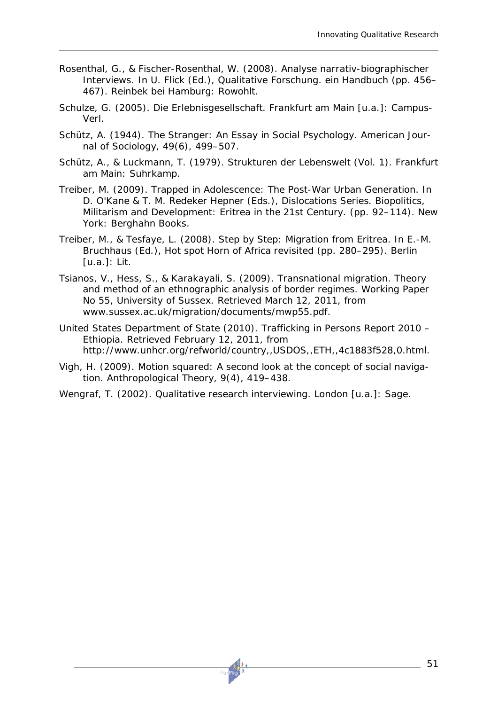- Rosenthal, G., & Fischer-Rosenthal, W. (2008). Analyse narrativ-biographischer Interviews. In U. Flick (Ed.), *Qualitative Forschung. ein Handbuch* (pp. 456– 467). Reinbek bei Hamburg: Rowohlt.
- Schulze, G. (2005). *Die Erlebnisgesellschaft.* Frankfurt am Main [u.a.]: Campus-Verl.
- Schütz, A. (1944). The Stranger: An Essay in Social Psychology. *American Journal of Sociology, 49*(6), 499–507.
- Schütz, A., & Luckmann, T. (1979). *Strukturen der Lebenswelt* (Vol. 1). Frankfurt am Main: Suhrkamp.
- Treiber, M. (2009). Trapped in Adolescence: The Post-War Urban Generation. In D. O'Kane & T. M. Redeker Hepner (Eds.), *Dislocations Series. Biopolitics, Militarism and Development: Eritrea in the 21st Century.* (pp. 92–114). New York: Berghahn Books.
- Treiber, M., & Tesfaye, L. (2008). Step by Step: Migration from Eritrea. In E.-M. Bruchhaus (Ed.), *Hot spot Horn of Africa revisited* (pp. 280–295). Berlin [u.a.]: Lit.
- Tsianos, V., Hess, S., & Karakayali, S. (2009). *Transnational migration. Theory and method of an ethnographic analysis of border regimes.* Working Paper No 55, University of Sussex. Retrieved March 12, 2011, from www.sussex.ac.uk/migration/documents/mwp55.pdf.
- United States Department of State (2010). *Trafficking in Persons Report 2010 – Ethiopia.* Retrieved February 12, 2011, from http://www.unhcr.org/refworld/country,,USDOS,,ETH,,4c1883f528,0.html.
- Vigh, H. (2009). Motion squared: A second look at the concept of social navigation. *Anthropological Theory, 9*(4), 419–438.
- Wengraf, T. (2002). *Qualitative research interviewing.* London [u.a.]: Sage.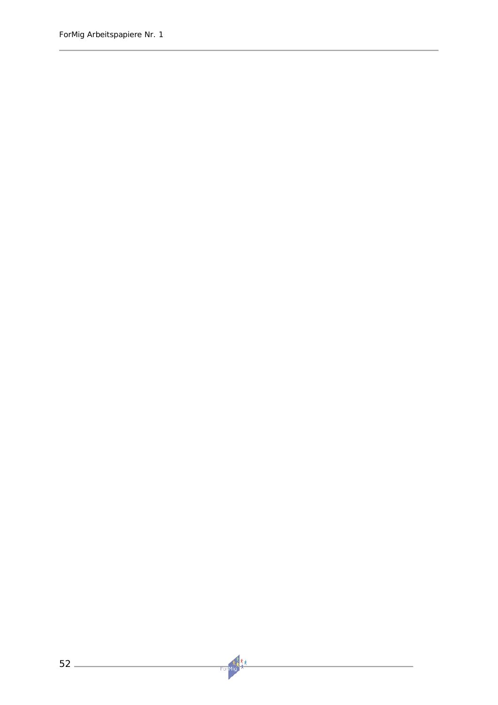Formight +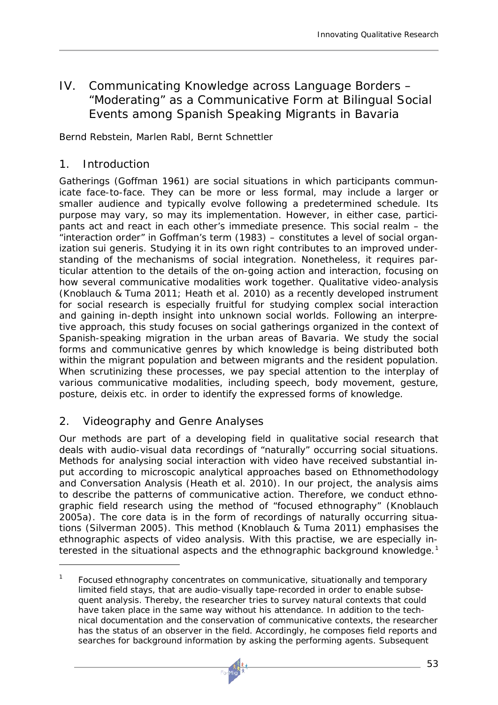# IV. Communicating Knowledge across Language Borders – "Moderating" as a Communicative Form at Bilingual Social Events among Spanish Speaking Migrants in Bavaria

*Bernd Rebstein, Marlen Rabl, Bernt Schnettler*

## 1. Introduction

l

Gatherings (Goffman 1961) are social situations in which participants communicate face-to-face. They can be more or less formal, may include a larger or smaller audience and typically evolve following a predetermined schedule. Its purpose may vary, so may its implementation. However, in either case, participants act and react in each other's immediate presence. This social realm – the "interaction order" in Goffman's term (1983) – constitutes a level of social organization *sui generis*. Studying it in its own right contributes to an improved understanding of the mechanisms of social integration. Nonetheless, it requires particular attention to the details of the on-going action and interaction, focusing on how several communicative modalities work together. Qualitative video-analysis (Knoblauch & Tuma 2011; Heath et al. 2010) as a recently developed instrument for social research is especially fruitful for studying complex social interaction and gaining in-depth insight into unknown social worlds. Following an interpretive approach, this study focuses on social gatherings organized in the context of Spanish-speaking migration in the urban areas of Bavaria. We study the social forms and communicative genres by which knowledge is being distributed both within the migrant population and between migrants and the resident population. When scrutinizing these processes, we pay special attention to the interplay of various communicative modalities, including speech, body movement, gesture, posture, deixis etc. in order to identify the expressed forms of knowledge.

# 2. Videography and Genre Analyses

Our methods are part of a developing field in qualitative social research that deals with audio-visual data recordings of "naturally" occurring social situations. Methods for analysing social interaction with video have received substantial input according to microscopic analytical approaches based on Ethnomethodology and Conversation Analysis (Heath et al. 2010). In our project, the analysis aims to describe the patterns of communicative action. Therefore, we conduct ethnographic field research using the method of "focused ethnography" (Knoblauch 2005a). The core data is in the form of recordings of naturally occurring situations (Silverman 2005). This method (Knoblauch & Tuma 2011) emphasises the ethnographic aspects of video analysis. With this practise, we are especially in-terested in the situational aspects and the ethnographic background knowledge.<sup>[1](#page-52-0)</sup>

<span id="page-52-0"></span><sup>&</sup>lt;sup>1</sup> Focused ethnography concentrates on communicative, situationally and temporary limited field stays, that are audio-visually tape-recorded in order to enable subsequent analysis. Thereby, the researcher tries to survey natural contexts that could have taken place in the same way without his attendance. In addition to the technical documentation and the conservation of communicative contexts, the researcher has the status of an observer in the field. Accordingly, he composes field reports and searches for background information by asking the performing agents. Subsequent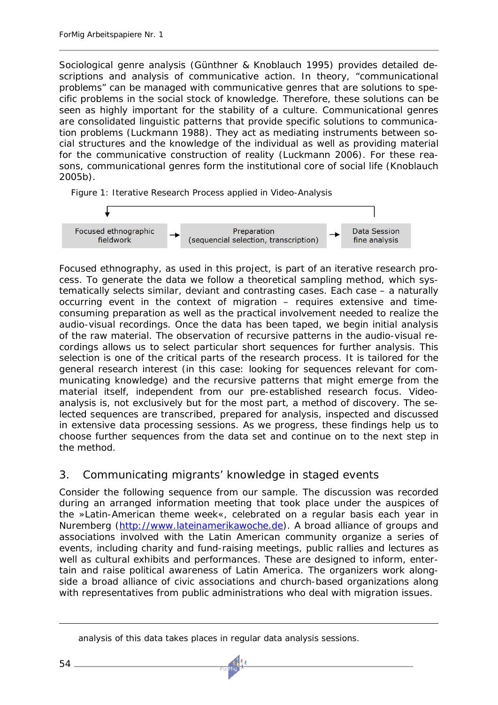Sociological genre analysis (Günthner & Knoblauch 1995) provides detailed descriptions and analysis of communicative action. In theory, "communicational problems" can be managed with communicative genres that are solutions to specific problems in the social stock of knowledge. Therefore, these solutions can be seen as highly important for the stability of a culture. Communicational genres are consolidated linguistic patterns that provide specific solutions to communication problems (Luckmann 1988). They act as mediating instruments between social structures and the knowledge of the individual as well as providing material for the *communicative construction of reality* (Luckmann 2006). For these reasons, communicational genres form the institutional core of social life (Knoblauch 2005b).





Focused ethnography, as used in this project, is part of an iterative research process. To generate the data we follow a theoretical sampling method, which systematically selects similar, deviant and contrasting cases. Each case – a naturally occurring event in the context of migration – requires extensive and timeconsuming preparation as well as the practical involvement needed to realize the audio-visual recordings. Once the data has been taped, we begin initial analysis of the raw material. The observation of recursive patterns in the audio-visual recordings allows us to select particular short sequences for further analysis. This selection is one of the critical parts of the research process. It is tailored for the general research interest (in this case: looking for sequences relevant for communicating knowledge) *and* the recursive patterns that might emerge from the material itself, independent from our pre-established research focus. Videoanalysis is, not exclusively but for the most part, a method of discovery. The selected sequences are transcribed, prepared for analysis, inspected and discussed in extensive data processing sessions. As we progress, these findings help us to choose further sequences from the data set and continue on to the next step in the method.

# 3. Communicating migrants' knowledge in staged events

Consider the following sequence from our sample. The discussion was recorded during an arranged information meeting that took place under the auspices of the »Latin-American theme week«, celebrated on a regular basis each year in Nuremberg [\(http://www.lateinamerikawoche.de\)](http://www.lateinamerikawoche.de/). A broad alliance of groups and associations involved with the Latin American community organize a series of events, including charity and fund-raising meetings, public rallies and lectures as well as cultural exhibits and performances. These are designed to inform, entertain and raise political awareness of Latin America. The organizers work alongside a broad alliance of civic associations and church-based organizations along with representatives from public administrations who deal with migration issues.

-

analysis of this data takes places in regular data analysis sessions.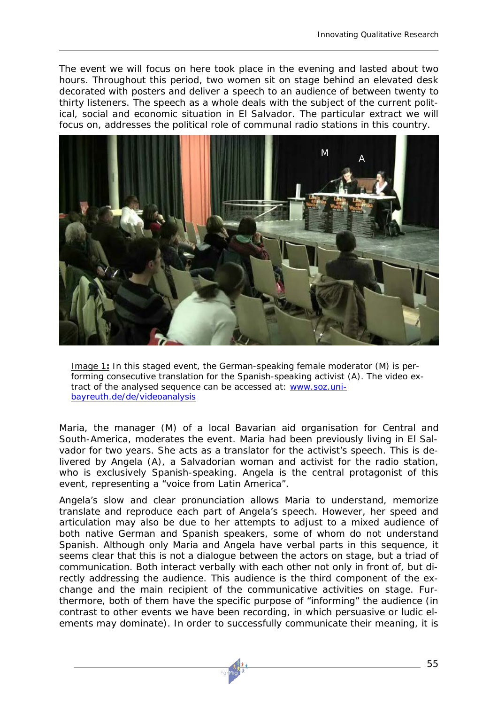The event we will focus on here took place in the evening and lasted about two hours. Throughout this period, two women sit on stage behind an elevated desk decorated with posters and deliver a speech to an audience of between twenty to thirty listeners. The speech as a whole deals with the subject of the current political, social and economic situation in El Salvador. The particular extract we will focus on, addresses the political role of communal radio stations in this country.



*Image 1: In this staged event, the German-speaking female moderator (M) is performing consecutive translation for the Spanish-speaking activist (A). The video extract of the analysed sequence can be accessed at: [www.soz.uni](http://www.soz.uni-bayreuth.de/de/videoanalysis)[bayreuth.de/de/videoanalysis](http://www.soz.uni-bayreuth.de/de/videoanalysis)*

Maria, the manager (M) of a local Bavarian aid organisation for Central and South-America, moderates the event. Maria had been previously living in El Salvador for two years. She acts as a translator for the activist's speech. This is delivered by Angela (A), a Salvadorian woman and activist for the radio station, who is exclusively Spanish-speaking. Angela is the central protagonist of this event, representing a "voice from Latin America".

Angela's slow and clear pronunciation allows Maria to understand, memorize translate and reproduce each part of Angela's speech. However, her speed and articulation may also be due to her attempts to adjust to a mixed audience of both native German and Spanish speakers, some of whom do not understand Spanish. Although only Maria and Angela have verbal parts in this sequence, it seems clear that this is not a dialogue between the actors on stage, but a *triad* of communication. Both interact verbally with each other not only in front of, but directly addressing the audience. This audience is the third component of the exchange and the main recipient of the communicative activities on stage. Furthermore, both of them have the specific purpose of "informing" the audience (in contrast to other events we have been recording, in which persuasive or ludic elements may dominate). In order to successfully communicate their meaning, it is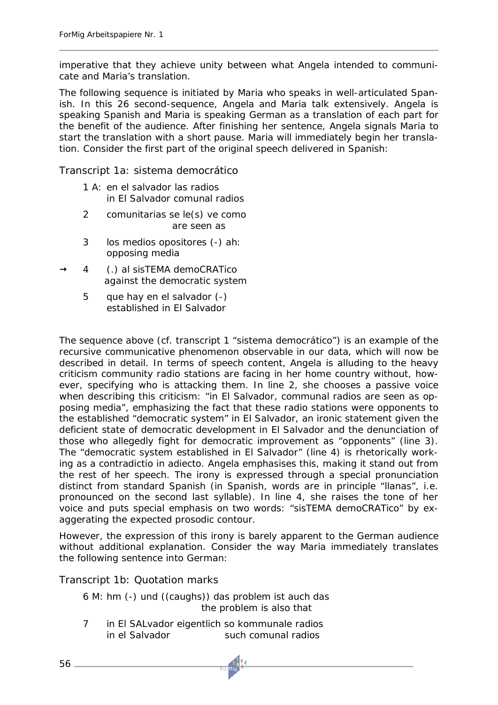imperative that they achieve unity between what Angela intended to communicate and Maria's translation.

The following sequence is initiated by Maria who speaks in well-articulated Spanish. In this 26 second-sequence, Angela and Maria talk extensively. Angela is speaking Spanish and Maria is speaking German as a translation of each part for the benefit of the audience. After finishing her sentence, Angela signals Maria to start the translation with a short pause. Maria will immediately begin her translation. Consider the first part of the original speech delivered in Spanish:

Transcript 1a: sistema democrático

- 1 A: en el salvador las radios *in El Salvador comunal radios*
- 2 comunitarias se le(s) ve como *are seen as*
- 3 los medios opositores (-) ah:  *opposing media*
- 4 (.) al sisTEMA demoCRATico *against the democratic system* 
	- 5 que hay en el salvador (-) *established in El Salvador*

The sequence above (cf. transcript 1 "sistema democrático") is an example of the recursive communicative phenomenon observable in our data, which will now be described in detail. In terms of speech content, Angela is alluding to the heavy criticism community radio stations are facing in her home country without, however, specifying *who* is attacking them. In line 2, she chooses a passive voice when describing this criticism: "in El Salvador, communal radios are seen as opposing media", emphasizing the fact that these radio stations were opponents to the established "democratic system" in El Salvador, an ironic statement given the deficient state of democratic development in El Salvador and the denunciation of those who allegedly fight for democratic improvement as "opponents" (line 3). The "democratic system established in El Salvador" (line 4) is rhetorically working as a *contradictio in adiecto.* Angela emphasises this, making it stand out from the rest of her speech. The irony is expressed through a special pronunciation distinct from standard Spanish (in Spanish, words are in principle "llanas", i.e. pronounced on the second last syllable). In line 4, she raises the tone of her voice and puts special emphasis on two words: "sisTEMA demoCRATico" by exaggerating the expected prosodic contour.

However, the expression of this irony is barely apparent to the German audience without additional explanation. Consider the way Maria immediately translates the following sentence into German:

Transcript 1b: Quotation marks

6 M: hm (-) und ((caughs)) das problem ist auch das  *the problem is also that*

7 in El SALvador eigentlich so kommunale radios *in el Salvador such comunal radios*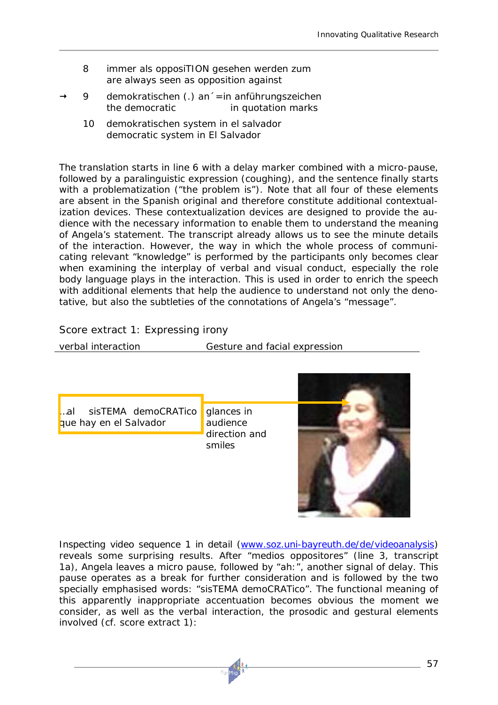- 8 immer als opposiTION gesehen werden zum *are always seen as opposition against*
- 9 demokratischen (.) an´=in anführungszeichen *the democratic in quotation marks*
	- 10 demokratischen system in el salvador *democratic system in El Salvador*

The translation starts in line 6 with a delay marker combined with a micro-pause, followed by a paralinguistic expression (coughing), and the sentence finally starts with a problematization ("the problem is"). Note that all four of these elements are absent in the Spanish original and therefore constitute additional *contextualization devices*. These contextualization devices are designed to provide the audience with the necessary information to enable them to understand the meaning of Angela's statement. The transcript already allows us to see the minute details of the interaction. However, the way in which the whole process of communicating relevant "knowledge" is performed by the participants only becomes clear when examining the interplay of verbal and visual conduct, especially the role body language plays in the interaction. This is used in order to enrich the speech with additional elements that help the audience to understand not only the denotative, but also the subtleties of the connotations of Angela's "message".

Score extract 1: Expressing irony

verbal interaction Gesture and facial expression

…al sisTEMA demoCRATico que hay en el Salvador

glances in audience direction and smiles



Inspecting video sequence 1 in detail [\(www.soz.uni-bayreuth.de/de/videoanalysis\)](http://www.soz.uni-bayreuth.de/de/videoanalysis) reveals some surprising results. After "medios oppositores" (line 3, transcript 1a), Angela leaves a micro pause, followed by "ah:", another signal of delay. This pause operates as a break for further consideration and is followed by the two specially emphasised words: "sisTEMA demoCRATico". The functional meaning of this apparently inappropriate accentuation becomes obvious the moment we consider, as well as the verbal interaction, the prosodic and gestural elements involved (cf. score extract 1):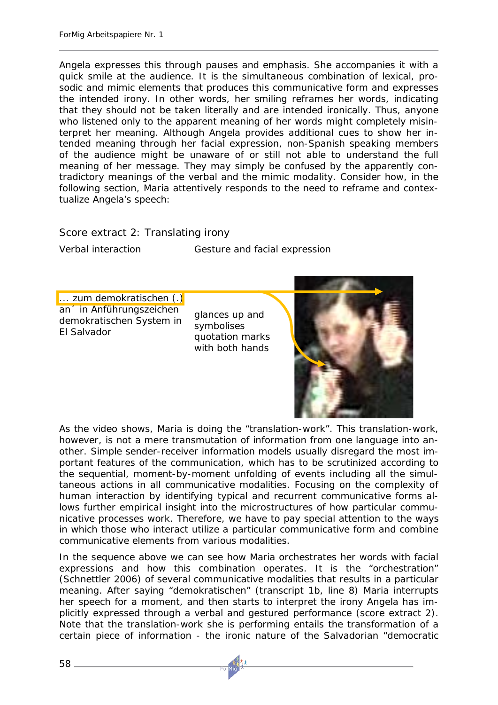Angela expresses this through pauses and emphasis. She accompanies it with a quick smile at the audience. It is the *simultaneous combination* of lexical, prosodic and mimic elements that produces this communicative form and expresses the intended irony. In other words, her smiling reframes her words, indicating that they should not be taken literally and are intended ironically. Thus, anyone who listened only to the apparent meaning of her words might completely misinterpret her meaning. Although Angela provides additional cues to show her intended meaning through her facial expression, non-Spanish speaking members of the audience might be unaware of or still not able to understand the full meaning of her message. They may simply be confused by the apparently contradictory meanings of the verbal and the mimic modality. Consider how, in the following section, Maria attentively responds to the need to reframe and contextualize Angela's speech:

### Score extract 2: Translating irony

Verbal interaction Gesture and facial expression

... zum demokratischen (.) an´ in Anführungszeichen demokratischen System in El Salvador

glances up and symbolises quotation marks with both hands



As the video shows, Maria is doing the "translation-work". This translation-work, however, is not a mere transmutation of information from one language into another. Simple sender-receiver information models usually disregard the most important features of the communication, which has to be scrutinized according to the sequential, moment-by-moment unfolding of events including all the simultaneous actions in all communicative modalities. Focusing on the complexity of human interaction by identifying typical and recurrent communicative forms allows further empirical insight into the microstructures of how particular communicative processes work. Therefore, we have to pay special attention to the ways in which those who interact utilize a particular communicative form and combine communicative elements from various modalities.

In the sequence above we can see how Maria orchestrates her words with facial expressions and how this combination operates. It is the "orchestration" (Schnettler 2006) of several communicative modalities that results in a particular meaning. After saying "demokratischen" (transcript 1b, line 8) Maria interrupts her speech for a moment, and then starts to interpret the irony Angela has implicitly expressed through a verbal and gestured performance (score extract 2). Note that the translation-work she is performing entails the transformation of a certain piece of information - the *ironic nature* of the Salvadorian "democratic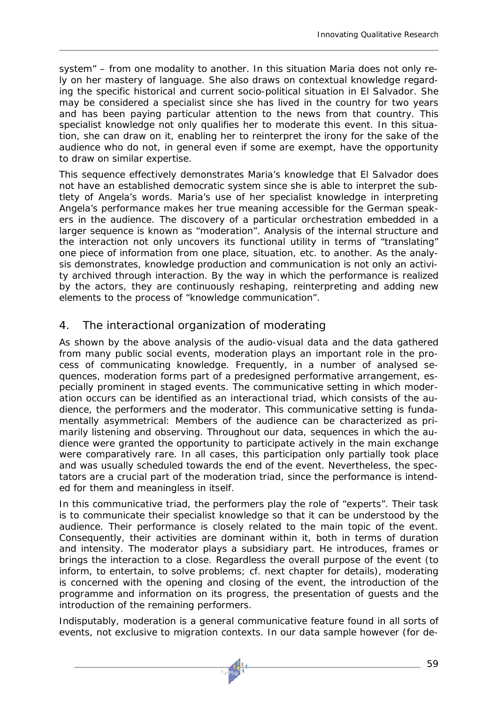system" – from one modality to another. In this situation Maria does not only rely on her mastery of language. She also draws on contextual knowledge regarding the specific historical and current socio-political situation in El Salvador. She may be considered a specialist since she has lived in the country for two years and has been paying particular attention to the news from that country. This specialist knowledge not only qualifies her to moderate this event. In this situation, she can draw on it, enabling her to reinterpret the irony for the sake of the audience who do not, in general even if some are exempt, have the opportunity to draw on similar expertise.

This sequence effectively demonstrates Maria's knowledge that El Salvador does *not* have an established democratic system since she is able to interpret the subtlety of Angela's words. Maria's use of her specialist knowledge in interpreting Angela's performance makes her true meaning accessible for the German speakers in the audience. The discovery of a particular orchestration embedded in a larger sequence is known as "moderation". Analysis of the internal structure and the interaction not only uncovers its functional utility in terms of "translating" one piece of information from one place, situation, etc. to another. As the analysis demonstrates, knowledge production and communication is not only an activity archived through interaction. By the way in which the performance is realized by the actors, they are continuously reshaping, reinterpreting and adding new elements to the process of "knowledge communication".

### 4. The interactional organization of moderating

As shown by the above analysis of the audio-visual data and the data gathered from many public social events, moderation plays an important role in the process of communicating knowledge. Frequently, in a number of analysed sequences, moderation forms part of a predesigned performative arrangement, especially prominent in staged events. The communicative setting in which moderation occurs can be identified as an *interactional triad*, which consists of the audience, the performers and the moderator. This communicative setting is fundamentally asymmetrical: *Members of the audience* can be characterized as primarily listening and observing. Throughout our data, sequences in which the audience were granted the opportunity to participate actively in the main exchange were comparatively rare. In all cases, this participation only partially took place and was usually scheduled towards the end of the event. Nevertheless, the spectators are a crucial part of the moderation triad, since the performance is intended for them and meaningless in itself.

In this communicative triad, the *performers* play the role of "experts". Their task is to communicate their specialist knowledge so that it can be understood by the audience. Their performance is closely related to the main topic of the event. Consequently, their activities are dominant within it, both in terms of duration and intensity. The *moderator* plays a subsidiary part. He introduces, frames or brings the interaction to a close. Regardless the overall purpose of the event (to inform, to entertain, to solve problems; cf. next chapter for details), moderating is concerned with the opening and closing of the event, the introduction of the programme and information on its progress, the presentation of guests and the introduction of the remaining performers.

Indisputably, moderation is a general communicative feature found in all sorts of events, not exclusive to migration contexts. In our data sample however (for de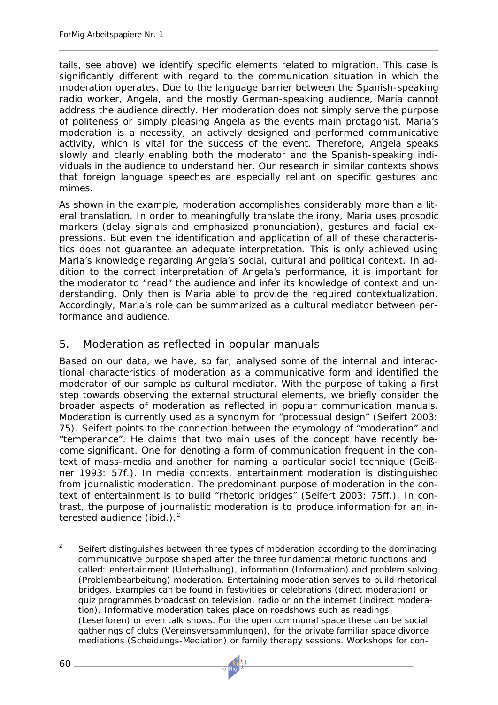tails, see above) we identify specific elements related to migration. This case is significantly different with regard to the communication situation in which the moderation operates. Due to the language barrier between the Spanish-speaking radio worker, Angela, and the mostly German-speaking audience, Maria cannot address the audience directly. Her moderation does not simply serve the purpose of politeness or simply pleasing Angela as the events main protagonist. Maria's moderation is a necessity, an actively designed and performed communicative activity, which is vital for the success of the event. Therefore, Angela speaks slowly and clearly enabling both the moderator and the Spanish-speaking individuals in the audience to understand her. Our research in similar contexts shows that foreign language speeches are especially reliant on specific gestures and mimes.

As shown in the example, moderation accomplishes considerably more than a literal translation. In order to meaningfully translate the irony, Maria uses prosodic markers (delay signals and emphasized pronunciation), gestures and facial expressions. But even the identification and application of all of these characteristics does not guarantee an adequate interpretation. This is only achieved using Maria's knowledge regarding Angela's social, cultural and political context. In addition to the correct interpretation of Angela's performance, it is important for the moderator to "read" the audience and infer its knowledge of context and understanding. Only then is Maria able to provide the required contextualization. Accordingly, Maria's role can be summarized as a *cultural mediator* between performance and audience.

### 5. Moderation as reflected in popular manuals

Based on our data, we have, so far, analysed some of the internal and interactional characteristics of moderation as a communicative form and identified the moderator of our sample as cultural mediator. With the purpose of taking a first step towards observing the external structural elements, we briefly consider the broader aspects of moderation as reflected in popular communication manuals. Moderation is currently used as a synonym for "processual design" (Seifert 2003: 75). Seifert points to the connection between the etymology of "moderation" and "temperance". He claims that two main uses of the concept have recently become significant. One for denoting a form of communication frequent in the context of mass-media and another for naming a particular social technique (Geißner 1993: 57f.). In media contexts, entertainment moderation is distinguished from journalistic moderation. The predominant purpose of moderation in the context of entertainment is to build "rhetoric bridges" (Seifert 2003: 75ff.). In contrast, the purpose of journalistic moderation is to produce information for an in-terested audience (ibid.).<sup>[2](#page-59-0)</sup>

1

<span id="page-59-0"></span><sup>&</sup>lt;sup>2</sup> Seifert distinguishes between three types of moderation according to the dominating communicative purpose shaped after the three fundamental rhetoric functions and called: entertainment (*Unterhaltung)*, information (*Information)* and problem solving (*Problembearbeitung)* moderation. Entertaining moderation serves to build rhetorical bridges. Examples can be found in festivities or celebrations (direct moderation) or quiz programmes broadcast on television, radio or on the internet (indirect moderation). Informative moderation takes place on roadshows such as readings (*Leserforen*) or even talk shows. For the open communal space these can be social gatherings of clubs (*Vereinsversammlungen*), for the private familiar space divorce mediations (*Scheidungs-Mediation*) or family therapy sessions. Workshops for con-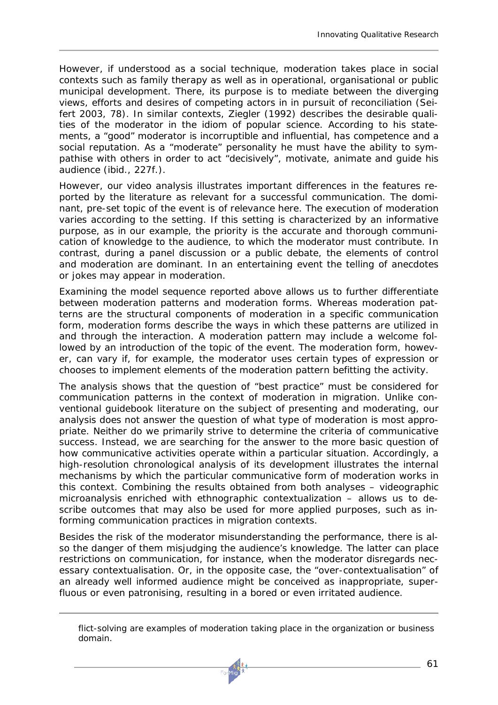However, if understood as a social technique, moderation takes place in social contexts such as family therapy as well as in operational, organisational or public municipal development. There, its purpose is to mediate between the diverging views, efforts and desires of competing actors in in pursuit of reconciliation (Seifert 2003, 78). In similar contexts, Ziegler (1992) describes the desirable qualities of the moderator in the idiom of popular science. According to his statements, a "good" moderator is incorruptible and influential, has competence and a social reputation. As a "moderate" personality he must have the ability to sympathise with others in order to act "decisively", motivate, animate and guide his audience (ibid., 227f.).

However, our video analysis illustrates important differences in the features reported by the literature as relevant for a successful communication. The dominant, pre-set topic of the event is of relevance here. The execution of moderation varies according to the setting. If this setting is characterized by an informative purpose, as in our example, the priority is the accurate and thorough communication of knowledge to the audience, to which the moderator must contribute. In contrast, during a panel discussion or a public debate, the elements of control and moderation are dominant. In an entertaining event the telling of anecdotes or jokes may appear in moderation.

Examining the model sequence reported above allows us to further differentiate between moderation patterns and moderation forms. Whereas *moderation patterns* are the structural components of moderation in a specific communication form, *moderation forms* describe the ways in which these patterns are utilized in and through the interaction. A moderation pattern may include a welcome followed by an introduction of the topic of the event. The moderation form, however, can vary if, for example, the moderator uses certain types of expression or chooses to implement elements of the moderation pattern befitting the activity.

The analysis shows that the question of "best practice" must be considered for communication patterns in the context of moderation in migration. Unlike conventional guidebook literature on the subject of presenting and moderating, our analysis does not answer the question of what type of moderation is most appropriate. Neither do we primarily strive to determine the criteria of communicative success. Instead, we are searching for the answer to the more basic question of how communicative activities operate within a particular situation. Accordingly, a high-resolution chronological analysis of its development illustrates the internal mechanisms by which the particular communicative form of moderation works in this context. Combining the results obtained from both analyses – videographic microanalysis enriched with ethnographic contextualization – allows us to describe outcomes that may also be used for more applied purposes, such as informing communication practices in migration contexts.

Besides the risk of the moderator misunderstanding the performance, there is also the danger of them misjudging the audience's knowledge. The latter can place restrictions on communication, for instance, when the moderator disregards necessary contextualisation. Or, in the opposite case, the "over-contextualisation" of an already well informed audience might be conceived as inappropriate, superfluous or even patronising, resulting in a bored or even irritated audience.

-

flict-solving are examples of moderation taking place in the organization or business domain.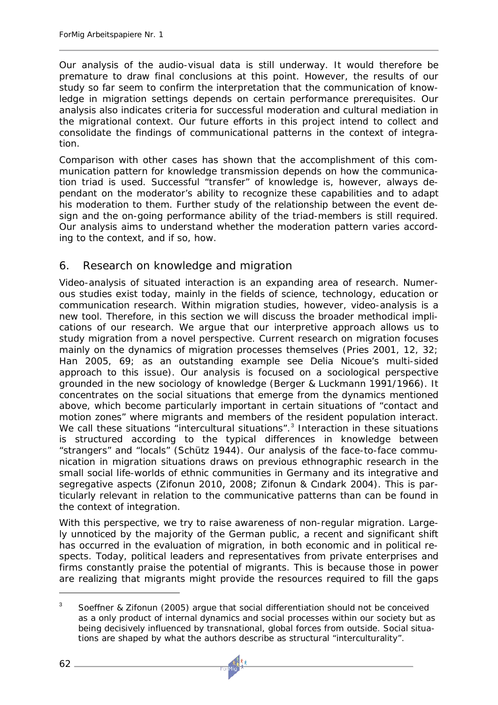Our analysis of the audio-visual data is still underway. It would therefore be premature to draw final conclusions at this point. However, the results of our study so far seem to confirm the interpretation that the communication of knowledge in migration settings depends on certain performance prerequisites. Our analysis also indicates criteria for successful moderation and cultural mediation in the migrational context. Our future efforts in this project intend to collect and consolidate the findings of communicational patterns in the context of integration.

Comparison with other cases has shown that the accomplishment of this communication pattern for knowledge transmission depends on how the communication triad is used. Successful "transfer" of knowledge is, however, always dependant on the moderator's ability to recognize these capabilities and to adapt his moderation to them. Further study of the relationship between the event design and the on-going performance ability of the triad-members is still required. Our analysis aims to understand whether the moderation pattern varies according to the context, and if so, how.

### 6. Research on knowledge and migration

Video-analysis of situated interaction is an expanding area of research. Numerous studies exist today, mainly in the fields of science, technology, education or communication research. Within migration studies, however, video-analysis is a new tool. Therefore, in this section we will discuss the broader methodical implications of our research. We argue that our interpretive approach allows us to study migration from a novel perspective. Current research on migration focuses mainly on the dynamics of migration processes themselves (Pries 2001, 12, 32; Han 2005, 69; as an outstanding example see Delia Nicoue's multi-sided approach to this issue). Our analysis is focused on a sociological perspective grounded in the new sociology of knowledge (Berger & Luckmann 1991/1966). It concentrates on the social situations that emerge from the dynamics mentioned above, which become particularly important in certain situations of "contact and motion zones" where migrants and members of the resident population interact. We call these situations "intercultural situations".<sup>[3](#page-61-0)</sup> Interaction in these situations is structured according to the typical differences in knowledge between "strangers" and "locals" (Schütz 1944). Our analysis of the face-to-face communication in migration situations draws on previous ethnographic research in the *small social life-worlds* of ethnic communities in Germany and its integrative and segregative aspects (Zifonun 2010, 2008; Zifonun & Cındark 2004). This is particularly relevant in relation to the communicative patterns than can be found in the context of integration.

With this perspective, we try to raise awareness of non-regular migration. Largely unnoticed by the majority of the German public, a recent and significant shift has occurred in the evaluation of migration, in both economic and in political respects. Today, political leaders and representatives from private enterprises and firms constantly praise the potential of migrants. This is because those in power are realizing that migrants might provide the resources required to fill the gaps

1

<span id="page-61-0"></span><sup>&</sup>lt;sup>3</sup> Soeffner & Zifonun (2005) argue that social differentiation should not be conceived as a only product of internal dynamics and social processes within our society but as being decisively influenced by *transnational*, *global* forces from outside. Social situations are shaped by what the authors describe as structural "interculturality".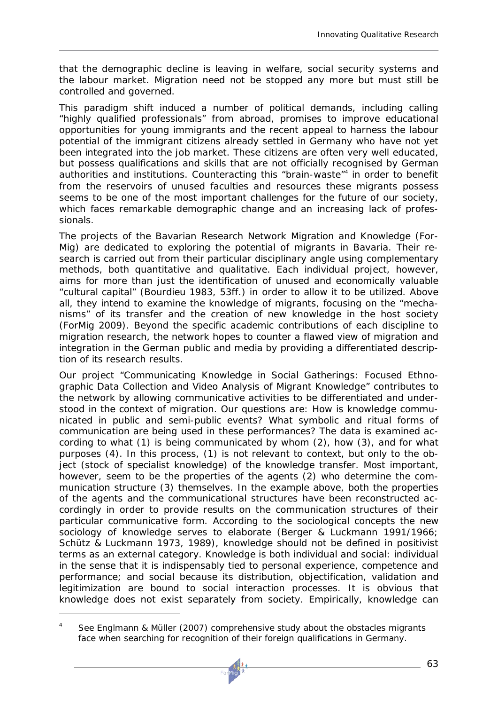that the demographic decline is leaving in welfare, social security systems and the labour market. Migration need not be stopped any more but must still be controlled and governed.

This paradigm shift induced a number of political demands, including calling "highly qualified professionals" from abroad, promises to improve educational opportunities for young immigrants and the recent appeal to harness the labour potential of the immigrant citizens already settled in Germany who have not yet been integrated into the job market. These citizens are often very well educated, but possess qualifications and skills that are not officially recognised by German authorities and institutions. Counteracting this "brain-waste"[4](#page-62-0) in order to benefit from the reservoirs of unused faculties and resources these migrants possess seems to be one of the most important challenges for the future of our society, which faces remarkable demographic change and an increasing lack of professionals.

The projects of the Bavarian Research Network Migration and Knowledge (For-Mig) are dedicated to exploring the potential of migrants in Bavaria. Their research is carried out from their particular disciplinary angle using complementary methods, both quantitative and qualitative. Each individual project, however, aims for more than just the identification of unused and economically valuable "cultural capital" (Bourdieu 1983, 53ff.) in order to allow it to be utilized. Above all, they intend to examine the knowledge of migrants, focusing on the "mechanisms" of its transfer and the creation of new knowledge in the host society (ForMig 2009). Beyond the specific academic contributions of each discipline to migration research, the network hopes to counter a flawed view of migration and integration in the German public and media by providing a differentiated description of its research results.

Our project "Communicating Knowledge in Social Gatherings: Focused Ethnographic Data Collection and Video Analysis of Migrant Knowledge" contributes to the network by allowing communicative activities to be differentiated and understood in the context of migration. Our questions are: How is knowledge communicated in public and semi-public events? What symbolic and ritual forms of communication are being used in these performances? The data is examined according to what (1) is being communicated by whom (2), how (3), and for what purposes (4). In this process, (1) is not relevant to context, but only to the object (stock of specialist knowledge) of the knowledge transfer. Most important, however, seem to be the properties of the agents (2) who determine the communication structure (3) themselves. In the example above, both the properties of the agents and the communicational structures have been reconstructed accordingly in order to provide results on the communication structures of their particular communicative form. According to the sociological concepts the new sociology of knowledge serves to elaborate (Berger & Luckmann 1991/1966; Schütz & Luckmann 1973, 1989), knowledge should not be defined in positivist terms as an external category. Knowledge is both individual and social: individual in the sense that it is indispensably tied to personal experience, competence and performance; and social because its distribution, objectification, validation and legitimization are bound to social interaction processes. It is obvious that knowledge does not exist separately from society. Empirically, knowledge can

l

<span id="page-62-0"></span><sup>&</sup>lt;sup>4</sup> See Englmann & Müller (2007) comprehensive study about the obstacles migrants face when searching for recognition of their foreign qualifications in Germany.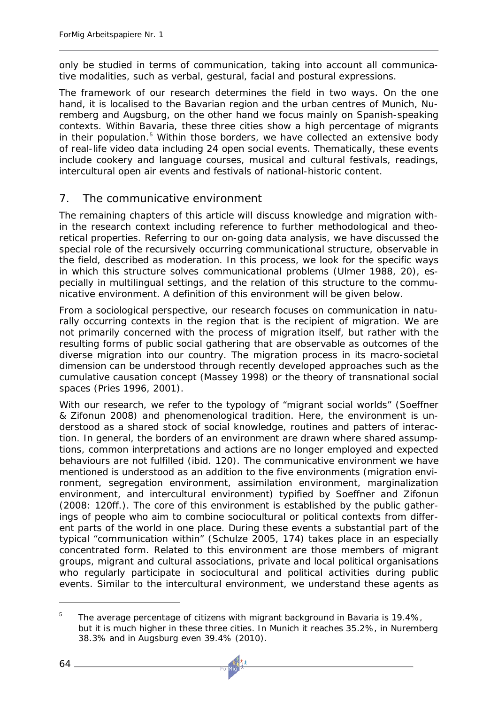only be studied in terms of communication, taking into account all communicative modalities, such as verbal, gestural, facial and postural expressions.

The framework of our research determines the field in two ways. On the one hand, it is localised to the Bavarian region and the urban centres of Munich, Nuremberg and Augsburg, on the other hand we focus mainly on Spanish-speaking contexts. Within Bavaria, these three cities show a high percentage of migrants in their population.<sup>[5](#page-63-0)</sup> Within those borders, we have collected an extensive body of real-life video data including 24 open social events. Thematically, these events include cookery and language courses, musical and cultural festivals, readings, intercultural open air events and festivals of national-historic content.

### 7. The communicative environment

The remaining chapters of this article will discuss knowledge and migration within the research context including reference to further methodological and theoretical properties. Referring to our on-going data analysis, we have discussed the special role of the recursively occurring communicational structure, observable in the field, described as moderation. In this process, we look for the specific ways in which this structure solves communicational problems (Ulmer 1988, 20), especially in multilingual settings, and the relation of this structure to the *communicative environment*. A definition of this environment will be given below.

From a sociological perspective, our research focuses on communication in naturally occurring contexts in the region that is the recipient of migration. We are not primarily concerned with the process of migration itself, but rather with the resulting forms of public social gathering that are observable as outcomes of the diverse migration into our country. The migration process in its macro-societal dimension can be understood through recently developed approaches such as the cumulative causation concept (Massey 1998) or the theory of transnational social spaces (Pries 1996, 2001).

With our research, we refer to the typology of "migrant social worlds" (Soeffner & Zifonun 2008) and phenomenological tradition. Here, the environment is understood as a shared stock of social knowledge, routines and patters of interaction. In general, the borders of an environment are drawn where shared assumptions, common interpretations and actions are no longer employed and expected behaviours are not fulfilled (ibid. 120). The communicative environment we have mentioned is understood as an addition to the five environments (migration environment, segregation environment, assimilation environment, marginalization environment, and intercultural environment) typified by Soeffner and Zifonun (2008: 120ff.). The core of this environment is established by the public gatherings of people who aim to combine sociocultural or political contexts from different parts of the world in one place. During these events a substantial part of the typical "communication within" (Schulze 2005, 174) takes place in an especially concentrated form. Related to this environment are those members of migrant groups, migrant and cultural associations, private and local political organisations who regularly participate in sociocultural and political activities during public events. Similar to the intercultural environment, we understand these agents as

1

<span id="page-63-0"></span><sup>&</sup>lt;sup>5</sup> The average percentage of citizens with migrant background in Bavaria is 19.4%, but it is much higher in these three cities. In Munich it reaches 35.2%, in Nuremberg 38.3% and in Augsburg even 39.4% (2010).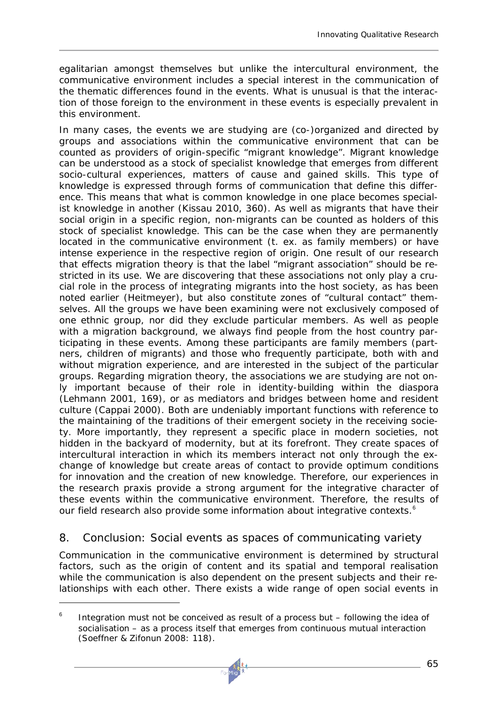egalitarian amongst themselves but *unlike* the intercultural environment, the communicative environment includes a special interest in the communication of the thematic differences found in the events. What is unusual is that the interaction of those foreign to the environment in these events is especially prevalent in this environment.

In many cases, the events we are studying are (co-)organized and directed by groups and associations within the communicative environment that can be counted as providers of origin-specific "migrant knowledge". Migrant knowledge can be understood as a stock of specialist knowledge that emerges from different socio-cultural experiences, matters of cause and gained skills. This type of knowledge is expressed through forms of communication that define this difference. This means that what is common knowledge in one place becomes specialist knowledge in another (Kissau 2010, 360). As well as migrants that have their social origin in a specific region, non-migrants can be counted as holders of this stock of specialist knowledge. This can be the case when they are permanently located in the communicative environment (t. ex. as family members) or have intense experience in the respective region of origin. One result of our research that effects migration theory is that the label "migrant association" should be restricted in its use. We are discovering that these associations not only play a crucial role in the process of integrating migrants into the host society, as has been noted earlier (Heitmeyer), but also constitute zones of "cultural contact" themselves. All the groups we have been examining were not exclusively composed of one ethnic group, nor did they exclude particular members. As well as people with a migration background, we always find people from the host country participating in these events. Among these participants are family members (partners, children of migrants) and those who frequently participate, both with and without migration experience, and are interested in the subject of the particular groups. Regarding migration theory, the associations we are studying are not only important because of their role in identity-building within the diaspora (Lehmann 2001, 169), or as mediators and bridges between home and resident culture (Cappai 2000). Both are undeniably important functions with reference to the maintaining of the traditions of their emergent society in the receiving society. More importantly, they represent a specific place in modern societies, not hidden in the backyard of modernity, but at its forefront. They create spaces of intercultural interaction in which its members interact not only through the exchange of knowledge but create areas of contact to provide optimum conditions for innovation and the creation of new knowledge. Therefore, our experiences in the research praxis provide a strong argument for the integrative character of these events within the communicative environment. Therefore, the results of our field research also provide some information about integrative contexts.<sup>[6](#page-64-0)</sup>

### 8. Conclusion: Social events as spaces of communicating variety

Communication in the communicative environment is determined by structural factors, such as the origin of content and its spatial and temporal realisation while the communication is also dependent on the present subjects and their relationships with each other. There exists a wide range of open social events in

1

<span id="page-64-0"></span> $6$  Integration must not be conceived as result of a process but – following the idea of socialisation – as a process itself that emerges from continuous mutual interaction (Soeffner & Zifonun 2008: 118).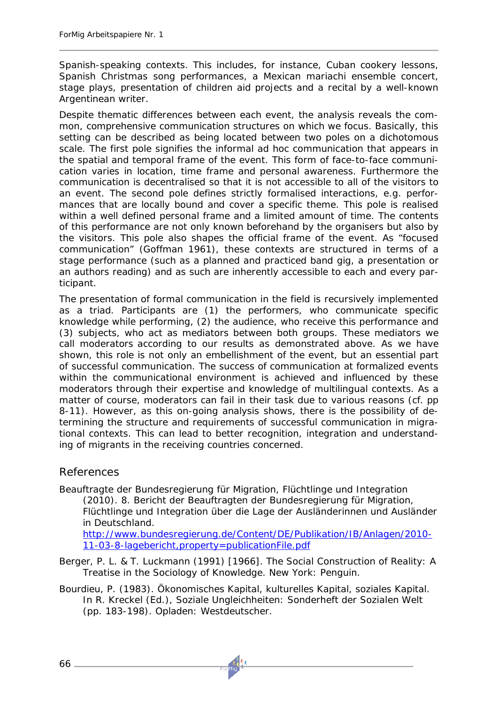Spanish-speaking contexts. This includes, for instance, Cuban cookery lessons, Spanish Christmas song performances, a Mexican mariachi ensemble concert, stage plays, presentation of children aid projects and a recital by a well-known Argentinean writer.

Despite thematic differences between each event, the analysis reveals the common, comprehensive communication structures on which we focus. Basically, this setting can be described as being located between two poles on a dichotomous scale. The first pole signifies the informal *ad hoc communication* that appears in the spatial and temporal frame of the event. This form of face-to-face communication varies in location, time frame and personal awareness. Furthermore the communication is decentralised so that it is not accessible to all of the visitors to an event. The second pole defines strictly formalised interactions, e.g. performances that are locally bound and cover a specific theme. This pole is realised within a well defined personal frame and a limited amount of time. The contents of this performance are not only known beforehand by the organisers but also by the visitors. This pole also shapes the official frame of the event. As "focused communication" (Goffman 1961), these contexts are structured in terms of a stage performance (such as a planned and practiced band gig, a presentation or an authors reading) and as such are inherently accessible to each and every participant.

The presentation of formal communication in the field is recursively implemented as a triad. Participants are (1) the performers, who communicate specific knowledge while performing, (2) the audience, who receive this performance and (3) subjects, who act as mediators between both groups. These mediators we call moderators according to our results as demonstrated above. As we have shown, this role is not only an embellishment of the event, but an essential part of successful communication. The success of communication at formalized events within the communicational environment is achieved and influenced by these moderators through their expertise and knowledge of multilingual contexts. As a matter of course, moderators can fail in their task due to various reasons (cf. pp 8-11). However, as this on-going analysis shows, there is the possibility of determining the structure and requirements of successful communication in migrational contexts. This can lead to better recognition, integration and understanding of migrants in the receiving countries concerned.

### References

Beauftragte der Bundesregierung für Migration, Flüchtlinge und Integration (2010). 8. Bericht der Beauftragten der Bundesregierung für Migration, Flüchtlinge und Integration über die Lage der Ausländerinnen und Ausländer in Deutschland.

[http://www.bundesregierung.de/Content/DE/Publikation/IB/Anlagen/2010-](http://www.bundesregierung.de/Content/DE/Publikation/IB/Anlagen/2010-11-03-8-lagebericht,property=publicationFile.pdf) [11-03-8-lagebericht,property=publicationFile.pdf](http://www.bundesregierung.de/Content/DE/Publikation/IB/Anlagen/2010-11-03-8-lagebericht,property=publicationFile.pdf)

Berger, P. L. & T. Luckmann (1991) [1966]. *The Social Construction of Reality: A Treatise in the Sociology of Knowledge*. New York: Penguin.

Bourdieu, P. (1983). Ökonomisches Kapital, kulturelles Kapital, soziales Kapital. In R. Kreckel (Ed.), *Soziale Ungleichheiten: Sonderheft der Sozialen Welt* (pp. 183-198). Opladen: Westdeutscher.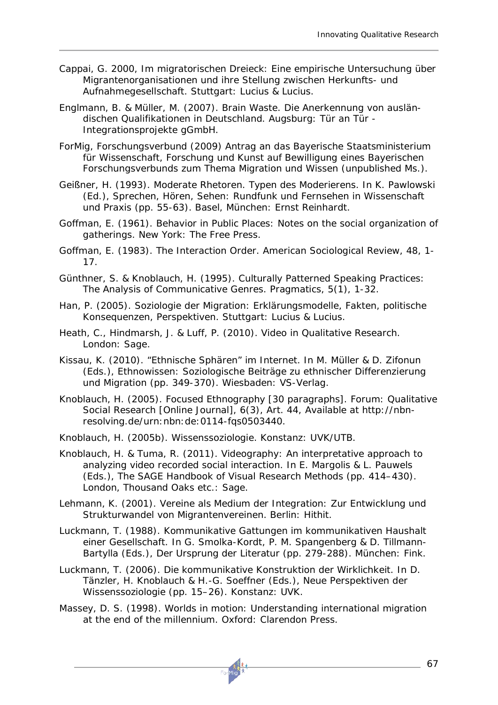- Cappai, G. 2000, *Im migratorischen Dreieck: Eine empirische Untersuchung über Migrantenorganisationen und ihre Stellung zwischen Herkunfts- und Aufnahmegesellschaft*. Stuttgart: Lucius & Lucius.
- Englmann, B. & Müller, M. (2007). *Brain Waste. Die Anerkennung von ausländischen Qualifikationen in Deutschland*. Augsburg: Tür an Tür - Integrationsprojekte gGmbH.
- ForMig, Forschungsverbund (2009) *Antrag an das Bayerische Staatsministerium für Wissenschaft, Forschung und Kunst auf Bewilligung eines Bayerischen Forschungsverbunds zum Thema Migration und Wissen* (unpublished Ms.).
- Geißner, H. (1993). Moderate Rhetoren. Typen des Moderierens. In K. Pawlowski (Ed.), *Sprechen, Hören, Sehen: Rundfunk und Fernsehen in Wissenschaft und Praxis* (pp. 55-63). Basel, München: Ernst Reinhardt.
- Goffman, E. (1961). *Behavior in Public Places: Notes on the social organization of gatherings*. New York: The Free Press.
- Goffman, E. (1983). The Interaction Order. *American Sociological Review,* 48, 1- 17.
- Günthner, S. & Knoblauch, H. (1995). Culturally Patterned Speaking Practices: The Analysis of Communicative Genres. *Pragmatics,* 5(1), 1-32.
- Han, P. (2005). *Soziologie der Migration: Erklärungsmodelle, Fakten, politische Konsequenzen, Perspektiven*. Stuttgart: Lucius & Lucius.
- Heath, C., Hindmarsh, J. & Luff, P. (2010). *Video in Qualitative Research*. London: Sage.
- Kissau, K. (2010). "Ethnische Sphären" im Internet. In M. Müller & D. Zifonun (Eds.), *Ethnowissen: Soziologische Beiträge zu ethnischer Differenzierung und Migration* (pp. 349-370). Wiesbaden: VS-Verlag.
- Knoblauch, H. (2005). Focused Ethnography [30 paragraphs]. *Forum: Qualitative Social Research [Online Journal]*, 6(3), Art. 44, Available at http://nbnresolving.de/urn:nbn:de:0114-fqs0503440.
- Knoblauch, H. (2005b). *Wissenssoziologie*. Konstanz: UVK/UTB.
- Knoblauch, H. & Tuma, R. (2011). Videography: An interpretative approach to analyzing video recorded social interaction. In E. Margolis & L. Pauwels (Eds.), *The SAGE Handbook of Visual Research Methods* (pp. 414–430). London, Thousand Oaks etc.: Sage.
- Lehmann, K. (2001). *Vereine als Medium der Integration: Zur Entwicklung und Strukturwandel von Migrantenvereinen*. Berlin: Hithit.
- Luckmann, T. (1988). Kommunikative Gattungen im kommunikativen Haushalt einer Gesellschaft. In G. Smolka-Kordt, P. M. Spangenberg & D. Tillmann-Bartylla (Eds.), *Der Ursprung der Literatur* (pp. 279-288). München: Fink.
- Luckmann, T. (2006). Die kommunikative Konstruktion der Wirklichkeit. In D. Tänzler, H. Knoblauch & H.-G. Soeffner (Eds.), *Neue Perspektiven der Wissenssoziologie* (pp. 15–26). Konstanz: UVK.
- Massey, D. S. (1998). *Worlds in motion: Understanding international migration at the end of the millennium*. Oxford: Clarendon Press.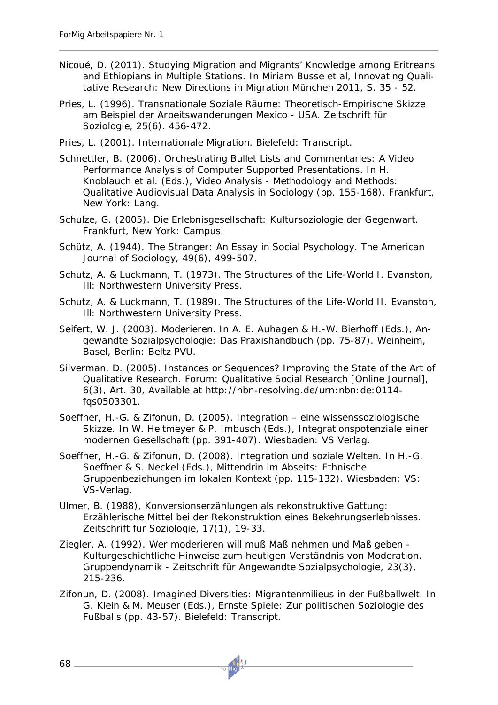- Nicoué, D. (2011). Studying Migration and Migrants' Knowledge among Eritreans and Ethiopians in Multiple Stations. In Miriam Busse et al, Innovating Qualitative Research: New Directions in Migration München 2011, S. 35 - 52.
- Pries, L. (1996). Transnationale Soziale Räume: Theoretisch-Empirische Skizze am Beispiel der Arbeitswanderungen Mexico - USA. *Zeitschrift für Soziologie,* 25(6). 456-472.
- Pries, L. (2001). *Internationale Migration*. Bielefeld: Transcript.
- Schnettler, B. (2006). Orchestrating Bullet Lists and Commentaries: A Video Performance Analysis of Computer Supported Presentations. In H. Knoblauch et al. (Eds.), *Video Analysis - Methodology and Methods: Qualitative Audiovisual Data Analysis in Sociology* (pp. 155-168). Frankfurt, New York: Lang.
- Schulze, G. (2005). *Die Erlebnisgesellschaft: Kultursoziologie der Gegenwart*. Frankfurt, New York: Campus.
- Schütz, A. (1944). *The Stranger: An Essay in Social Psychology*. *The American Journal of Sociology,* 49(6), 499-507.
- Schutz, A. & Luckmann, T. (1973). *The Structures of the Life-World I*. Evanston, Ill: Northwestern University Press.
- Schutz, A. & Luckmann, T. (1989). *The Structures of the Life-World II*. Evanston, Ill: Northwestern University Press.
- Seifert, W. J. (2003). Moderieren. In A. E. *Auhagen* & H.-W. Bierhoff (Eds.), *Angewandte Sozialpsychologie: Das Praxishandbuch* (pp. 75-87). Weinheim, Basel, Berlin: Beltz PVU.
- Silverman, D. (2005). Instances or Sequences? Improving the State of the Art of Qualitative Research. *Forum: Qualitative Social Research [Online Journal],* 6(3), Art. 30, Available at http://nbn-resolving.de/urn:nbn:de:0114 fqs0503301.
- Soeffner, H.-G. & Zifonun, D. (2005). Integration eine wissenssoziologische Skizze. In W. Heitmeyer & P. Imbusch (Eds.), *Integrationspotenziale einer modernen Gesellschaft* (pp. 391-407). Wiesbaden: VS Verlag.
- Soeffner, H.-G. & Zifonun, D. (2008). Integration und soziale Welten. In H.-G. Soeffner & S. Neckel (Eds.), *Mittendrin im Abseits: Ethnische Gruppenbeziehungen im lokalen Kontext* (pp. 115-132). Wiesbaden: VS: VS-Verlag.
- Ulmer, B. (1988), Konversionserzählungen als rekonstruktive Gattung: Erzählerische Mittel bei der Rekonstruktion eines Bekehrungserlebnisses. *Zeitschrift für Soziologie,* 17(1), 19-33.
- Ziegler, A. (1992). Wer moderieren will muß Maß nehmen und Maß geben Kulturgeschichtliche Hinweise zum heutigen Verständnis von Moderation. *Gruppendynamik - Zeitschrift für Angewandte Sozialpsychologie,* 23(3), 215-236.
- Zifonun, D. (2008). Imagined Diversities: Migrantenmilieus in der Fußballwelt. In G. Klein & M. Meuser (Eds.), *Ernste Spiele: Zur politischen Soziologie des Fußballs* (pp. 43-57). Bielefeld: Transcript.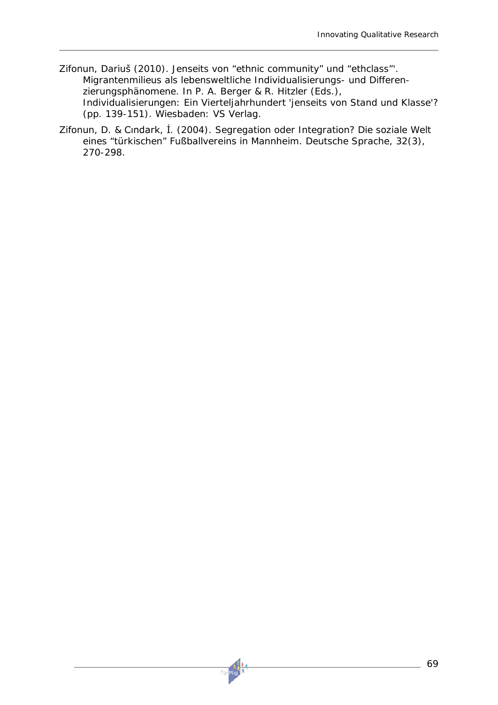- Zifonun, Dariuš (2010). Jenseits von "ethnic community" und "ethclass"'. Migrantenmilieus als lebensweltliche Individualisierungs- und Differenzierungsphänomene. In P. A. Berger & R. Hitzler (Eds.), *Individualisierungen: Ein Vierteljahrhundert 'jenseits von Stand und Klasse'?* (pp. 139-151). Wiesbaden: VS Verlag.
- Zifonun, D. & Cındark, İ. (2004). Segregation oder Integration? Die soziale Welt eines "türkischen" Fußballvereins in Mannheim. *Deutsche Sprache,* 32(3), 270-298.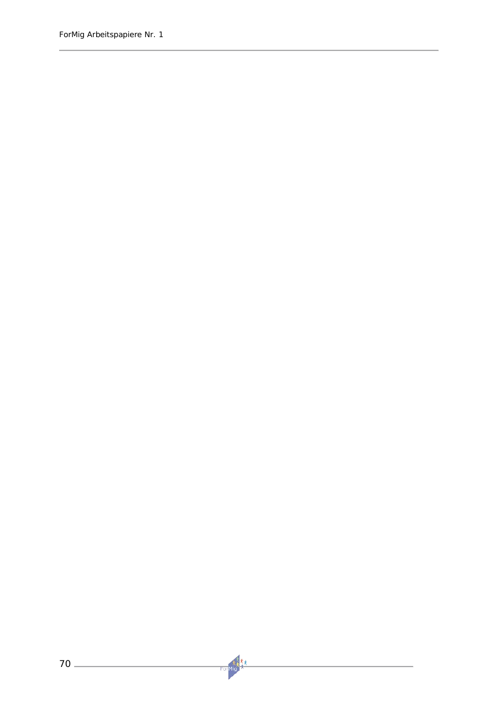Formig XX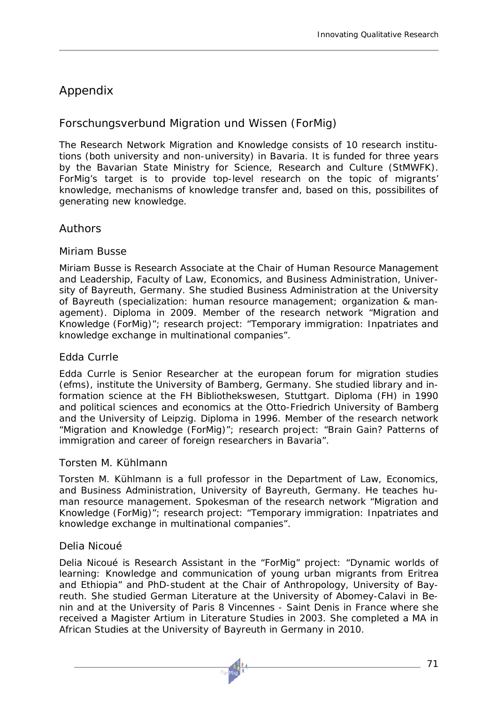# Appendix

# Forschungsverbund Migration und Wissen (ForMig)

The Research Network Migration and Knowledge consists of 10 research institutions (both university and non-university) in Bavaria. It is funded for three years by the Bavarian State Ministry for Science, Research and Culture (StMWFK). ForMig's target is to provide top-level research on the topic of migrants' knowledge, mechanisms of knowledge transfer and, based on this, possibilites of generating new knowledge.

### Authors

### Miriam Busse

Miriam Busse is Research Associate at the Chair of Human Resource Management and Leadership, Faculty of Law, Economics, and Business Administration, University of Bayreuth, Germany. She studied Business Administration at the University of Bayreuth (specialization: human resource management; organization & management). Diploma in 2009. Member of the research network "Migration and Knowledge (ForMig)"; research project: "Temporary immigration: Inpatriates and knowledge exchange in multinational companies".

### Edda Currle

Edda Currle is Senior Researcher at the european forum for migration studies (efms), institute the University of Bamberg, Germany. She studied library and information science at the FH Bibliothekswesen, Stuttgart. Diploma (FH) in 1990 and political sciences and economics at the Otto-Friedrich University of Bamberg and the University of Leipzig. Diploma in 1996. Member of the research network "Migration and Knowledge (ForMig)"; research project: "Brain Gain? Patterns of immigration and career of foreign researchers in Bavaria".

### Torsten M. Kühlmann

Torsten M. Kühlmann is a full professor in the Department of Law, Economics, and Business Administration, University of Bayreuth, Germany. He teaches human resource management. Spokesman of the research network "Migration and Knowledge (ForMig)"; research project: "Temporary immigration: Inpatriates and knowledge exchange in multinational companies".

### Delia Nicoué

Delia Nicoué is Research Assistant in the "ForMig" project: ["Dynamic worlds of](http://www.formig.net/index.php?option=com_content&view=article&id=104%3Avorstellungswelten&catid=48%3Aprojekte&Itemid=152&lang=EN)  [learning: Knowledge and communication](http://www.formig.net/index.php?option=com_content&view=article&id=104%3Avorstellungswelten&catid=48%3Aprojekte&Itemid=152&lang=EN) of young urban migrants from Eritrea [and Ethiopia"](http://www.formig.net/index.php?option=com_content&view=article&id=104%3Avorstellungswelten&catid=48%3Aprojekte&Itemid=152&lang=EN) and PhD-student at the Chair of Anthropology, University of Bayreuth. She studied German Literature at the University of Abomey-Calavi in Benin and at the University of Paris 8 Vincennes - Saint Denis in France where she received a Magister Artium in Literature Studies in 2003. She completed a MA in African Studies at the University of Bayreuth in Germany in 2010.